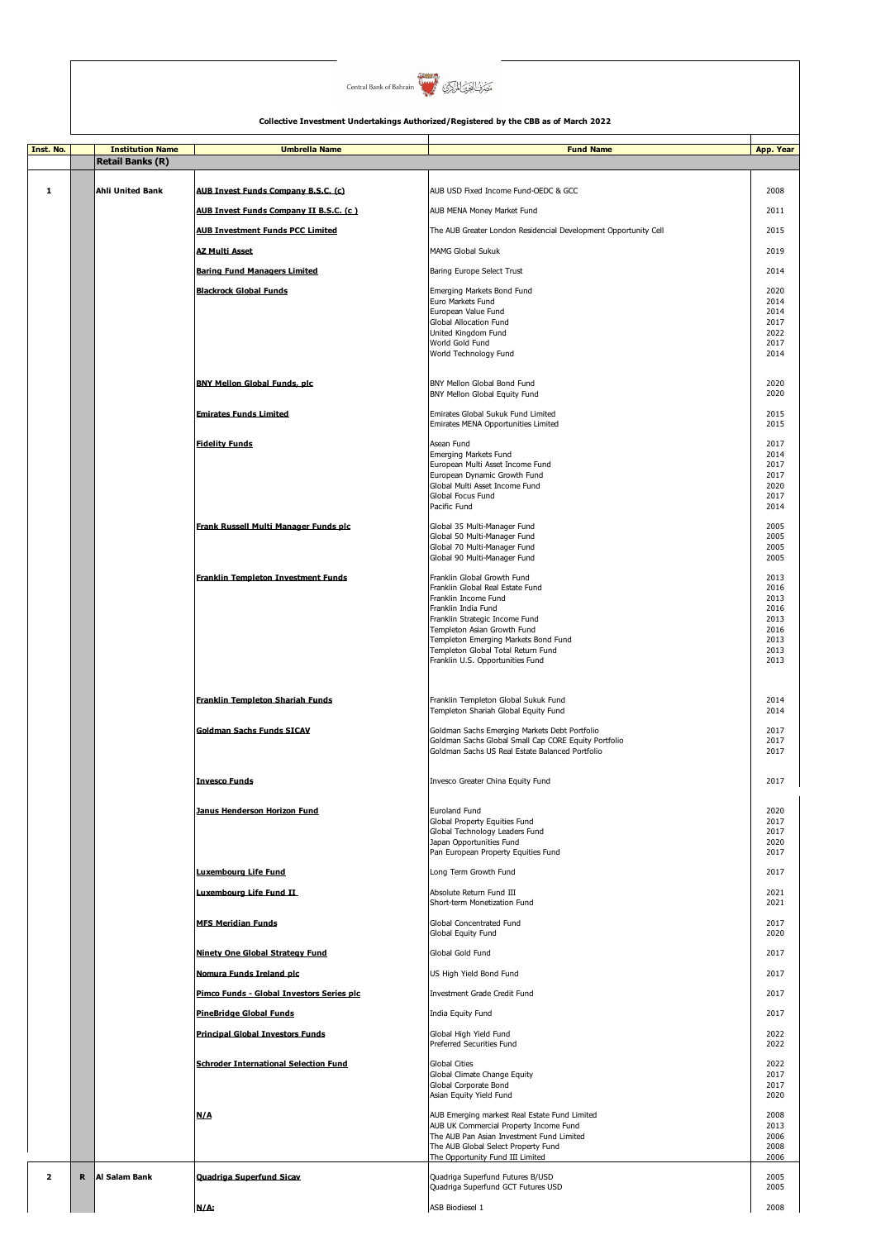

| Inst. No.               |             | <b>Institution Name</b> | <b>Umbrella Name</b>                         | <b>Fund Name</b>                                                                 | App. Year    |
|-------------------------|-------------|-------------------------|----------------------------------------------|----------------------------------------------------------------------------------|--------------|
|                         |             | <b>Retail Banks (R)</b> |                                              |                                                                                  |              |
| 1                       |             | <b>Ahli United Bank</b> | <b>AUB Invest Funds Company B.S.C. (c)</b>   | AUB USD Fixed Income Fund-OEDC & GCC                                             | 2008         |
|                         |             |                         | AUB Invest Funds Company II B.S.C. (c)       | AUB MENA Money Market Fund                                                       | 2011         |
|                         |             |                         |                                              |                                                                                  |              |
|                         |             |                         | <b>AUB Investment Funds PCC Limited</b>      | The AUB Greater London Residencial Development Opportunity Cell                  | 2015         |
|                         |             |                         | <b>AZ Multi Asset</b>                        | <b>MAMG Global Sukuk</b>                                                         | 2019         |
|                         |             |                         | <b>Baring Fund Managers Limited</b>          | Baring Europe Select Trust                                                       | 2014         |
|                         |             |                         | <b>Blackrock Global Funds</b>                | Emerging Markets Bond Fund<br>Euro Markets Fund                                  | 2020<br>2014 |
|                         |             |                         |                                              | European Value Fund                                                              | 2014         |
|                         |             |                         |                                              | Global Allocation Fund<br>United Kingdom Fund                                    | 2017<br>2022 |
|                         |             |                         |                                              | World Gold Fund<br>World Technology Fund                                         | 2017<br>2014 |
|                         |             |                         |                                              |                                                                                  |              |
|                         |             |                         | <b>BNY Mellon Global Funds, plc</b>          | BNY Mellon Global Bond Fund                                                      | 2020         |
|                         |             |                         |                                              | BNY Mellon Global Equity Fund                                                    | 2020         |
|                         |             |                         | <b>Emirates Funds Limited</b>                | Emirates Global Sukuk Fund Limited<br>Emirates MENA Opportunities Limited        | 2015<br>2015 |
|                         |             |                         | <b>Fidelity Funds</b>                        | Asean Fund                                                                       | 2017         |
|                         |             |                         |                                              | Emerging Markets Fund<br>European Multi Asset Income Fund                        | 2014<br>2017 |
|                         |             |                         |                                              | European Dynamic Growth Fund                                                     | 2017         |
|                         |             |                         |                                              | Global Multi Asset Income Fund<br>Global Focus Fund                              | 2020<br>2017 |
|                         |             |                         |                                              | Pacific Fund                                                                     | 2014         |
|                         |             |                         | Frank Russell Multi Manager Funds plc        | Global 35 Multi-Manager Fund                                                     | 2005         |
|                         |             |                         |                                              | Global 50 Multi-Manager Fund<br>Global 70 Multi-Manager Fund                     | 2005<br>2005 |
|                         |             |                         |                                              | Global 90 Multi-Manager Fund                                                     | 2005         |
|                         |             |                         | <b>Franklin Templeton Investment Funds</b>   | Franklin Global Growth Fund<br>Franklin Global Real Estate Fund                  | 2013<br>2016 |
|                         |             |                         |                                              | Franklin Income Fund                                                             | 2013         |
|                         |             |                         |                                              | Franklin India Fund<br>Franklin Strategic Income Fund                            | 2016<br>2013 |
|                         |             |                         |                                              | Templeton Asian Growth Fund<br>Templeton Emerging Markets Bond Fund              | 2016<br>2013 |
|                         |             |                         |                                              | Templeton Global Total Return Fund                                               | 2013         |
|                         |             |                         |                                              | Franklin U.S. Opportunities Fund                                                 | 2013         |
|                         |             |                         |                                              |                                                                                  |              |
|                         |             |                         | <b>Franklin Templeton Shariah Funds</b>      | Franklin Templeton Global Sukuk Fund<br>Templeton Shariah Global Equity Fund     | 2014<br>2014 |
|                         |             |                         | <b>Goldman Sachs Funds SICAV</b>             | Goldman Sachs Emerging Markets Debt Portfolio                                    | 2017         |
|                         |             |                         |                                              | Goldman Sachs Global Small Cap CORE Equity Portfolio                             | 2017         |
|                         |             |                         |                                              | Goldman Sachs US Real Estate Balanced Portfolio                                  | 2017         |
|                         |             |                         | <b>Invesco Funds</b>                         | Invesco Greater China Equity Fund                                                | 2017         |
|                         |             |                         |                                              |                                                                                  |              |
|                         |             |                         | Janus Henderson Horizon Fund                 | <b>Euroland Fund</b><br>Global Property Equities Fund                            | 2020<br>2017 |
|                         |             |                         |                                              | Global Technology Leaders Fund<br>Japan Opportunities Fund                       | 2017<br>2020 |
|                         |             |                         |                                              | Pan European Property Equities Fund                                              | 2017         |
|                         |             |                         | Luxemboura Life Fund                         | Long Term Growth Fund                                                            | 2017         |
|                         |             |                         | Luxembourg Life Fund II                      | Absolute Return Fund III                                                         | 2021         |
|                         |             |                         |                                              | Short-term Monetization Fund                                                     | 2021         |
|                         |             |                         | <b>MFS Meridian Funds</b>                    | Global Concentrated Fund                                                         | 2017<br>2020 |
|                         |             |                         |                                              | Global Equity Fund                                                               | 2017         |
|                         |             |                         | Ninety One Global Strategy Fund              | Global Gold Fund                                                                 |              |
|                         |             |                         | Nomura Funds Ireland plc                     | US High Yield Bond Fund                                                          | 2017         |
|                         |             |                         | Pimco Funds - Global Investors Series plc    | Investment Grade Credit Fund                                                     | 2017         |
|                         |             |                         | <b>PineBridge Global Funds</b>               | India Equity Fund                                                                | 2017         |
|                         |             |                         | <b>Principal Global Investors Funds</b>      | Global High Yield Fund<br>Preferred Securities Fund                              | 2022<br>2022 |
|                         |             |                         |                                              |                                                                                  |              |
|                         |             |                         | <b>Schroder International Selection Fund</b> | <b>Global Cities</b><br>Global Climate Change Equity                             | 2022<br>2017 |
|                         |             |                         |                                              | Global Corporate Bond<br>Asian Equity Yield Fund                                 | 2017<br>2020 |
|                         |             |                         | N/A                                          | AUB Emerging markest Real Estate Fund Limited                                    | 2008         |
|                         |             |                         |                                              | AUB UK Commercial Property Income Fund                                           | 2013         |
|                         |             |                         |                                              | The AUB Pan Asian Investment Fund Limited<br>The AUB Global Select Property Fund | 2006<br>2008 |
|                         |             |                         |                                              | The Opportunity Fund III Limited                                                 | 2006         |
| $\overline{\mathbf{2}}$ | $\mathbf R$ | Al Salam Bank           | <b>Quadriga Superfund Sicav</b>              | Quadriga Superfund Futures B/USD                                                 | 2005<br>2005 |
|                         |             |                         |                                              | Quadriga Superfund GCT Futures USD                                               |              |
|                         |             |                         | N/A:                                         | ASB Biodiesel 1                                                                  | 2008         |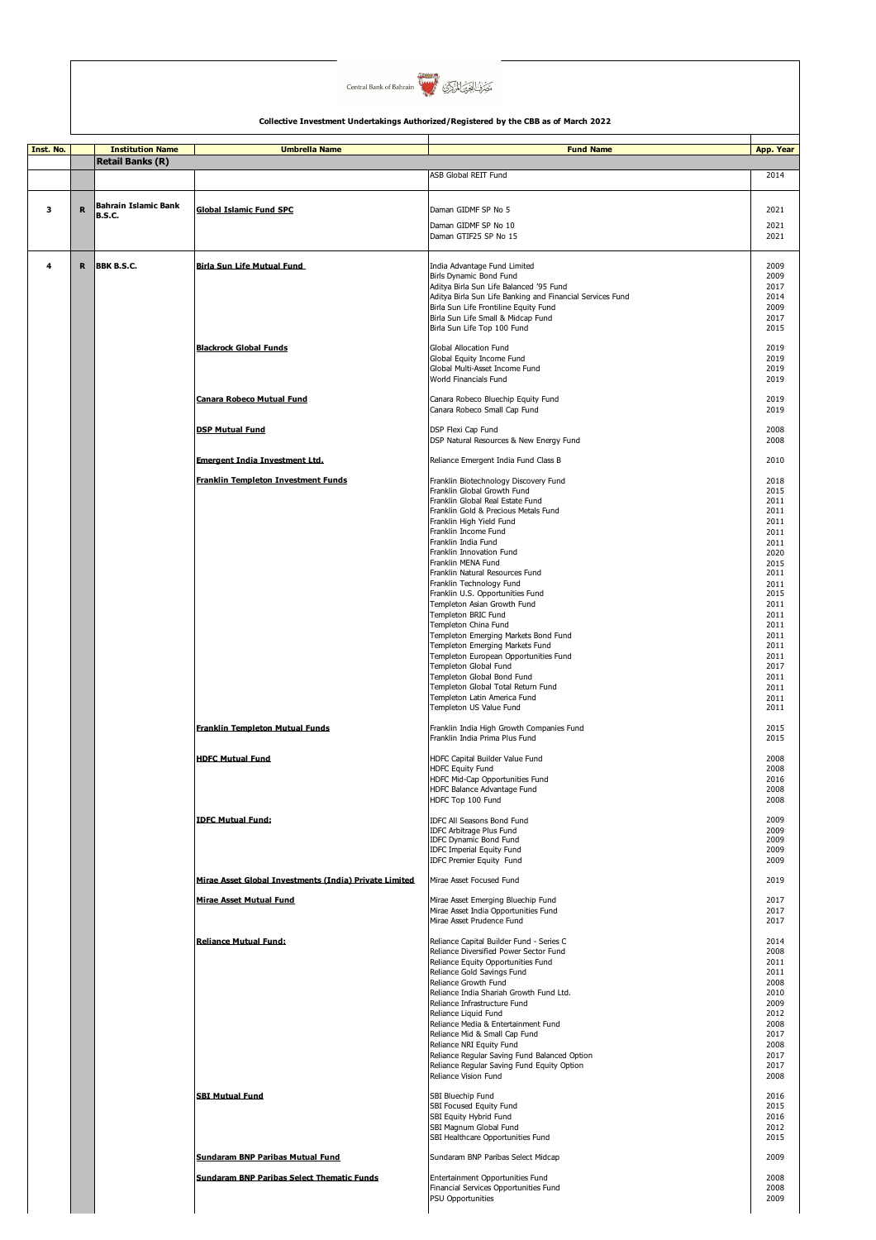

| Inst. No. |             | <b>Institution Name</b> | <b>Umbrella Name</b>                                   | <b>Fund Name</b>                                                                                   | App. Year    |
|-----------|-------------|-------------------------|--------------------------------------------------------|----------------------------------------------------------------------------------------------------|--------------|
|           |             | Retail Banks (R)        |                                                        |                                                                                                    |              |
|           |             |                         |                                                        | ASB Global REIT Fund                                                                               | 2014         |
|           |             |                         |                                                        |                                                                                                    |              |
| з         | $\mathbf R$ | Bahrain Islamic Bank    | <b>Global Islamic Fund SPC</b>                         | Daman GIDMF SP No 5                                                                                | 2021         |
|           |             | <b>B.S.C.</b>           |                                                        |                                                                                                    |              |
|           |             |                         |                                                        | Daman GIDMF SP No 10<br>Daman GTIF25 SP No 15                                                      | 2021<br>2021 |
|           |             |                         |                                                        |                                                                                                    |              |
|           |             |                         |                                                        |                                                                                                    |              |
| 4         | R           | BBK B.S.C.              | Birla Sun Life Mutual Fund                             | India Advantage Fund Limited                                                                       | 2009         |
|           |             |                         |                                                        | Birls Dynamic Bond Fund                                                                            | 2009         |
|           |             |                         |                                                        | Aditya Birla Sun Life Balanced '95 Fund                                                            | 2017<br>2014 |
|           |             |                         |                                                        | Aditya Birla Sun Life Banking and Financial Services Fund<br>Birla Sun Life Frontiline Equity Fund | 2009         |
|           |             |                         |                                                        | Birla Sun Life Small & Midcap Fund                                                                 | 2017         |
|           |             |                         |                                                        | Birla Sun Life Top 100 Fund                                                                        | 2015         |
|           |             |                         |                                                        |                                                                                                    |              |
|           |             |                         | <b>Blackrock Global Funds</b>                          | Global Allocation Fund                                                                             | 2019         |
|           |             |                         |                                                        | Global Equity Income Fund                                                                          | 2019         |
|           |             |                         |                                                        | Global Multi-Asset Income Fund<br>World Financials Fund                                            | 2019<br>2019 |
|           |             |                         |                                                        |                                                                                                    |              |
|           |             |                         | Canara Robeco Mutual Fund                              | Canara Robeco Bluechip Equity Fund                                                                 | 2019         |
|           |             |                         |                                                        | Canara Robeco Small Cap Fund                                                                       | 2019         |
|           |             |                         |                                                        |                                                                                                    |              |
|           |             |                         | <b>DSP Mutual Fund</b>                                 | DSP Flexi Cap Fund<br>DSP Natural Resources & New Energy Fund                                      | 2008<br>2008 |
|           |             |                         |                                                        |                                                                                                    |              |
|           |             |                         | <b>Emergent India Investment Ltd.</b>                  | Reliance Emergent India Fund Class B                                                               | 2010         |
|           |             |                         |                                                        |                                                                                                    |              |
|           |             |                         | <b>Franklin Templeton Investment Funds</b>             | Franklin Biotechnology Discovery Fund                                                              | 2018         |
|           |             |                         |                                                        | Franklin Global Growth Fund<br>Franklin Global Real Estate Fund                                    | 2015<br>2011 |
|           |             |                         |                                                        | Franklin Gold & Precious Metals Fund                                                               | 2011         |
|           |             |                         |                                                        | Franklin High Yield Fund                                                                           | 2011         |
|           |             |                         |                                                        | Franklin Income Fund                                                                               | 2011         |
|           |             |                         |                                                        | Franklin India Fund                                                                                | 2011         |
|           |             |                         |                                                        | Franklin Innovation Fund                                                                           | 2020         |
|           |             |                         |                                                        | Franklin MENA Fund                                                                                 | 2015         |
|           |             |                         |                                                        | Franklin Natural Resources Fund                                                                    | 2011         |
|           |             |                         |                                                        | Franklin Technology Fund                                                                           | 2011         |
|           |             |                         |                                                        | Franklin U.S. Opportunities Fund                                                                   | 2015         |
|           |             |                         |                                                        | Templeton Asian Growth Fund                                                                        | 2011         |
|           |             |                         |                                                        | Templeton BRIC Fund                                                                                | 2011         |
|           |             |                         |                                                        | Templeton China Fund                                                                               | 2011         |
|           |             |                         |                                                        | Templeton Emerging Markets Bond Fund<br>Templeton Emerging Markets Fund                            | 2011<br>2011 |
|           |             |                         |                                                        | Templeton European Opportunities Fund                                                              | 2011         |
|           |             |                         |                                                        | Templeton Global Fund                                                                              | 2017         |
|           |             |                         |                                                        | Templeton Global Bond Fund                                                                         | 2011         |
|           |             |                         |                                                        | Templeton Global Total Return Fund                                                                 | 2011         |
|           |             |                         |                                                        | Templeton Latin America Fund                                                                       | 2011         |
|           |             |                         |                                                        | Templeton US Value Fund                                                                            | 2011         |
|           |             |                         |                                                        |                                                                                                    |              |
|           |             |                         | <b>Franklin Templeton Mutual Funds</b>                 | Franklin India High Growth Companies Fund<br>Franklin India Prima Plus Fund                        | 2015<br>2015 |
|           |             |                         |                                                        |                                                                                                    |              |
|           |             |                         | <b>HDFC Mutual Fund</b>                                | HDFC Capital Builder Value Fund                                                                    | 2008         |
|           |             |                         |                                                        | HDFC Equity Fund                                                                                   | 2008         |
|           |             |                         |                                                        | HDFC Mid-Cap Opportunities Fund                                                                    | 2016         |
|           |             |                         |                                                        | HDFC Balance Advantage Fund                                                                        | 2008         |
|           |             |                         |                                                        | HDFC Top 100 Fund                                                                                  | 2008         |
|           |             |                         | <b>IDFC Mutual Fund:</b>                               | <b>IDFC All Seasons Bond Fund</b>                                                                  | 2009         |
|           |             |                         |                                                        | IDFC Arbitrage Plus Fund                                                                           | 2009         |
|           |             |                         |                                                        | <b>IDFC Dynamic Bond Fund</b>                                                                      | 2009         |
|           |             |                         |                                                        | IDFC Imperial Equity Fund                                                                          | 2009         |
|           |             |                         |                                                        | IDFC Premier Equity Fund                                                                           | 2009         |
|           |             |                         | Mirae Asset Global Investments (India) Private Limited | Mirae Asset Focused Fund                                                                           | 2019         |
|           |             |                         |                                                        |                                                                                                    |              |
|           |             |                         | <b>Mirae Asset Mutual Fund</b>                         | Mirae Asset Emerging Bluechip Fund                                                                 | 2017         |
|           |             |                         |                                                        | Mirae Asset India Opportunities Fund                                                               | 2017         |
|           |             |                         |                                                        | Mirae Asset Prudence Fund                                                                          | 2017         |
|           |             |                         | <b>Reliance Mutual Fund:</b>                           | Reliance Capital Builder Fund - Series C                                                           | 2014         |
|           |             |                         |                                                        | Reliance Diversified Power Sector Fund                                                             | 2008         |
|           |             |                         |                                                        | Reliance Equity Opportunities Fund                                                                 | 2011         |
|           |             |                         |                                                        | Reliance Gold Savings Fund                                                                         | 2011         |
|           |             |                         |                                                        | Reliance Growth Fund                                                                               | 2008         |
|           |             |                         |                                                        | Reliance India Shariah Growth Fund Ltd.                                                            | 2010         |
|           |             |                         |                                                        | Reliance Infrastructure Fund                                                                       | 2009         |
|           |             |                         |                                                        | Reliance Liquid Fund                                                                               | 2012         |
|           |             |                         |                                                        | Reliance Media & Entertainment Fund<br>Reliance Mid & Small Cap Fund                               | 2008<br>2017 |
|           |             |                         |                                                        | Reliance NRI Equity Fund                                                                           | 2008         |
|           |             |                         |                                                        | Reliance Regular Saving Fund Balanced Option                                                       | 2017         |
|           |             |                         |                                                        | Reliance Regular Saving Fund Equity Option                                                         | 2017         |
|           |             |                         |                                                        | Reliance Vision Fund                                                                               | 2008         |
|           |             |                         |                                                        |                                                                                                    |              |
|           |             |                         | <b>SBI Mutual Fund</b>                                 | SBI Bluechip Fund                                                                                  | 2016         |
|           |             |                         |                                                        | SBI Focused Equity Fund                                                                            | 2015         |
|           |             |                         |                                                        | SBI Equity Hybrid Fund                                                                             | 2016         |
|           |             |                         |                                                        | SBI Magnum Global Fund<br>SBI Healthcare Opportunities Fund                                        | 2012<br>2015 |
|           |             |                         |                                                        |                                                                                                    |              |
|           |             |                         | Sundaram BNP Paribas Mutual Fund                       | Sundaram BNP Paribas Select Midcap                                                                 | 2009         |
|           |             |                         |                                                        |                                                                                                    |              |
|           |             |                         | <b>Sundaram BNP Paribas Select Thematic Funds</b>      | Entertainment Opportunities Fund                                                                   | 2008         |
|           |             |                         |                                                        | Financial Services Opportunities Fund                                                              | 2008         |
|           |             |                         |                                                        | <b>PSU Opportunities</b>                                                                           | 2009         |
|           |             |                         |                                                        |                                                                                                    |              |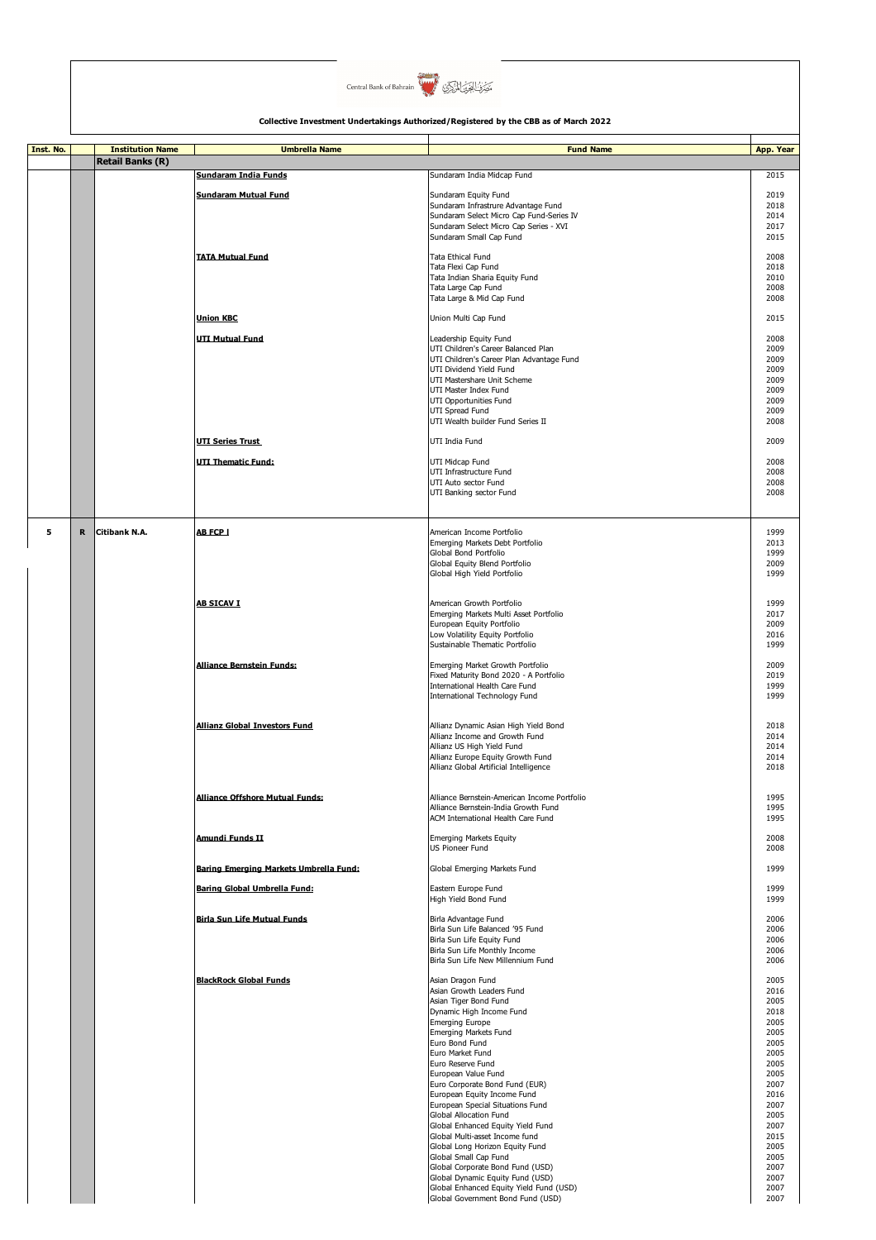

| Inst. No. |             | <b>Institution Name</b> | <b>Umbrella Name</b>                   | <b>Fund Name</b>                                                             | App. Year    |
|-----------|-------------|-------------------------|----------------------------------------|------------------------------------------------------------------------------|--------------|
|           |             | <b>Retail Banks (R)</b> |                                        |                                                                              |              |
|           |             |                         | Sundaram India Funds                   | Sundaram India Midcap Fund                                                   | 2015         |
|           |             |                         | <b>Sundaram Mutual Fund</b>            | Sundaram Equity Fund                                                         | 2019         |
|           |             |                         |                                        | Sundaram Infrastrure Advantage Fund                                          | 2018         |
|           |             |                         |                                        | Sundaram Select Micro Cap Fund-Series IV                                     | 2014         |
|           |             |                         |                                        | Sundaram Select Micro Cap Series - XVI<br>Sundaram Small Cap Fund            | 2017<br>2015 |
|           |             |                         |                                        |                                                                              |              |
|           |             |                         | <b>TATA Mutual Fund</b>                | <b>Tata Ethical Fund</b><br>Tata Flexi Cap Fund                              | 2008<br>2018 |
|           |             |                         |                                        | Tata Indian Sharia Equity Fund                                               | 2010         |
|           |             |                         |                                        | Tata Large Cap Fund                                                          | 2008         |
|           |             |                         |                                        | Tata Large & Mid Cap Fund                                                    | 2008         |
|           |             |                         | <b>Union KBC</b>                       | Union Multi Cap Fund                                                         | 2015         |
|           |             |                         |                                        |                                                                              |              |
|           |             |                         | <b>UTI Mutual Fund</b>                 | Leadership Equity Fund<br>UTI Children's Career Balanced Plan                | 2008<br>2009 |
|           |             |                         |                                        | UTI Children's Career Plan Advantage Fund                                    | 2009         |
|           |             |                         |                                        | UTI Dividend Yield Fund                                                      | 2009         |
|           |             |                         |                                        | UTI Mastershare Unit Scheme<br>UTI Master Index Fund                         | 2009<br>2009 |
|           |             |                         |                                        | UTI Opportunities Fund                                                       | 2009         |
|           |             |                         |                                        | UTI Spread Fund                                                              | 2009         |
|           |             |                         |                                        | UTI Wealth builder Fund Series II                                            | 2008         |
|           |             |                         | <b>UTI Series Trust</b>                | UTI India Fund                                                               | 2009         |
|           |             |                         |                                        |                                                                              |              |
|           |             |                         | <b>UTI Thematic Fund:</b>              | UTI Midcap Fund<br>UTI Infrastructure Fund                                   | 2008<br>2008 |
|           |             |                         |                                        | UTI Auto sector Fund                                                         | 2008         |
|           |             |                         |                                        | UTI Banking sector Fund                                                      | 2008         |
|           |             |                         |                                        |                                                                              |              |
|           |             |                         |                                        |                                                                              |              |
| 5         | $\mathbf R$ | Citibank N.A.           | <b>AB FCP I</b>                        | American Income Portfolio                                                    | 1999<br>2013 |
|           |             |                         |                                        | Emerging Markets Debt Portfolio<br>Global Bond Portfolio                     | 1999         |
|           |             |                         |                                        | Global Equity Blend Portfolio                                                | 2009         |
|           |             |                         |                                        | Global High Yield Portfolio                                                  | 1999         |
|           |             |                         |                                        |                                                                              |              |
|           |             |                         | <b>AB SICAV I</b>                      | American Growth Portfolio                                                    | 1999         |
|           |             |                         |                                        | Emerging Markets Multi Asset Portfolio<br>European Equity Portfolio          | 2017<br>2009 |
|           |             |                         |                                        | Low Volatility Equity Portfolio                                              | 2016         |
|           |             |                         |                                        | Sustainable Thematic Portfolio                                               | 1999         |
|           |             |                         | <b>Alliance Bernstein Funds:</b>       | Emerging Market Growth Portfolio                                             | 2009         |
|           |             |                         |                                        | Fixed Maturity Bond 2020 - A Portfolio                                       | 2019         |
|           |             |                         |                                        | International Health Care Fund                                               | 1999         |
|           |             |                         |                                        | International Technology Fund                                                | 1999         |
|           |             |                         |                                        |                                                                              |              |
|           |             |                         | <b>Allianz Global Investors Fund</b>   | Allianz Dynamic Asian High Yield Bond                                        | 2018         |
|           |             |                         |                                        | Allianz Income and Growth Fund<br>Allianz US High Yield Fund                 | 2014<br>2014 |
|           |             |                         |                                        | Allianz Europe Equity Growth Fund                                            | 2014         |
|           |             |                         |                                        | Allianz Global Artificial Intelligence                                       | 2018         |
|           |             |                         |                                        |                                                                              |              |
|           |             |                         | Alliance Offshore Mutual Funds:        | Alliance Bernstein-American Income Portfolio                                 | 1995         |
|           |             |                         |                                        | Alliance Bernstein-India Growth Fund                                         | 1995         |
|           |             |                         |                                        | ACM International Health Care Fund                                           | 1995         |
|           |             |                         | Amundi Funds II                        | <b>Emerging Markets Equity</b>                                               | 2008         |
|           |             |                         |                                        | <b>US Pioneer Fund</b>                                                       | 2008         |
|           |             |                         | Baring Emerging Markets Umbrella Fund: | Global Emerging Markets Fund                                                 | 1999         |
|           |             |                         |                                        |                                                                              |              |
|           |             |                         | Baring Global Umbrella Fund:           | Eastern Europe Fund<br>High Yield Bond Fund                                  | 1999<br>1999 |
|           |             |                         |                                        |                                                                              |              |
|           |             |                         | <b>Birla Sun Life Mutual Funds</b>     | Birla Advantage Fund<br>Birla Sun Life Balanced '95 Fund                     | 2006<br>2006 |
|           |             |                         |                                        | Birla Sun Life Equity Fund                                                   | 2006         |
|           |             |                         |                                        | Birla Sun Life Monthly Income                                                | 2006         |
|           |             |                         |                                        | Birla Sun Life New Millennium Fund                                           | 2006         |
|           |             |                         | <b>BlackRock Global Funds</b>          | Asian Dragon Fund                                                            | 2005         |
|           |             |                         |                                        | Asian Growth Leaders Fund                                                    | 2016         |
|           |             |                         |                                        | Asian Tiger Bond Fund<br>Dynamic High Income Fund                            | 2005<br>2018 |
|           |             |                         |                                        | <b>Emerging Europe</b>                                                       | 2005         |
|           |             |                         |                                        | Emerging Markets Fund                                                        | 2005         |
|           |             |                         |                                        | Euro Bond Fund<br>Euro Market Fund                                           | 2005<br>2005 |
|           |             |                         |                                        | Euro Reserve Fund                                                            | 2005         |
|           |             |                         |                                        | European Value Fund                                                          | 2005         |
|           |             |                         |                                        | Euro Corporate Bond Fund (EUR)                                               | 2007         |
|           |             |                         |                                        | European Equity Income Fund<br>European Special Situations Fund              | 2016<br>2007 |
|           |             |                         |                                        | Global Allocation Fund                                                       | 2005         |
|           |             |                         |                                        | Global Enhanced Equity Yield Fund                                            | 2007         |
|           |             |                         |                                        | Global Multi-asset Income fund<br>Global Long Horizon Equity Fund            | 2015<br>2005 |
|           |             |                         |                                        | Global Small Cap Fund                                                        | 2005         |
|           |             |                         |                                        | Global Corporate Bond Fund (USD)                                             | 2007         |
|           |             |                         |                                        | Global Dynamic Equity Fund (USD)                                             | 2007         |
|           |             |                         |                                        | Global Enhanced Equity Yield Fund (USD)<br>Global Government Bond Fund (USD) | 2007<br>2007 |
|           |             |                         |                                        |                                                                              |              |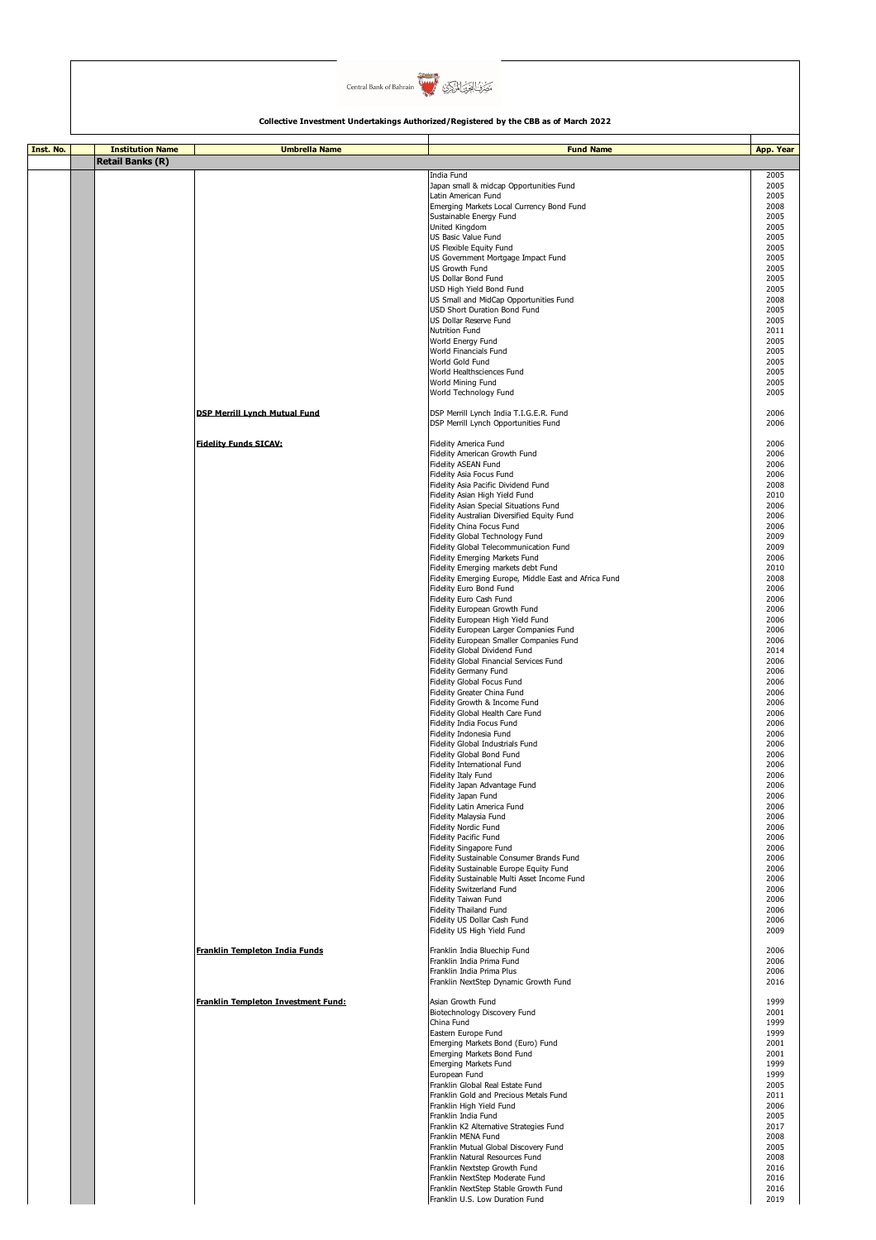

| Inst. No. | <b>Institution Name</b> | <b>Umbrella Name</b>                 | <b>Fund Name</b>                                                                 | App. Year    |
|-----------|-------------------------|--------------------------------------|----------------------------------------------------------------------------------|--------------|
|           | <b>Retail Banks (R)</b> |                                      |                                                                                  |              |
|           |                         |                                      | India Fund                                                                       | 2005         |
|           |                         |                                      | Japan small & midcap Opportunities Fund                                          | 2005         |
|           |                         |                                      | Latin American Fund<br>Emerging Markets Local Currency Bond Fund                 | 2005<br>2008 |
|           |                         |                                      | Sustainable Energy Fund                                                          | 2005         |
|           |                         |                                      | United Kingdom<br>US Basic Value Fund                                            | 2005<br>2005 |
|           |                         |                                      | US Flexible Equity Fund                                                          | 2005         |
|           |                         |                                      | US Government Mortgage Impact Fund                                               | 2005         |
|           |                         |                                      | <b>US Growth Fund</b><br>US Dollar Bond Fund                                     | 2005<br>2005 |
|           |                         |                                      | USD High Yield Bond Fund                                                         | 2005         |
|           |                         |                                      | US Small and MidCap Opportunities Fund                                           | 2008         |
|           |                         |                                      | USD Short Duration Bond Fund<br>US Dollar Reserve Fund                           | 2005<br>2005 |
|           |                         |                                      | Nutrition Fund                                                                   | 2011         |
|           |                         |                                      | World Energy Fund                                                                | 2005         |
|           |                         |                                      | World Financials Fund<br>World Gold Fund                                         | 2005<br>2005 |
|           |                         |                                      | World Healthsciences Fund                                                        | 2005         |
|           |                         |                                      | World Mining Fund<br>World Technology Fund                                       | 2005<br>2005 |
|           |                         |                                      |                                                                                  |              |
|           |                         | <b>DSP Merrill Lynch Mutual Fund</b> | DSP Merrill Lynch India T.I.G.E.R. Fund                                          | 2006         |
|           |                         |                                      | DSP Merrill Lynch Opportunities Fund                                             | 2006         |
|           |                         | <b>Fidelity Funds SICAV:</b>         | Fidelity America Fund                                                            | 2006         |
|           |                         |                                      | Fidelity American Growth Fund<br>Fidelity ASEAN Fund                             | 2006<br>2006 |
|           |                         |                                      | Fidelity Asia Focus Fund                                                         | 2006         |
|           |                         |                                      | Fidelity Asia Pacific Dividend Fund                                              | 2008         |
|           |                         |                                      | Fidelity Asian High Yield Fund<br>Fidelity Asian Special Situations Fund         | 2010<br>2006 |
|           |                         |                                      | Fidelity Australian Diversified Equity Fund                                      | 2006         |
|           |                         |                                      | Fidelity China Focus Fund                                                        | 2006         |
|           |                         |                                      | Fidelity Global Technology Fund<br>Fidelity Global Telecommunication Fund        | 2009<br>2009 |
|           |                         |                                      | Fidelity Emerging Markets Fund                                                   | 2006         |
|           |                         |                                      | Fidelity Emerging markets debt Fund                                              | 2010         |
|           |                         |                                      | Fidelity Emerging Europe, Middle East and Africa Fund<br>Fidelity Euro Bond Fund | 2008<br>2006 |
|           |                         |                                      | Fidelity Euro Cash Fund                                                          | 2006         |
|           |                         |                                      | Fidelity European Growth Fund<br>Fidelity European High Yield Fund               | 2006<br>2006 |
|           |                         |                                      | Fidelity European Larger Companies Fund                                          | 2006         |
|           |                         |                                      | Fidelity European Smaller Companies Fund                                         | 2006         |
|           |                         |                                      | Fidelity Global Dividend Fund<br>Fidelity Global Financial Services Fund         | 2014<br>2006 |
|           |                         |                                      | Fidelity Germany Fund                                                            | 2006         |
|           |                         |                                      | Fidelity Global Focus Fund                                                       | 2006         |
|           |                         |                                      | Fidelity Greater China Fund<br>Fidelity Growth & Income Fund                     | 2006<br>2006 |
|           |                         |                                      | Fidelity Global Health Care Fund                                                 | 2006         |
|           |                         |                                      | Fidelity India Focus Fund                                                        | 2006         |
|           |                         |                                      | Fidelity Indonesia Fund<br>Fidelity Global Industrials Fund                      | 2006<br>2006 |
|           |                         |                                      | Fidelity Global Bond Fund                                                        | 2006         |
|           |                         |                                      | Fidelity International Fund                                                      | 2006         |
|           |                         |                                      | Fidelity Italy Fund<br>Fidelity Japan Advantage Fund                             | 2006<br>2006 |
|           |                         |                                      | Fidelity Japan Fund                                                              | 2006         |
|           |                         |                                      | Fidelity Latin America Fund                                                      | 2006<br>2006 |
|           |                         |                                      | Fidelity Malaysia Fund<br>Fidelity Nordic Fund                                   | 2006         |
|           |                         |                                      | Fidelity Pacific Fund                                                            | 2006         |
|           |                         |                                      | Fidelity Singapore Fund<br>Fidelity Sustainable Consumer Brands Fund             | 2006<br>2006 |
|           |                         |                                      | Fidelity Sustainable Europe Equity Fund                                          | 2006         |
|           |                         |                                      | Fidelity Sustainable Multi Asset Income Fund                                     | 2006         |
|           |                         |                                      | Fidelity Switzerland Fund<br>Fidelity Taiwan Fund                                | 2006<br>2006 |
|           |                         |                                      | Fidelity Thailand Fund                                                           | 2006         |
|           |                         |                                      | Fidelity US Dollar Cash Fund<br>Fidelity US High Yield Fund                      | 2006<br>2009 |
|           |                         |                                      |                                                                                  |              |
|           |                         | Franklin Templeton India Funds       | Franklin India Bluechip Fund<br>Franklin India Prima Fund                        | 2006         |
|           |                         |                                      | Franklin India Prima Plus                                                        | 2006<br>2006 |
|           |                         |                                      | Franklin NextStep Dynamic Growth Fund                                            | 2016         |
|           |                         | Franklin Templeton Investment Fund:  | Asian Growth Fund                                                                | 1999         |
|           |                         |                                      | Biotechnology Discovery Fund                                                     | 2001         |
|           |                         |                                      | China Fund                                                                       | 1999         |
|           |                         |                                      | Eastern Europe Fund<br>Emerging Markets Bond (Euro) Fund                         | 1999<br>2001 |
|           |                         |                                      | Emerging Markets Bond Fund                                                       | 2001         |
|           |                         |                                      | Emerging Markets Fund                                                            | 1999         |
|           |                         |                                      | European Fund<br>Franklin Global Real Estate Fund                                | 1999<br>2005 |
|           |                         |                                      | Franklin Gold and Precious Metals Fund                                           | 2011         |
|           |                         |                                      | Franklin High Yield Fund<br>Franklin India Fund                                  | 2006<br>2005 |
|           |                         |                                      | Franklin K2 Alternative Strategies Fund                                          | 2017         |
|           |                         |                                      | Franklin MENA Fund                                                               | 2008         |
|           |                         |                                      | Franklin Mutual Global Discovery Fund<br>Franklin Natural Resources Fund         | 2005<br>2008 |
|           |                         |                                      | Franklin Nextstep Growth Fund                                                    | 2016         |
|           |                         |                                      | Franklin NextStep Moderate Fund                                                  | 2016         |
|           |                         |                                      | Franklin NextStep Stable Growth Fund<br>Franklin U.S. Low Duration Fund          | 2016<br>2019 |
|           |                         |                                      |                                                                                  |              |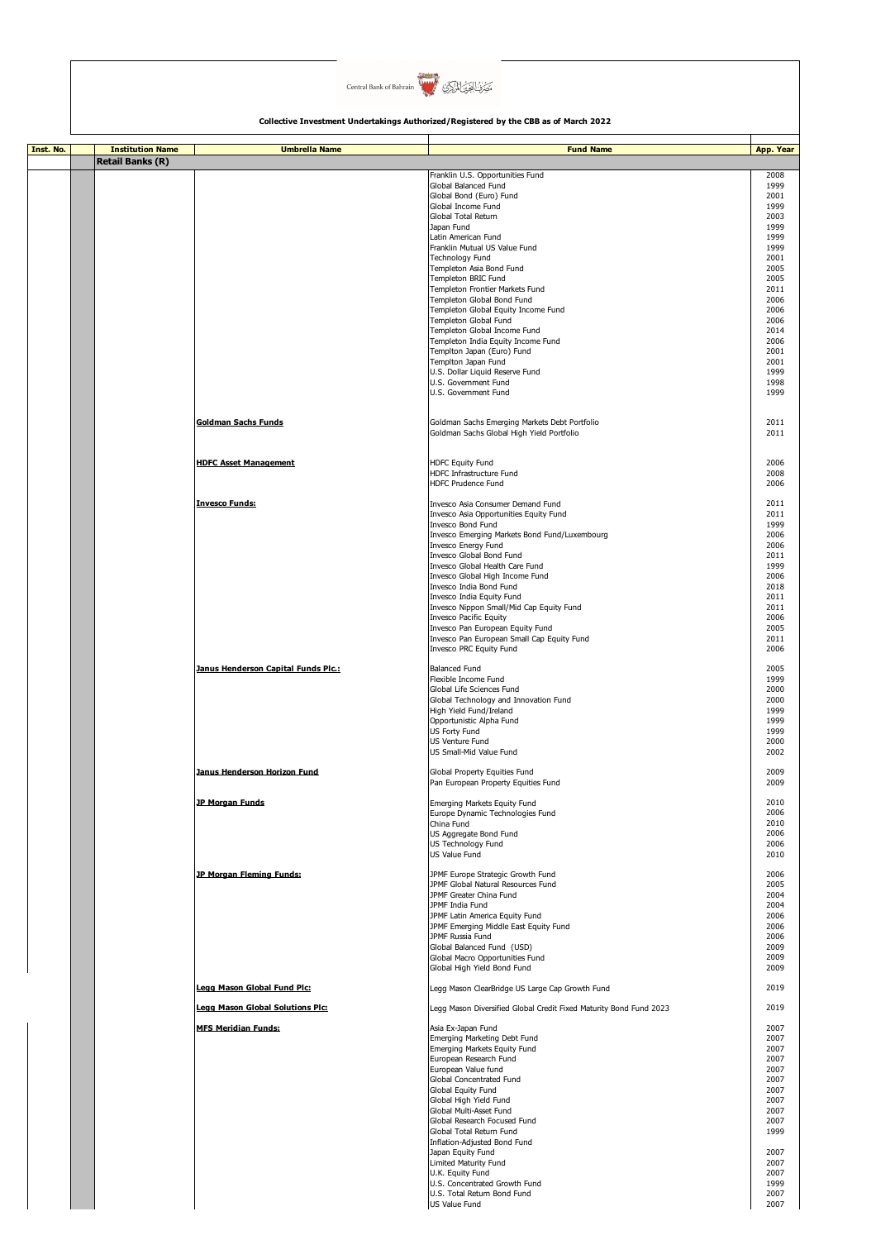

| Inst. No. | <b>Institution Name</b> | <b>Umbrella Name</b>                | <b>Fund Name</b>                                                                           | App. Year    |
|-----------|-------------------------|-------------------------------------|--------------------------------------------------------------------------------------------|--------------|
|           | <b>Retail Banks (R)</b> |                                     |                                                                                            |              |
|           |                         |                                     | Franklin U.S. Opportunities Fund<br>Global Balanced Fund                                   | 2008<br>1999 |
|           |                         |                                     | Global Bond (Euro) Fund<br>Global Income Fund                                              | 2001<br>1999 |
|           |                         |                                     | Global Total Return                                                                        | 2003         |
|           |                         |                                     | Japan Fund<br>Latin American Fund                                                          | 1999<br>1999 |
|           |                         |                                     | Franklin Mutual US Value Fund                                                              | 1999         |
|           |                         |                                     | Technology Fund<br>Templeton Asia Bond Fund                                                | 2001<br>2005 |
|           |                         |                                     | Templeton BRIC Fund                                                                        | 2005         |
|           |                         |                                     | Templeton Frontier Markets Fund<br>Templeton Global Bond Fund                              | 2011<br>2006 |
|           |                         |                                     | Templeton Global Equity Income Fund<br>Templeton Global Fund                               | 2006         |
|           |                         |                                     | Templeton Global Income Fund                                                               | 2006<br>2014 |
|           |                         |                                     | Templeton India Equity Income Fund<br>Templton Japan (Euro) Fund                           | 2006<br>2001 |
|           |                         |                                     | Templton Japan Fund                                                                        | 2001         |
|           |                         |                                     | U.S. Dollar Liquid Reserve Fund<br>U.S. Government Fund                                    | 1999<br>1998 |
|           |                         |                                     | U.S. Government Fund                                                                       | 1999         |
|           |                         | <b>Goldman Sachs Funds</b>          | Goldman Sachs Emerging Markets Debt Portfolio<br>Goldman Sachs Global High Yield Portfolio | 2011<br>2011 |
|           |                         | <b>HDFC Asset Management</b>        | <b>HDFC Equity Fund</b>                                                                    | 2006         |
|           |                         |                                     | HDFC Infrastructure Fund<br><b>HDFC Prudence Fund</b>                                      | 2008<br>2006 |
|           |                         | <b>Invesco Funds:</b>               | Invesco Asia Consumer Demand Fund<br>Invesco Asia Opportunities Equity Fund                | 2011<br>2011 |
|           |                         |                                     | Invesco Bond Fund                                                                          | 1999         |
|           |                         |                                     | Invesco Emerging Markets Bond Fund/Luxembourg<br>Invesco Energy Fund                       | 2006<br>2006 |
|           |                         |                                     | Invesco Global Bond Fund                                                                   | 2011         |
|           |                         |                                     | Invesco Global Health Care Fund<br>Invesco Global High Income Fund                         | 1999<br>2006 |
|           |                         |                                     | Invesco India Bond Fund<br>Invesco India Equity Fund                                       | 2018<br>2011 |
|           |                         |                                     | Invesco Nippon Small/Mid Cap Equity Fund                                                   | 2011         |
|           |                         |                                     | Invesco Pacific Equity<br>Invesco Pan European Equity Fund                                 | 2006<br>2005 |
|           |                         |                                     | Invesco Pan European Small Cap Equity Fund                                                 | 2011         |
|           |                         |                                     | Invesco PRC Equity Fund                                                                    | 2006         |
|           |                         | Janus Henderson Capital Funds Plc.: | <b>Balanced Fund</b><br>Flexible Income Fund                                               | 2005<br>1999 |
|           |                         |                                     | Global Life Sciences Fund                                                                  | 2000         |
|           |                         |                                     | Global Technology and Innovation Fund<br>High Yield Fund/Ireland                           | 2000<br>1999 |
|           |                         |                                     | Opportunistic Alpha Fund                                                                   | 1999         |
|           |                         |                                     | US Forty Fund<br>US Venture Fund                                                           | 1999<br>2000 |
|           |                         |                                     | US Small-Mid Value Fund                                                                    | 2002         |
|           |                         | Janus Henderson Horizon Fund        | Global Property Equities Fund<br>Pan European Property Equities Fund                       | 2009<br>2009 |
|           |                         | <b>JP Morgan Funds</b>              | Emerging Markets Equity Fund                                                               | 2010         |
|           |                         |                                     | Europe Dynamic Technologies Fund<br>China Fund                                             | 2006<br>2010 |
|           |                         |                                     | US Aggregate Bond Fund                                                                     | 2006         |
|           |                         |                                     | US Technology Fund<br>US Value Fund                                                        | 2006<br>2010 |
|           |                         | JP Morgan Fleming Funds:            | JPMF Europe Strategic Growth Fund                                                          | 2006         |
|           |                         |                                     | JPMF Global Natural Resources Fund                                                         | 2005         |
|           |                         |                                     | JPMF Greater China Fund<br>JPMF India Fund                                                 | 2004<br>2004 |
|           |                         |                                     | JPMF Latin America Equity Fund<br>JPMF Emerging Middle East Equity Fund                    | 2006<br>2006 |
|           |                         |                                     | JPMF Russia Fund                                                                           | 2006         |
|           |                         |                                     | Global Balanced Fund (USD)<br>Global Macro Opportunities Fund                              | 2009<br>2009 |
|           |                         |                                     | Global High Yield Bond Fund                                                                | 2009         |
|           |                         | Legg Mason Global Fund Plc:         | Legg Mason ClearBridge US Large Cap Growth Fund                                            | 2019         |
|           |                         | Legg Mason Global Solutions Plc:    | Legg Mason Diversified Global Credit Fixed Maturity Bond Fund 2023                         | 2019         |
|           |                         | <b>MFS Meridian Funds:</b>          | Asia Ex-Japan Fund<br>Emerging Marketing Debt Fund                                         | 2007<br>2007 |
|           |                         |                                     | Emerging Markets Equity Fund                                                               | 2007         |
|           |                         |                                     | European Research Fund<br>European Value fund                                              | 2007<br>2007 |
|           |                         |                                     | Global Concentrated Fund<br>Global Equity Fund                                             | 2007<br>2007 |
|           |                         |                                     | Global High Yield Fund                                                                     | 2007         |
|           |                         |                                     | Global Multi-Asset Fund<br>Global Research Focused Fund                                    | 2007<br>2007 |
|           |                         |                                     | Global Total Return Fund                                                                   | 1999         |
|           |                         |                                     | Inflation-Adjusted Bond Fund<br>Japan Equity Fund                                          | 2007         |
|           |                         |                                     | Limited Maturity Fund<br>U.K. Equity Fund                                                  | 2007<br>2007 |
|           |                         |                                     | U.S. Concentrated Growth Fund                                                              | 1999         |
|           |                         |                                     | U.S. Total Return Bond Fund<br>US Value Fund                                               | 2007<br>2007 |
|           |                         |                                     |                                                                                            |              |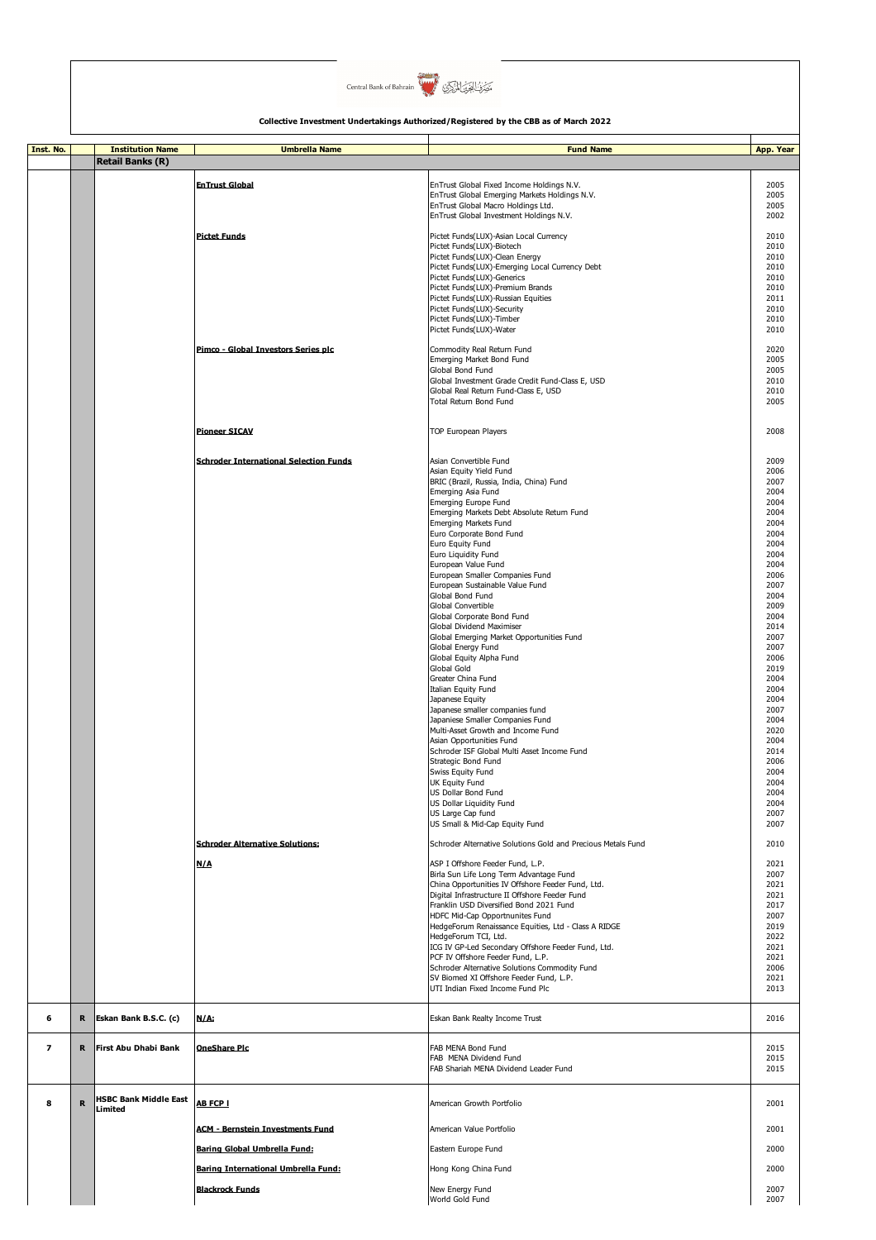

| Inst. No.                |   | <b>Institution Name</b>                 | <b>Umbrella Name</b>                          | <b>Fund Name</b>                                                             | App. Year    |
|--------------------------|---|-----------------------------------------|-----------------------------------------------|------------------------------------------------------------------------------|--------------|
|                          |   | <b>Retail Banks (R)</b>                 |                                               |                                                                              |              |
|                          |   |                                         | <b>EnTrust Global</b>                         | EnTrust Global Fixed Income Holdings N.V.                                    | 2005         |
|                          |   |                                         |                                               | EnTrust Global Emerging Markets Holdings N.V.                                | 2005         |
|                          |   |                                         |                                               | EnTrust Global Macro Holdings Ltd.                                           | 2005         |
|                          |   |                                         |                                               | EnTrust Global Investment Holdings N.V.                                      | 2002         |
|                          |   |                                         | <b>Pictet Funds</b>                           |                                                                              | 2010         |
|                          |   |                                         |                                               | Pictet Funds(LUX)-Asian Local Currency<br>Pictet Funds(LUX)-Biotech          | 2010         |
|                          |   |                                         |                                               | Pictet Funds(LUX)-Clean Energy                                               | 2010         |
|                          |   |                                         |                                               | Pictet Funds(LUX)-Emerging Local Currency Debt                               | 2010         |
|                          |   |                                         |                                               | Pictet Funds(LUX)-Generics                                                   | 2010         |
|                          |   |                                         |                                               | Pictet Funds(LUX)-Premium Brands                                             | 2010         |
|                          |   |                                         |                                               | Pictet Funds(LUX)-Russian Equities                                           | 2011         |
|                          |   |                                         |                                               | Pictet Funds(LUX)-Security<br>Pictet Funds(LUX)-Timber                       | 2010<br>2010 |
|                          |   |                                         |                                               | Pictet Funds(LUX)-Water                                                      | 2010         |
|                          |   |                                         |                                               |                                                                              |              |
|                          |   |                                         | Pimco - Global Investors Series plc           | Commodity Real Return Fund                                                   | 2020         |
|                          |   |                                         |                                               | Emerging Market Bond Fund                                                    | 2005         |
|                          |   |                                         |                                               | Global Bond Fund<br>Global Investment Grade Credit Fund-Class E, USD         | 2005<br>2010 |
|                          |   |                                         |                                               | Global Real Return Fund-Class E, USD                                         | 2010         |
|                          |   |                                         |                                               | Total Return Bond Fund                                                       | 2005         |
|                          |   |                                         |                                               |                                                                              |              |
|                          |   |                                         |                                               |                                                                              |              |
|                          |   |                                         | <b>Pioneer SICAV</b>                          | <b>TOP European Players</b>                                                  | 2008         |
|                          |   |                                         |                                               |                                                                              |              |
|                          |   |                                         | <b>Schroder International Selection Funds</b> | Asian Convertible Fund                                                       | 2009         |
|                          |   |                                         |                                               | Asian Equity Yield Fund                                                      | 2006         |
|                          |   |                                         |                                               | BRIC (Brazil, Russia, India, China) Fund                                     | 2007         |
|                          |   |                                         |                                               | Emerging Asia Fund<br><b>Emerging Europe Fund</b>                            | 2004<br>2004 |
|                          |   |                                         |                                               | Emerging Markets Debt Absolute Return Fund                                   | 2004         |
|                          |   |                                         |                                               | <b>Emerging Markets Fund</b>                                                 | 2004         |
|                          |   |                                         |                                               | Euro Corporate Bond Fund                                                     | 2004         |
|                          |   |                                         |                                               | Euro Equity Fund                                                             | 2004         |
|                          |   |                                         |                                               | Euro Liquidity Fund                                                          | 2004         |
|                          |   |                                         |                                               | European Value Fund                                                          | 2004         |
|                          |   |                                         |                                               | European Smaller Companies Fund<br>European Sustainable Value Fund           | 2006<br>2007 |
|                          |   |                                         |                                               | Global Bond Fund                                                             | 2004         |
|                          |   |                                         |                                               | Global Convertible                                                           | 2009         |
|                          |   |                                         |                                               | Global Corporate Bond Fund                                                   | 2004         |
|                          |   |                                         |                                               | Global Dividend Maximiser                                                    | 2014         |
|                          |   |                                         |                                               | Global Emerging Market Opportunities Fund                                    | 2007         |
|                          |   |                                         |                                               | Global Energy Fund<br>Global Equity Alpha Fund                               | 2007<br>2006 |
|                          |   |                                         |                                               | <b>Global Gold</b>                                                           | 2019         |
|                          |   |                                         |                                               | Greater China Fund                                                           | 2004         |
|                          |   |                                         |                                               | Italian Equity Fund                                                          | 2004         |
|                          |   |                                         |                                               | Japanese Equity                                                              | 2004         |
|                          |   |                                         |                                               | Japanese smaller companies fund                                              | 2007         |
|                          |   |                                         |                                               | Japaniese Smaller Companies Fund                                             | 2004         |
|                          |   |                                         |                                               | Multi-Asset Growth and Income Fund<br>Asian Opportunities Fund               | 2020<br>2004 |
|                          |   |                                         |                                               | Schroder ISF Global Multi Asset Income Fund                                  | 2014         |
|                          |   |                                         |                                               | Strategic Bond Fund                                                          | 2006         |
|                          |   |                                         |                                               | Swiss Equity Fund                                                            | 2004         |
|                          |   |                                         |                                               | UK Equity Fund                                                               | 2004         |
|                          |   |                                         |                                               | US Dollar Bond Fund                                                          | 2004         |
|                          |   |                                         |                                               | US Dollar Liquidity Fund<br>US Large Cap fund                                | 2004<br>2007 |
|                          |   |                                         |                                               | US Small & Mid-Cap Equity Fund                                               | 2007         |
|                          |   |                                         |                                               |                                                                              |              |
|                          |   |                                         | <b>Schroder Alternative Solutions:</b>        | Schroder Alternative Solutions Gold and Precious Metals Fund                 | 2010         |
|                          |   |                                         |                                               |                                                                              |              |
|                          |   |                                         | N/A                                           | ASP I Offshore Feeder Fund, L.P.<br>Birla Sun Life Long Term Advantage Fund  | 2021<br>2007 |
|                          |   |                                         |                                               | China Opportunities IV Offshore Feeder Fund, Ltd.                            | 2021         |
|                          |   |                                         |                                               | Digital Infrastructure II Offshore Feeder Fund                               | 2021         |
|                          |   |                                         |                                               | Franklin USD Diversified Bond 2021 Fund                                      | 2017         |
|                          |   |                                         |                                               | HDFC Mid-Cap Opportnunites Fund                                              | 2007         |
|                          |   |                                         |                                               | HedgeForum Renaissance Equities, Ltd - Class A RIDGE<br>HedgeForum TCI, Ltd. | 2019<br>2022 |
|                          |   |                                         |                                               | ICG IV GP-Led Secondary Offshore Feeder Fund, Ltd.                           | 2021         |
|                          |   |                                         |                                               | PCF IV Offshore Feeder Fund, L.P.                                            | 2021         |
|                          |   |                                         |                                               | Schroder Alternative Solutions Commodity Fund                                | 2006         |
|                          |   |                                         |                                               | SV Biomed XI Offshore Feeder Fund, L.P.                                      | 2021         |
|                          |   |                                         |                                               | UTI Indian Fixed Income Fund Plc                                             | 2013         |
|                          |   |                                         |                                               |                                                                              |              |
| 6                        | R | Eskan Bank B.S.C. (c)                   | N/A:                                          | Eskan Bank Realty Income Trust                                               | 2016         |
|                          |   |                                         |                                               |                                                                              |              |
| $\overline{\phantom{a}}$ | R | First Abu Dhabi Bank                    | <b>OneShare Plc</b>                           | FAB MENA Bond Fund                                                           | 2015         |
|                          |   |                                         |                                               | FAB MENA Dividend Fund                                                       | 2015         |
|                          |   |                                         |                                               | FAB Shariah MENA Dividend Leader Fund                                        | 2015         |
|                          |   |                                         |                                               |                                                                              |              |
| 8                        | R | <b>HSBC Bank Middle East</b><br>Limited | <b>AB FCP I</b>                               | American Growth Portfolio                                                    | 2001         |
|                          |   |                                         |                                               |                                                                              |              |
|                          |   |                                         | <b>ACM - Bernstein Investments Fund</b>       | American Value Portfolio                                                     | 2001         |
|                          |   |                                         |                                               |                                                                              |              |
|                          |   |                                         | <b>Baring Global Umbrella Fund:</b>           | Eastern Europe Fund                                                          | 2000         |
|                          |   |                                         | Baring International Umbrella Fund:           | Hong Kong China Fund                                                         | 2000         |
|                          |   |                                         |                                               |                                                                              |              |
|                          |   |                                         | <b>Blackrock Funds</b>                        | New Energy Fund                                                              | 2007         |
|                          |   |                                         |                                               | World Gold Fund                                                              | 2007         |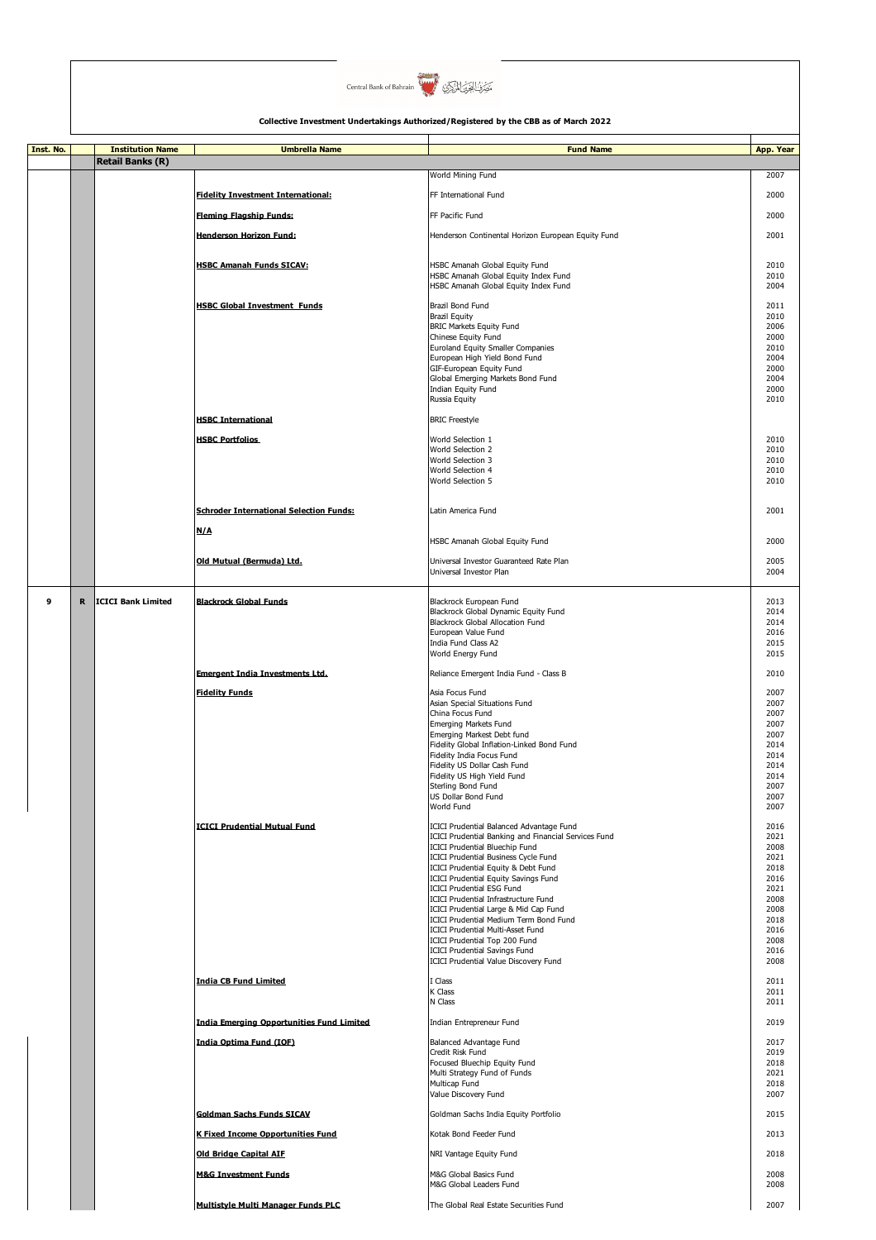

| Inst. No. |             | <b>Institution Name</b>   | <b>Umbrella Name</b>                                             | <b>Fund Name</b>                                                                                                                                                                                                                                                                                                                                                                                                                                                                                                                                                                                                          | App. Year                                                                                                    |
|-----------|-------------|---------------------------|------------------------------------------------------------------|---------------------------------------------------------------------------------------------------------------------------------------------------------------------------------------------------------------------------------------------------------------------------------------------------------------------------------------------------------------------------------------------------------------------------------------------------------------------------------------------------------------------------------------------------------------------------------------------------------------------------|--------------------------------------------------------------------------------------------------------------|
|           |             | <b>Retail Banks (R)</b>   |                                                                  | World Mining Fund                                                                                                                                                                                                                                                                                                                                                                                                                                                                                                                                                                                                         | 2007                                                                                                         |
|           |             |                           | <b>Fidelity Investment International:</b>                        | FF International Fund                                                                                                                                                                                                                                                                                                                                                                                                                                                                                                                                                                                                     | 2000                                                                                                         |
|           |             |                           |                                                                  |                                                                                                                                                                                                                                                                                                                                                                                                                                                                                                                                                                                                                           |                                                                                                              |
|           |             |                           | <b>Fleming Flagship Funds:</b>                                   | FF Pacific Fund                                                                                                                                                                                                                                                                                                                                                                                                                                                                                                                                                                                                           | 2000                                                                                                         |
|           |             |                           | <b>Henderson Horizon Fund:</b>                                   | Henderson Continental Horizon European Equity Fund                                                                                                                                                                                                                                                                                                                                                                                                                                                                                                                                                                        | 2001                                                                                                         |
|           |             |                           | <b>HSBC Amanah Funds SICAV:</b>                                  | HSBC Amanah Global Equity Fund<br>HSBC Amanah Global Equity Index Fund<br>HSBC Amanah Global Equity Index Fund                                                                                                                                                                                                                                                                                                                                                                                                                                                                                                            | 2010<br>2010<br>2004                                                                                         |
|           |             |                           | <b>HSBC Global Investment Funds</b><br><b>HSBC International</b> | Brazil Bond Fund<br><b>Brazil Equity</b><br><b>BRIC Markets Equity Fund</b><br>Chinese Equity Fund<br>Euroland Equity Smaller Companies<br>European High Yield Bond Fund<br>GIF-European Equity Fund<br>Global Emerging Markets Bond Fund<br>Indian Equity Fund<br>Russia Equity<br><b>BRIC Freestyle</b>                                                                                                                                                                                                                                                                                                                 | 2011<br>2010<br>2006<br>2000<br>2010<br>2004<br>2000<br>2004<br>2000<br>2010                                 |
|           |             |                           | <b>HSBC Portfolios</b>                                           | World Selection 1                                                                                                                                                                                                                                                                                                                                                                                                                                                                                                                                                                                                         | 2010                                                                                                         |
|           |             |                           |                                                                  | World Selection 2<br>World Selection 3<br>World Selection 4<br>World Selection 5                                                                                                                                                                                                                                                                                                                                                                                                                                                                                                                                          | 2010<br>2010<br>2010<br>2010                                                                                 |
|           |             |                           | <b>Schroder International Selection Funds:</b>                   | Latin America Fund                                                                                                                                                                                                                                                                                                                                                                                                                                                                                                                                                                                                        | 2001                                                                                                         |
|           |             |                           | N/A                                                              | HSBC Amanah Global Equity Fund                                                                                                                                                                                                                                                                                                                                                                                                                                                                                                                                                                                            | 2000                                                                                                         |
|           |             |                           | Old Mutual (Bermuda) Ltd.                                        | Universal Investor Guaranteed Rate Plan<br>Universal Investor Plan                                                                                                                                                                                                                                                                                                                                                                                                                                                                                                                                                        | 2005<br>2004                                                                                                 |
| 9         | $\mathbf R$ | <b>ICICI Bank Limited</b> | <b>Blackrock Global Funds</b>                                    | Blackrock European Fund<br>Blackrock Global Dynamic Equity Fund<br>Blackrock Global Allocation Fund<br>European Value Fund<br>India Fund Class A2<br>World Energy Fund                                                                                                                                                                                                                                                                                                                                                                                                                                                    | 2013<br>2014<br>2014<br>2016<br>2015<br>2015                                                                 |
|           |             |                           | <b>Emergent India Investments Ltd.</b>                           | Reliance Emergent India Fund - Class B                                                                                                                                                                                                                                                                                                                                                                                                                                                                                                                                                                                    | 2010                                                                                                         |
|           |             |                           | <b>Fidelity Funds</b>                                            | Asia Focus Fund<br>Asian Special Situations Fund<br>China Focus Fund<br><b>Emerging Markets Fund</b><br>Emerging Markest Debt fund<br>Fidelity Global Inflation-Linked Bond Fund<br>Fidelity India Focus Fund<br>Fidelity US Dollar Cash Fund<br>Fidelity US High Yield Fund<br>Sterling Bond Fund<br>US Dollar Bond Fund<br>World Fund                                                                                                                                                                                                                                                                                   | 2007<br>2007<br>2007<br>2007<br>2007<br>2014<br>2014<br>2014<br>2014<br>2007<br>2007<br>2007                 |
|           |             |                           | <b>ICICI Prudential Mutual Fund</b>                              | <b>ICICI Prudential Balanced Advantage Fund</b><br>ICICI Prudential Banking and Financial Services Fund<br><b>ICICI Prudential Bluechip Fund</b><br><b>ICICI Prudential Business Cycle Fund</b><br>ICICI Prudential Equity & Debt Fund<br><b>ICICI Prudential Equity Savings Fund</b><br><b>ICICI Prudential ESG Fund</b><br><b>ICICI Prudential Infrastructure Fund</b><br>ICICI Prudential Large & Mid Cap Fund<br>ICICI Prudential Medium Term Bond Fund<br><b>ICICI Prudential Multi-Asset Fund</b><br>ICICI Prudential Top 200 Fund<br><b>ICICI Prudential Savings Fund</b><br>ICICI Prudential Value Discovery Fund | 2016<br>2021<br>2008<br>2021<br>2018<br>2016<br>2021<br>2008<br>2008<br>2018<br>2016<br>2008<br>2016<br>2008 |
|           |             |                           | <b>India CB Fund Limited</b>                                     | I Class<br>K Class<br>N Class                                                                                                                                                                                                                                                                                                                                                                                                                                                                                                                                                                                             | 2011<br>2011<br>2011                                                                                         |
|           |             |                           | <b>India Emerging Opportunities Fund Limited</b>                 | Indian Entrepreneur Fund                                                                                                                                                                                                                                                                                                                                                                                                                                                                                                                                                                                                  | 2019                                                                                                         |
|           |             |                           | India Optima Fund (IOF)                                          | Balanced Advantage Fund<br>Credit Risk Fund<br>Focused Bluechip Equity Fund<br>Multi Strategy Fund of Funds<br>Multicap Fund<br>Value Discovery Fund                                                                                                                                                                                                                                                                                                                                                                                                                                                                      | 2017<br>2019<br>2018<br>2021<br>2018<br>2007                                                                 |
|           |             |                           | <b>Goldman Sachs Funds SICAV</b>                                 | Goldman Sachs India Equity Portfolio                                                                                                                                                                                                                                                                                                                                                                                                                                                                                                                                                                                      | 2015                                                                                                         |
|           |             |                           | <b>K Fixed Income Opportunities Fund</b>                         | Kotak Bond Feeder Fund                                                                                                                                                                                                                                                                                                                                                                                                                                                                                                                                                                                                    | 2013                                                                                                         |
|           |             |                           | <b>Old Bridge Capital AIF</b>                                    | NRI Vantage Equity Fund                                                                                                                                                                                                                                                                                                                                                                                                                                                                                                                                                                                                   | 2018                                                                                                         |
|           |             |                           | <b>M&amp;G Investment Funds</b>                                  | M&G Global Basics Fund<br>M&G Global Leaders Fund                                                                                                                                                                                                                                                                                                                                                                                                                                                                                                                                                                         | 2008<br>2008                                                                                                 |
|           |             |                           | Multistyle Multi Manager Funds PLC                               | The Global Real Estate Securities Fund                                                                                                                                                                                                                                                                                                                                                                                                                                                                                                                                                                                    | 2007                                                                                                         |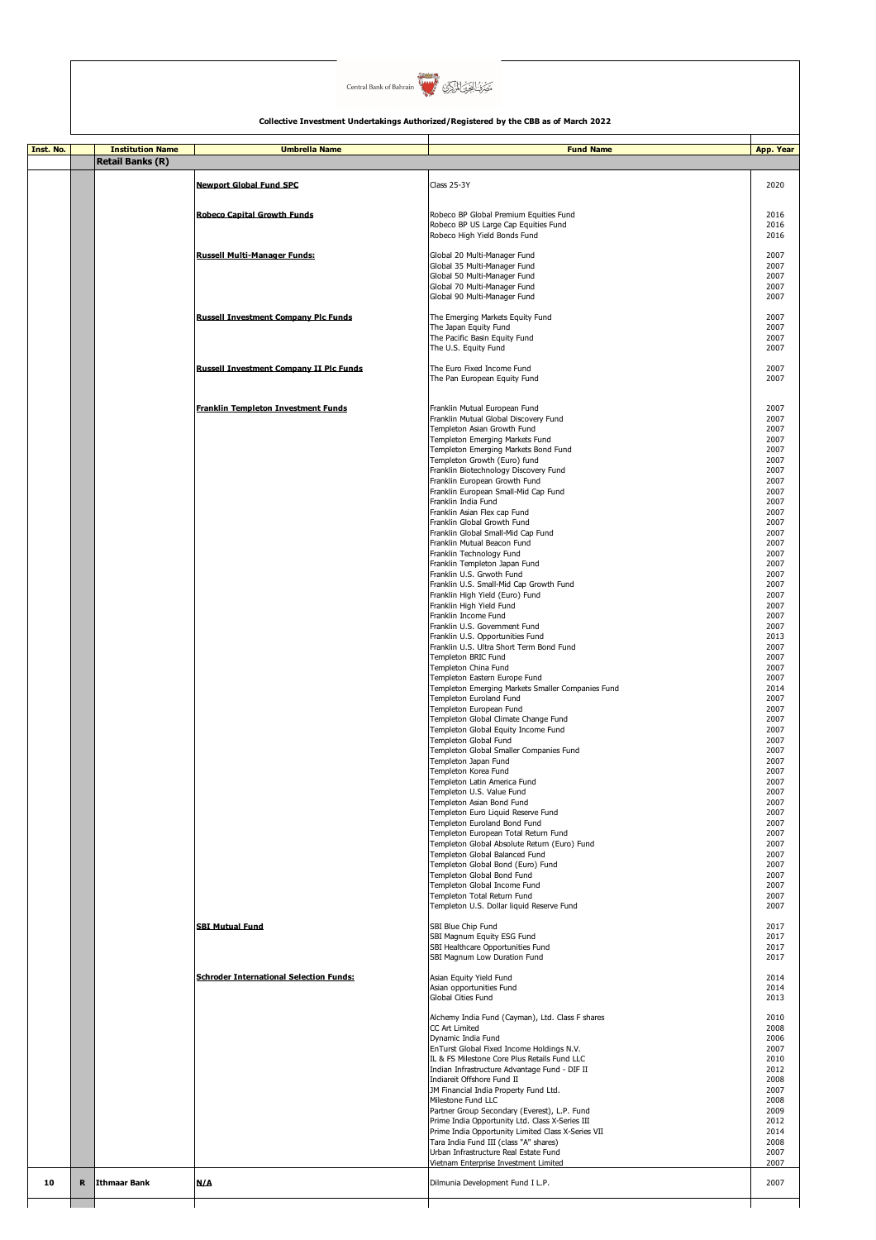

| Inst. No. |   | <b>Institution Name</b> | <b>Umbrella Name</b>                           | <b>Fund Name</b>                                                                                                                                                               | App. Year                    |
|-----------|---|-------------------------|------------------------------------------------|--------------------------------------------------------------------------------------------------------------------------------------------------------------------------------|------------------------------|
|           |   | <b>Retail Banks (R)</b> |                                                |                                                                                                                                                                                |                              |
|           |   |                         | <b>Newport Global Fund SPC</b>                 | Class 25-3Y                                                                                                                                                                    | 2020                         |
|           |   |                         | <b>Robeco Capital Growth Funds</b>             | Robeco BP Global Premium Equities Fund<br>Robeco BP US Large Cap Equities Fund                                                                                                 | 2016<br>2016                 |
|           |   |                         | <b>Russell Multi-Manager Funds:</b>            | Robeco High Yield Bonds Fund<br>Global 20 Multi-Manager Fund<br>Global 35 Multi-Manager Fund                                                                                   | 2016<br>2007<br>2007         |
|           |   |                         |                                                | Global 50 Multi-Manager Fund<br>Global 70 Multi-Manager Fund<br>Global 90 Multi-Manager Fund                                                                                   | 2007<br>2007<br>2007         |
|           |   |                         | <b>Russell Investment Company Plc Funds</b>    | The Emerging Markets Equity Fund<br>The Japan Equity Fund<br>The Pacific Basin Equity Fund                                                                                     | 2007<br>2007<br>2007         |
|           |   |                         | <b>Russell Investment Company II Plc Funds</b> | The U.S. Equity Fund<br>The Euro Fixed Income Fund                                                                                                                             | 2007<br>2007                 |
|           |   |                         | Franklin Templeton Investment Funds            | The Pan European Equity Fund<br>Franklin Mutual European Fund                                                                                                                  | 2007<br>2007                 |
|           |   |                         |                                                | Franklin Mutual Global Discovery Fund<br>Templeton Asian Growth Fund<br>Templeton Emerging Markets Fund                                                                        | 2007<br>2007<br>2007         |
|           |   |                         |                                                | Templeton Emerging Markets Bond Fund<br>Templeton Growth (Euro) fund<br>Franklin Biotechnology Discovery Fund<br>Franklin European Growth Fund                                 | 2007<br>2007<br>2007<br>2007 |
|           |   |                         |                                                | Franklin European Small-Mid Cap Fund<br>Franklin India Fund<br>Franklin Asian Flex cap Fund                                                                                    | 2007<br>2007<br>2007         |
|           |   |                         |                                                | Franklin Global Growth Fund<br>Franklin Global Small-Mid Cap Fund<br>Franklin Mutual Beacon Fund                                                                               | 2007<br>2007<br>2007         |
|           |   |                         |                                                | Franklin Technology Fund<br>Franklin Templeton Japan Fund<br>Franklin U.S. Grwoth Fund<br>Franklin U.S. Small-Mid Cap Growth Fund                                              | 2007<br>2007<br>2007<br>2007 |
|           |   |                         |                                                | Franklin High Yield (Euro) Fund<br>Franklin High Yield Fund<br>Franklin Income Fund                                                                                            | 2007<br>2007<br>2007         |
|           |   |                         |                                                | Franklin U.S. Government Fund<br>Franklin U.S. Opportunities Fund<br>Franklin U.S. Ultra Short Term Bond Fund<br>Templeton BRIC Fund                                           | 2007<br>2013<br>2007<br>2007 |
|           |   |                         |                                                | Templeton China Fund<br>Templeton Eastern Europe Fund<br>Templeton Emerging Markets Smaller Companies Fund                                                                     | 2007<br>2007<br>2014         |
|           |   |                         |                                                | Templeton Euroland Fund<br>Templeton European Fund<br>Templeton Global Climate Change Fund                                                                                     | 2007<br>2007<br>2007         |
|           |   |                         |                                                | Templeton Global Equity Income Fund<br>Templeton Global Fund<br>Templeton Global Smaller Companies Fund<br>Templeton Japan Fund                                                | 2007<br>2007<br>2007<br>2007 |
|           |   |                         |                                                | Templeton Korea Fund<br>Templeton Latin America Fund<br>Templeton U.S. Value Fund                                                                                              | 2007<br>2007<br>2007         |
|           |   |                         |                                                | Templeton Asian Bond Fund<br>Templeton Euro Liquid Reserve Fund<br>Templeton Euroland Bond Fund<br>Templeton European Total Return Fund                                        | 2007<br>2007<br>2007<br>2007 |
|           |   |                         |                                                | Templeton Global Absolute Return (Euro) Fund<br>Templeton Global Balanced Fund<br>Templeton Global Bond (Euro) Fund                                                            | 2007<br>2007<br>2007         |
|           |   |                         |                                                | Templeton Global Bond Fund<br>Templeton Global Income Fund<br>Templeton Total Return Fund<br>Templeton U.S. Dollar liquid Reserve Fund                                         | 2007<br>2007<br>2007<br>2007 |
|           |   |                         | <b>SBI Mutual Fund</b>                         | SBI Blue Chip Fund<br>SBI Magnum Equity ESG Fund                                                                                                                               | 2017<br>2017                 |
|           |   |                         | <b>Schroder International Selection Funds:</b> | SBI Healthcare Opportunities Fund<br>SBI Magnum Low Duration Fund<br>Asian Equity Yield Fund                                                                                   | 2017<br>2017<br>2014         |
|           |   |                         |                                                | Asian opportunities Fund<br><b>Global Cities Fund</b><br>Alchemy India Fund (Cayman), Ltd. Class F shares                                                                      | 2014<br>2013<br>2010         |
|           |   |                         |                                                | CC Art Limited<br>Dynamic India Fund<br>EnTurst Global Fixed Income Holdings N.V.                                                                                              | 2008<br>2006<br>2007         |
|           |   |                         |                                                | IL & FS Milestone Core Plus Retails Fund LLC<br>Indian Infrastructure Advantage Fund - DIF II<br>Indiareit Offshore Fund II<br>JM Financial India Property Fund Ltd.           | 2010<br>2012<br>2008<br>2007 |
|           |   |                         |                                                | Milestone Fund LLC<br>Partner Group Secondary (Everest), L.P. Fund<br>Prime India Opportunity Ltd. Class X-Series III                                                          | 2008<br>2009<br>2012         |
|           |   |                         |                                                | Prime India Opportunity Limited Class X-Series VII<br>Tara India Fund III (class "A" shares)<br>Urban Infrastructure Real Estate Fund<br>Vietnam Enterprise Investment Limited | 2014<br>2008<br>2007<br>2007 |
| 10        | R | Ithmaar Bank            | N/A                                            | Dilmunia Development Fund I L.P.                                                                                                                                               | 2007                         |
|           |   |                         |                                                |                                                                                                                                                                                |                              |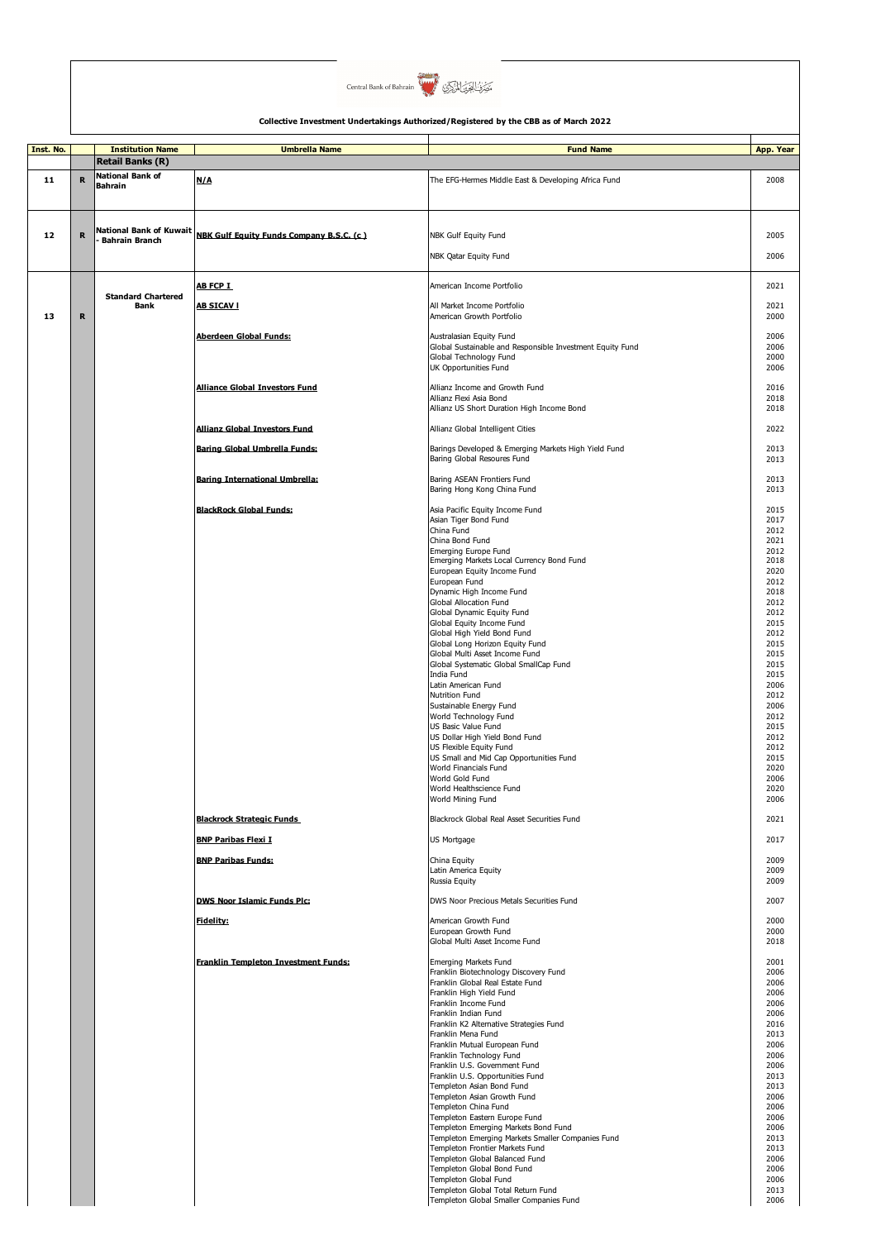

| Inst. No. |             | <b>Institution Name</b>                   | <b>Umbrella Name</b>                            | <b>Fund Name</b>                                                                     | App. Year    |
|-----------|-------------|-------------------------------------------|-------------------------------------------------|--------------------------------------------------------------------------------------|--------------|
|           |             | <b>Retail Banks (R)</b>                   |                                                 |                                                                                      |              |
| 11        | R           | <b>National Bank of</b><br><b>Bahrain</b> | N/A                                             | The EFG-Hermes Middle East & Developing Africa Fund                                  | 2008         |
|           |             |                                           |                                                 |                                                                                      |              |
|           |             |                                           |                                                 |                                                                                      |              |
|           |             |                                           |                                                 |                                                                                      |              |
| 12        | $\mathbf R$ | <b>National Bank of Kuwait</b>            | <b>NBK Gulf Equity Funds Company B.S.C. (c)</b> | NBK Gulf Equity Fund                                                                 | 2005         |
|           |             | <b>Bahrain Branch</b>                     |                                                 |                                                                                      |              |
|           |             |                                           |                                                 | NBK Qatar Equity Fund                                                                | 2006         |
|           |             |                                           |                                                 |                                                                                      |              |
|           |             |                                           | AB FCP I                                        | American Income Portfolio                                                            | 2021         |
|           |             | <b>Standard Chartered</b>                 |                                                 |                                                                                      |              |
|           |             | <b>Bank</b>                               | <b>AB SICAVI</b>                                | All Market Income Portfolio                                                          | 2021         |
| 13        | $\mathbf R$ |                                           |                                                 | American Growth Portfolio                                                            | 2000         |
|           |             |                                           | Aberdeen Global Funds:                          | Australasian Equity Fund                                                             | 2006         |
|           |             |                                           |                                                 | Global Sustainable and Responsible Investment Equity Fund                            | 2006         |
|           |             |                                           |                                                 | Global Technology Fund                                                               | 2000         |
|           |             |                                           |                                                 | UK Opportunities Fund                                                                | 2006         |
|           |             |                                           | <b>Alliance Global Investors Fund</b>           | Allianz Income and Growth Fund                                                       | 2016         |
|           |             |                                           |                                                 | Allianz Flexi Asia Bond                                                              | 2018         |
|           |             |                                           |                                                 | Allianz US Short Duration High Income Bond                                           | 2018         |
|           |             |                                           | Allianz Global Investors Fund                   | Allianz Global Intelligent Cities                                                    | 2022         |
|           |             |                                           |                                                 |                                                                                      |              |
|           |             |                                           | Baring Global Umbrella Funds:                   | Barings Developed & Emerging Markets High Yield Fund                                 | 2013         |
|           |             |                                           |                                                 | Baring Global Resoures Fund                                                          | 2013         |
|           |             |                                           | <b>Baring International Umbrella:</b>           | Baring ASEAN Frontiers Fund                                                          | 2013         |
|           |             |                                           |                                                 | Baring Hong Kong China Fund                                                          | 2013         |
|           |             |                                           |                                                 |                                                                                      |              |
|           |             |                                           | <b>BlackRock Global Funds:</b>                  | Asia Pacific Equity Income Fund                                                      | 2015         |
|           |             |                                           |                                                 | Asian Tiger Bond Fund<br>China Fund                                                  | 2017<br>2012 |
|           |             |                                           |                                                 | China Bond Fund                                                                      | 2021         |
|           |             |                                           |                                                 | Emerging Europe Fund                                                                 | 2012         |
|           |             |                                           |                                                 | Emerging Markets Local Currency Bond Fund                                            | 2018         |
|           |             |                                           |                                                 | European Equity Income Fund<br>European Fund                                         | 2020<br>2012 |
|           |             |                                           |                                                 | Dynamic High Income Fund                                                             | 2018         |
|           |             |                                           |                                                 | Global Allocation Fund                                                               | 2012         |
|           |             |                                           |                                                 | Global Dynamic Equity Fund                                                           | 2012         |
|           |             |                                           |                                                 | Global Equity Income Fund                                                            | 2015         |
|           |             |                                           |                                                 | Global High Yield Bond Fund<br>Global Long Horizon Equity Fund                       | 2012<br>2015 |
|           |             |                                           |                                                 | Global Multi Asset Income Fund                                                       | 2015         |
|           |             |                                           |                                                 | Global Systematic Global SmallCap Fund                                               | 2015         |
|           |             |                                           |                                                 | India Fund                                                                           | 2015         |
|           |             |                                           |                                                 | Latin American Fund                                                                  | 2006<br>2012 |
|           |             |                                           |                                                 | Nutrition Fund<br>Sustainable Energy Fund                                            | 2006         |
|           |             |                                           |                                                 | World Technology Fund                                                                | 2012         |
|           |             |                                           |                                                 | US Basic Value Fund                                                                  | 2015         |
|           |             |                                           |                                                 | US Dollar High Yield Bond Fund                                                       | 2012         |
|           |             |                                           |                                                 | US Flexible Equity Fund<br>US Small and Mid Cap Opportunities Fund                   | 2012<br>2015 |
|           |             |                                           |                                                 | World Financials Fund                                                                | 2020         |
|           |             |                                           |                                                 | World Gold Fund                                                                      | 2006         |
|           |             |                                           |                                                 | World Healthscience Fund                                                             | 2020         |
|           |             |                                           |                                                 | World Mining Fund                                                                    | 2006         |
|           |             |                                           | <b>Blackrock Strategic Funds</b>                | Blackrock Global Real Asset Securities Fund                                          | 2021         |
|           |             |                                           | <b>BNP Paribas Flexi I</b>                      | US Mortgage                                                                          | 2017         |
|           |             |                                           | <b>BNP Paribas Funds:</b>                       | China Equity                                                                         | 2009         |
|           |             |                                           |                                                 | Latin America Equity                                                                 | 2009         |
|           |             |                                           |                                                 | Russia Equity                                                                        | 2009         |
|           |             |                                           | <b>DWS Noor Islamic Funds Plc:</b>              | DWS Noor Precious Metals Securities Fund                                             | 2007         |
|           |             |                                           |                                                 |                                                                                      |              |
|           |             |                                           | <b>Fidelity:</b>                                | American Growth Fund<br>European Growth Fund                                         | 2000<br>2000 |
|           |             |                                           |                                                 | Global Multi Asset Income Fund                                                       | 2018         |
|           |             |                                           |                                                 |                                                                                      |              |
|           |             |                                           | Franklin Templeton Investment Funds:            | Emerging Markets Fund                                                                | 2001<br>2006 |
|           |             |                                           |                                                 | Franklin Biotechnology Discovery Fund<br>Franklin Global Real Estate Fund            | 2006         |
|           |             |                                           |                                                 | Franklin High Yield Fund                                                             | 2006         |
|           |             |                                           |                                                 | Franklin Income Fund                                                                 | 2006         |
|           |             |                                           |                                                 | Franklin Indian Fund<br>Franklin K2 Alternative Strategies Fund                      | 2006<br>2016 |
|           |             |                                           |                                                 | Franklin Mena Fund                                                                   | 2013         |
|           |             |                                           |                                                 | Franklin Mutual European Fund                                                        | 2006         |
|           |             |                                           |                                                 | Franklin Technology Fund                                                             | 2006         |
|           |             |                                           |                                                 | Franklin U.S. Government Fund                                                        | 2006         |
|           |             |                                           |                                                 | Franklin U.S. Opportunities Fund<br>Templeton Asian Bond Fund                        | 2013<br>2013 |
|           |             |                                           |                                                 | Templeton Asian Growth Fund                                                          | 2006         |
|           |             |                                           |                                                 | Templeton China Fund                                                                 | 2006         |
|           |             |                                           |                                                 | Templeton Eastern Europe Fund                                                        | 2006         |
|           |             |                                           |                                                 | Templeton Emerging Markets Bond Fund                                                 | 2006         |
|           |             |                                           |                                                 | Templeton Emerging Markets Smaller Companies Fund<br>Templeton Frontier Markets Fund | 2013<br>2013 |
|           |             |                                           |                                                 | Templeton Global Balanced Fund                                                       | 2006         |
|           |             |                                           |                                                 | Templeton Global Bond Fund                                                           | 2006         |
|           |             |                                           |                                                 | Templeton Global Fund                                                                | 2006         |
|           |             |                                           |                                                 | Templeton Global Total Return Fund                                                   | 2013         |
|           |             |                                           |                                                 | Templeton Global Smaller Companies Fund                                              | 2006         |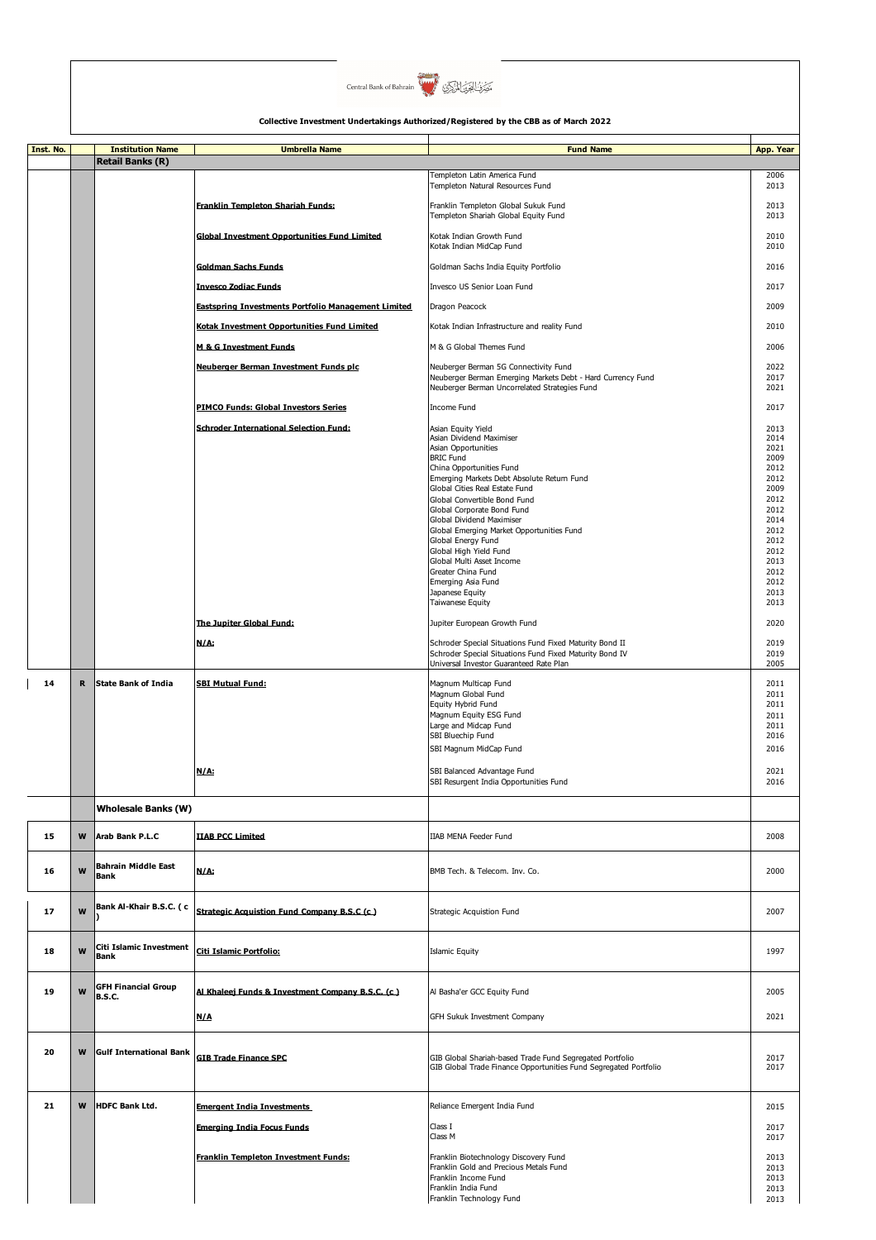

| Inst. No. |   |                                                    |                                                     |                                                                                                                    |              |
|-----------|---|----------------------------------------------------|-----------------------------------------------------|--------------------------------------------------------------------------------------------------------------------|--------------|
|           |   | <b>Institution Name</b><br><b>Retail Banks (R)</b> | <b>Umbrella Name</b>                                | <b>Fund Name</b>                                                                                                   | App. Year    |
|           |   |                                                    |                                                     | Fempleton Latin America Fund                                                                                       | 2006         |
|           |   |                                                    |                                                     | Templeton Natural Resources Fund                                                                                   | 2013         |
|           |   |                                                    | Franklin Templeton Shariah Funds:                   | Franklin Templeton Global Sukuk Fund                                                                               | 2013         |
|           |   |                                                    |                                                     | Templeton Shariah Global Equity Fund                                                                               | 2013         |
|           |   |                                                    | <b>Global Investment Opportunities Fund Limited</b> | Kotak Indian Growth Fund                                                                                           | 2010<br>2010 |
|           |   |                                                    |                                                     | Kotak Indian MidCap Fund                                                                                           |              |
|           |   |                                                    | <b>Goldman Sachs Funds</b>                          | Goldman Sachs India Equity Portfolio                                                                               | 2016         |
|           |   |                                                    | <b>Invesco Zodiac Funds</b>                         | Invesco US Senior Loan Fund                                                                                        | 2017         |
|           |   |                                                    | Eastspring Investments Portfolio Management Limited | Dragon Peacock                                                                                                     | 2009         |
|           |   |                                                    | Kotak Investment Opportunities Fund Limited         | Kotak Indian Infrastructure and reality Fund                                                                       | 2010         |
|           |   |                                                    |                                                     |                                                                                                                    |              |
|           |   |                                                    | <b>M &amp; G Investment Funds</b>                   | M & G Global Themes Fund                                                                                           | 2006         |
|           |   |                                                    | Neuberger Berman Investment Funds plc               | Neuberger Berman 5G Connectivity Fund                                                                              | 2022         |
|           |   |                                                    |                                                     | Neuberger Berman Emerging Markets Debt - Hard Currency Fund<br>Neuberger Berman Uncorrelated Strategies Fund       | 2017<br>2021 |
|           |   |                                                    | <b>PIMCO Funds: Global Investors Series</b>         | Income Fund                                                                                                        | 2017         |
|           |   |                                                    |                                                     |                                                                                                                    |              |
|           |   |                                                    | <b>Schroder International Selection Fund:</b>       | Asian Equity Yield<br>Asian Dividend Maximiser                                                                     | 2013<br>2014 |
|           |   |                                                    |                                                     | Asian Opportunities                                                                                                | 2021         |
|           |   |                                                    |                                                     | <b>BRIC Fund</b><br>China Opportunities Fund                                                                       | 2009<br>2012 |
|           |   |                                                    |                                                     | Emerging Markets Debt Absolute Return Fund                                                                         | 2012         |
|           |   |                                                    |                                                     | Global Cities Real Estate Fund<br>Global Convertible Bond Fund                                                     | 2009<br>2012 |
|           |   |                                                    |                                                     | Global Corporate Bond Fund                                                                                         | 2012         |
|           |   |                                                    |                                                     | Global Dividend Maximiser<br>Global Emerging Market Opportunities Fund                                             | 2014<br>2012 |
|           |   |                                                    |                                                     | Global Energy Fund                                                                                                 | 2012         |
|           |   |                                                    |                                                     | Global High Yield Fund<br>Global Multi Asset Income                                                                | 2012<br>2013 |
|           |   |                                                    |                                                     | Greater China Fund                                                                                                 | 2012         |
|           |   |                                                    |                                                     | Emerging Asia Fund<br>Japanese Equity                                                                              | 2012<br>2013 |
|           |   |                                                    |                                                     | Taiwanese Equity                                                                                                   | 2013         |
|           |   |                                                    | The Jupiter Global Fund:                            | Jupiter European Growth Fund                                                                                       | 2020         |
|           |   |                                                    |                                                     |                                                                                                                    |              |
|           |   |                                                    | N/A:                                                | Schroder Special Situations Fund Fixed Maturity Bond II<br>Schroder Special Situations Fund Fixed Maturity Bond IV | 2019<br>2019 |
|           |   |                                                    |                                                     | Universal Investor Guaranteed Rate Plan                                                                            | 2005         |
| 14        | R | <b>State Bank of India</b>                         | <b>SBI Mutual Fund:</b>                             | Magnum Multicap Fund                                                                                               | 2011         |
|           |   |                                                    |                                                     | Magnum Global Fund<br>Equity Hybrid Fund                                                                           | 2011<br>2011 |
|           |   |                                                    |                                                     | Magnum Equity ESG Fund                                                                                             | 2011         |
|           |   |                                                    |                                                     | Large and Midcap Fund<br>SBI Bluechip Fund                                                                         | 2011<br>2016 |
|           |   |                                                    |                                                     | SBI Magnum MidCap Fund                                                                                             | 2016         |
|           |   |                                                    |                                                     |                                                                                                                    |              |
|           |   |                                                    | N/A:                                                | SBI Balanced Advantage Fund<br>SBI Resurgent India Opportunities Fund                                              | 2021<br>2016 |
|           |   |                                                    |                                                     |                                                                                                                    |              |
|           |   | <b>Wholesale Banks (W)</b>                         |                                                     |                                                                                                                    |              |
| 15        | W | Arab Bank P.L.C                                    | <b>IIAB PCC Limited</b>                             | <b>IIAB MENA Feeder Fund</b>                                                                                       | 2008         |
| 16        | W | Bahrain Middle East                                | N/A:                                                | BMB Tech. & Telecom. Inv. Co.                                                                                      | 2000         |
|           |   | <b>Bank</b>                                        |                                                     |                                                                                                                    |              |
|           |   |                                                    |                                                     |                                                                                                                    |              |
| 17        | W | Bank Al-Khair B.S.C. ( c                           | Strategic Acquistion Fund Company B.S.C (c)         | Strategic Acquistion Fund                                                                                          | 2007         |
|           |   |                                                    |                                                     |                                                                                                                    |              |
| 18        | W | Citi Islamic Investment                            | Citi Islamic Portfolio:                             | <b>Islamic Equity</b>                                                                                              | 1997         |
|           |   | Bank                                               |                                                     |                                                                                                                    |              |
|           |   |                                                    |                                                     |                                                                                                                    |              |
| 19        | W | <b>GFH Financial Group</b><br><b>B.S.C.</b>        | Al Khaleej Funds & Investment Company B.S.C. (c.)   | Al Basha'er GCC Equity Fund                                                                                        | 2005         |
|           |   |                                                    | N/A                                                 | GFH Sukuk Investment Company                                                                                       | 2021         |
|           |   |                                                    |                                                     |                                                                                                                    |              |
|           |   |                                                    |                                                     |                                                                                                                    |              |
| 20        | W | <b>Gulf International Bank</b>                     | <b>GIB Trade Finance SPC</b>                        | GIB Global Shariah-based Trade Fund Segregated Portfolio                                                           | 2017         |
|           |   |                                                    |                                                     | GIB Global Trade Finance Opportunities Fund Segregated Portfolio                                                   | 2017         |
|           |   |                                                    |                                                     |                                                                                                                    |              |
| 21        | W | <b>HDFC Bank Ltd.</b>                              | <b>Emergent India Investments</b>                   | Reliance Emergent India Fund                                                                                       | 2015         |
|           |   |                                                    | <b>Emerging India Focus Funds</b>                   | Class I                                                                                                            | 2017         |
|           |   |                                                    |                                                     | Class M                                                                                                            | 2017         |
|           |   |                                                    | Franklin Templeton Investment Funds:                | Franklin Biotechnology Discovery Fund                                                                              | 2013         |
|           |   |                                                    |                                                     | Franklin Gold and Precious Metals Fund                                                                             | 2013         |
|           |   |                                                    |                                                     | Franklin Income Fund<br>Franklin India Fund                                                                        | 2013<br>2013 |
|           |   |                                                    |                                                     | Franklin Technology Fund                                                                                           | 2013         |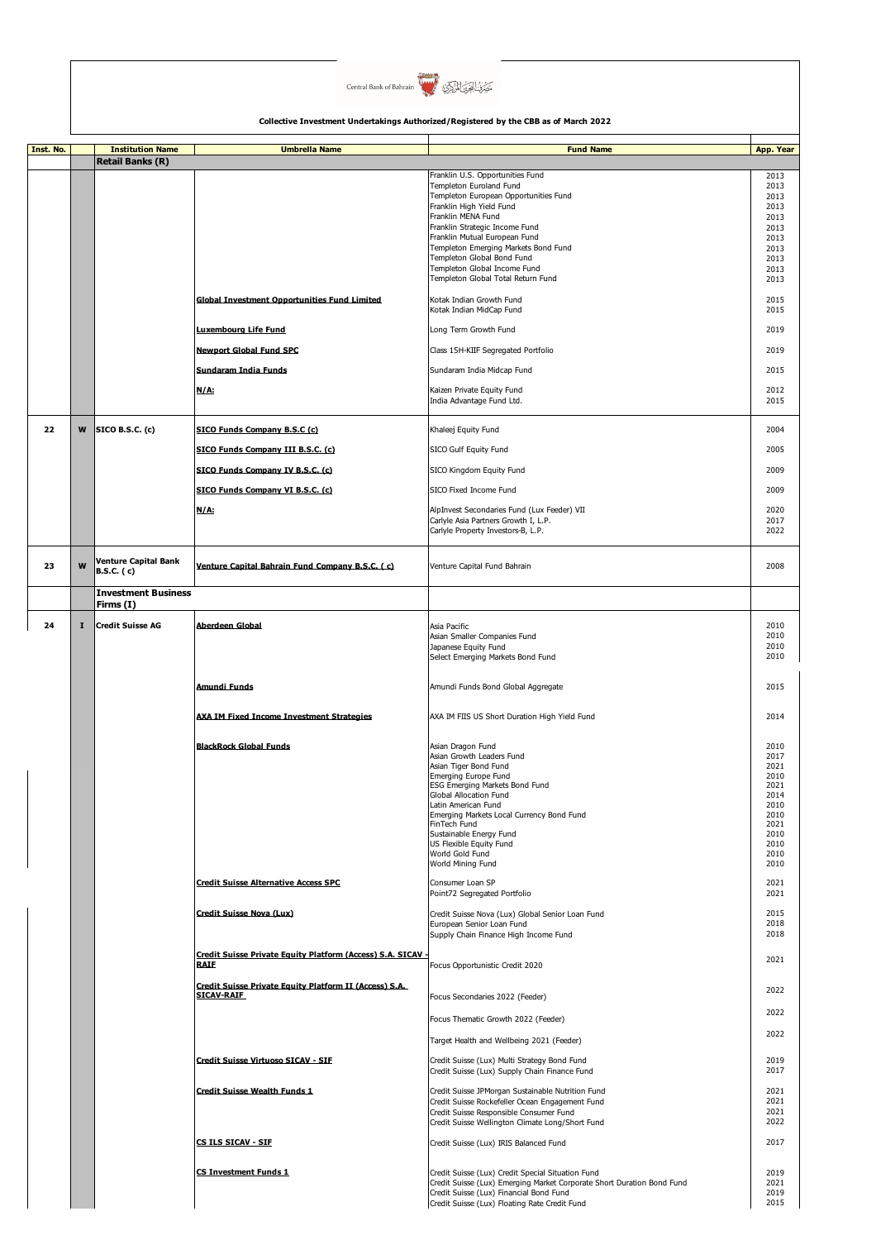

| Inst. No. |              | <b>Institution Name</b>                   | <b>Umbrella Name</b>                                                        | <b>Fund Name</b>                                                                                                                                                                                                        | App. Year                    |
|-----------|--------------|-------------------------------------------|-----------------------------------------------------------------------------|-------------------------------------------------------------------------------------------------------------------------------------------------------------------------------------------------------------------------|------------------------------|
|           |              | <b>Retail Banks (R)</b>                   |                                                                             |                                                                                                                                                                                                                         |                              |
|           |              |                                           |                                                                             | Franklin U.S. Opportunities Fund<br>Templeton Euroland Fund                                                                                                                                                             | 2013<br>2013                 |
|           |              |                                           |                                                                             | Templeton European Opportunities Fund<br>Franklin High Yield Fund                                                                                                                                                       | 2013<br>2013                 |
|           |              |                                           |                                                                             | Franklin MENA Fund                                                                                                                                                                                                      | 2013                         |
|           |              |                                           |                                                                             | Franklin Strategic Income Fund<br>Franklin Mutual European Fund                                                                                                                                                         | 2013<br>2013                 |
|           |              |                                           |                                                                             | Templeton Emerging Markets Bond Fund<br>Templeton Global Bond Fund                                                                                                                                                      | 2013<br>2013                 |
|           |              |                                           |                                                                             | Templeton Global Income Fund                                                                                                                                                                                            | 2013                         |
|           |              |                                           |                                                                             | Templeton Global Total Return Fund                                                                                                                                                                                      | 2013                         |
|           |              |                                           | <b>Global Investment Opportunities Fund Limited</b>                         | Kotak Indian Growth Fund<br>Kotak Indian MidCap Fund                                                                                                                                                                    | 2015<br>2015                 |
|           |              |                                           | Luxembourg Life Fund                                                        | Long Term Growth Fund                                                                                                                                                                                                   | 2019                         |
|           |              |                                           | <b>Newport Global Fund SPC</b>                                              | Class 15H-KIIF Segregated Portfolio                                                                                                                                                                                     | 2019                         |
|           |              |                                           | Sundaram India Funds                                                        | Sundaram India Midcap Fund                                                                                                                                                                                              | 2015                         |
|           |              |                                           | N/A:                                                                        | Kaizen Private Equity Fund                                                                                                                                                                                              | 2012                         |
|           |              |                                           |                                                                             | India Advantage Fund Ltd.                                                                                                                                                                                               | 2015                         |
| 22        | W            | <b>SICO B.S.C. (c)</b>                    | <u>SICO Funds Company B.S.C (c)</u>                                         | Khaleej Equity Fund                                                                                                                                                                                                     | 2004                         |
|           |              |                                           | SICO Funds Company III B.S.C. (c)                                           | SICO Gulf Equity Fund                                                                                                                                                                                                   | 2005                         |
|           |              |                                           | SICO Funds Company IV B.S.C. (c)                                            | SICO Kingdom Equity Fund                                                                                                                                                                                                | 2009                         |
|           |              |                                           | SICO Funds Company VI B.S.C. (c)                                            | SICO Fixed Income Fund                                                                                                                                                                                                  | 2009                         |
|           |              |                                           |                                                                             |                                                                                                                                                                                                                         |                              |
|           |              |                                           | N/A:                                                                        | AlpInvest Secondaries Fund (Lux Feeder) VII<br>Carlyle Asia Partners Growth I, L.P.                                                                                                                                     | 2020<br>2017                 |
|           |              |                                           |                                                                             | Carlyle Property Investors-B, L.P.                                                                                                                                                                                      | 2022                         |
| 23        | W            | Venture Capital Bank<br><b>B.S.C.</b> (c) | Venture Capital Bahrain Fund Company B.S.C. (c)                             | Venture Capital Fund Bahrain                                                                                                                                                                                            | 2008                         |
|           |              | <b>Investment Business</b>                |                                                                             |                                                                                                                                                                                                                         |                              |
|           |              | Firms (I)                                 |                                                                             |                                                                                                                                                                                                                         |                              |
| 24        | $\mathbf{I}$ | <b>Credit Suisse AG</b>                   | Aberdeen Global                                                             | Asia Pacific                                                                                                                                                                                                            | 2010                         |
|           |              |                                           |                                                                             | Asian Smaller Companies Fund<br>Japanese Equity Fund                                                                                                                                                                    | 2010<br>2010                 |
|           |              |                                           |                                                                             | Select Emerging Markets Bond Fund                                                                                                                                                                                       | 2010                         |
|           |              |                                           | Amundi Funds                                                                | Amundi Funds Bond Global Aggregate                                                                                                                                                                                      | 2015                         |
|           |              |                                           | AXA IM Fixed Income Investment Strategies                                   | AXA IM FIIS US Short Duration High Yield Fund                                                                                                                                                                           | 2014                         |
|           |              |                                           | <b>BlackRock Global Funds</b>                                               | Asian Dragon Fund                                                                                                                                                                                                       | 2010                         |
|           |              |                                           |                                                                             | Asian Growth Leaders Fund<br>Asian Tiger Bond Fund                                                                                                                                                                      | 2017<br>2021                 |
|           |              |                                           |                                                                             | Emerging Europe Fund                                                                                                                                                                                                    | 2010                         |
|           |              |                                           |                                                                             | ESG Emerging Markets Bond Fund<br>Global Allocation Fund                                                                                                                                                                | 2021<br>2014                 |
|           |              |                                           |                                                                             | Latin American Fund<br>Emerging Markets Local Currency Bond Fund                                                                                                                                                        | 2010<br>2010                 |
|           |              |                                           |                                                                             | FinTech Fund<br>Sustainable Energy Fund                                                                                                                                                                                 | 2021<br>2010                 |
|           |              |                                           |                                                                             | US Flexible Equity Fund                                                                                                                                                                                                 | 2010                         |
|           |              |                                           |                                                                             | World Gold Fund<br>World Mining Fund                                                                                                                                                                                    | 2010<br>2010                 |
|           |              |                                           | <b>Credit Suisse Alternative Access SPC</b>                                 | Consumer Loan SP<br>Point72 Segregated Portfolio                                                                                                                                                                        | 2021<br>2021                 |
|           |              |                                           | Credit Suisse Nova (Lux)                                                    | Credit Suisse Nova (Lux) Global Senior Loan Fund                                                                                                                                                                        | 2015                         |
|           |              |                                           |                                                                             | European Senior Loan Fund<br>Supply Chain Finance High Income Fund                                                                                                                                                      | 2018<br>2018                 |
|           |              |                                           | Credit Suisse Private Equity Platform (Access) S.A. SICAV -<br><b>RAIF</b>  | Focus Opportunistic Credit 2020                                                                                                                                                                                         | 2021                         |
|           |              |                                           | Credit Suisse Private Equity Platform II (Access) S.A.<br><b>SICAV-RAIF</b> | Focus Secondaries 2022 (Feeder)                                                                                                                                                                                         | 2022                         |
|           |              |                                           |                                                                             |                                                                                                                                                                                                                         | 2022                         |
|           |              |                                           |                                                                             | Focus Thematic Growth 2022 (Feeder)                                                                                                                                                                                     | 2022                         |
|           |              |                                           |                                                                             | Target Health and Wellbeing 2021 (Feeder)                                                                                                                                                                               |                              |
|           |              |                                           | Credit Suisse Virtuoso SICAV - SIF                                          | Credit Suisse (Lux) Multi Strategy Bond Fund<br>Credit Suisse (Lux) Supply Chain Finance Fund                                                                                                                           | 2019<br>2017                 |
|           |              |                                           | <b>Credit Suisse Wealth Funds 1</b>                                         | Credit Suisse JPMorgan Sustainable Nutrition Fund<br>Credit Suisse Rockefeller Ocean Engagement Fund                                                                                                                    | 2021<br>2021                 |
|           |              |                                           |                                                                             | Credit Suisse Responsible Consumer Fund                                                                                                                                                                                 | 2021                         |
|           |              |                                           |                                                                             | Credit Suisse Wellington Climate Long/Short Fund                                                                                                                                                                        | 2022                         |
|           |              |                                           | CS ILS SICAV - SIF                                                          | Credit Suisse (Lux) IRIS Balanced Fund                                                                                                                                                                                  | 2017                         |
|           |              |                                           | <b>CS Investment Funds 1</b>                                                | Credit Suisse (Lux) Credit Special Situation Fund<br>Credit Suisse (Lux) Emerging Market Corporate Short Duration Bond Fund<br>Credit Suisse (Lux) Financial Bond Fund<br>Credit Suisse (Lux) Floating Rate Credit Fund | 2019<br>2021<br>2019<br>2015 |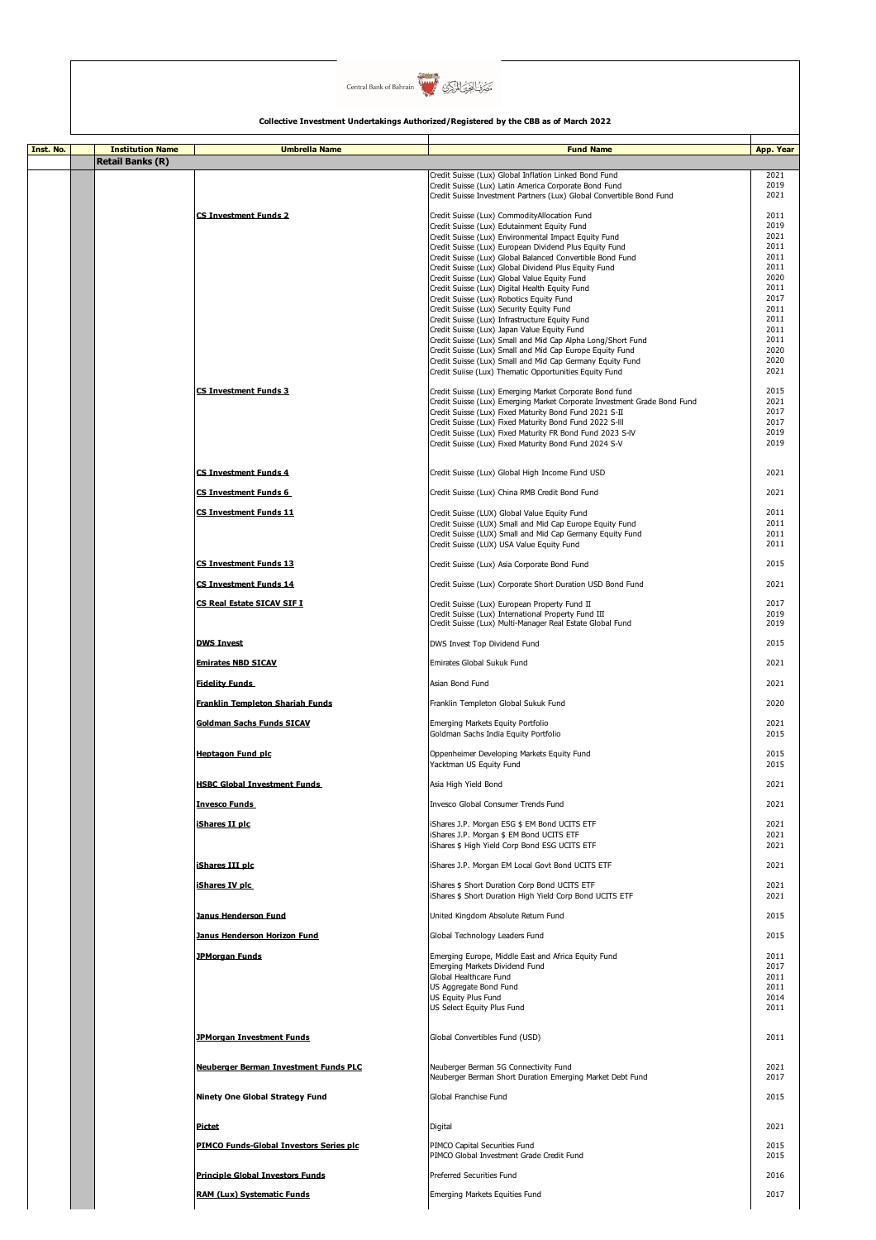

| Inst. No. | <b>Institution Name</b> | <b>Umbrella Name</b>                    | <b>Fund Name</b>                                                                                                                   | App. Year    |
|-----------|-------------------------|-----------------------------------------|------------------------------------------------------------------------------------------------------------------------------------|--------------|
|           | <b>Retail Banks (R)</b> |                                         |                                                                                                                                    |              |
|           |                         |                                         |                                                                                                                                    | 2021         |
|           |                         |                                         | Credit Suisse (Lux) Global Inflation Linked Bond Fund<br>Credit Suisse (Lux) Latin America Corporate Bond Fund                     | 2019         |
|           |                         |                                         | Credit Suisse Investment Partners (Lux) Global Convertible Bond Fund                                                               | 2021         |
|           |                         |                                         |                                                                                                                                    |              |
|           |                         | <b>CS Investment Funds 2</b>            | Credit Suisse (Lux) CommodityAllocation Fund                                                                                       | 2011         |
|           |                         |                                         | Credit Suisse (Lux) Edutainment Equity Fund<br>Credit Suisse (Lux) Environmental Impact Equity Fund                                | 2019<br>2021 |
|           |                         |                                         | Credit Suisse (Lux) European Dividend Plus Equity Fund                                                                             | 2011         |
|           |                         |                                         | Credit Suisse (Lux) Global Balanced Convertible Bond Fund                                                                          | 2011         |
|           |                         |                                         | Credit Suisse (Lux) Global Dividend Plus Equity Fund                                                                               | 2011         |
|           |                         |                                         | Credit Suisse (Lux) Global Value Equity Fund                                                                                       | 2020         |
|           |                         |                                         | Credit Suisse (Lux) Digital Health Equity Fund<br>Credit Suisse (Lux) Robotics Equity Fund                                         | 2011<br>2017 |
|           |                         |                                         | Credit Suisse (Lux) Security Equity Fund                                                                                           | 2011         |
|           |                         |                                         | Credit Suisse (Lux) Infrastructure Equity Fund                                                                                     | 2011         |
|           |                         |                                         | Credit Suisse (Lux) Japan Value Equity Fund                                                                                        | 2011         |
|           |                         |                                         | Credit Suisse (Lux) Small and Mid Cap Alpha Long/Short Fund                                                                        | 2011<br>2020 |
|           |                         |                                         | Credit Suisse (Lux) Small and Mid Cap Europe Equity Fund<br>Credit Suisse (Lux) Small and Mid Cap Germany Equity Fund              | 2020         |
|           |                         |                                         | Credit Suiise (Lux) Thematic Opportunities Equity Fund                                                                             | 2021         |
|           |                         |                                         |                                                                                                                                    |              |
|           |                         | <b>CS Investment Funds 3</b>            | Credit Suisse (Lux) Emerging Market Corporate Bond fund                                                                            | 2015         |
|           |                         |                                         | Credit Suisse (Lux) Emerging Market Corporate Investment Grade Bond Fund<br>Credit Suisse (Lux) Fixed Maturity Bond Fund 2021 S-II | 2021<br>2017 |
|           |                         |                                         | Credit Suisse (Lux) Fixed Maturity Bond Fund 2022 S-III                                                                            | 2017         |
|           |                         |                                         | Credit Suisse (Lux) Fixed Maturity FR Bond Fund 2023 S-IV                                                                          | 2019         |
|           |                         |                                         | Credit Suisse (Lux) Fixed Maturity Bond Fund 2024 S-V                                                                              | 2019         |
|           |                         |                                         |                                                                                                                                    |              |
|           |                         | <b>CS Investment Funds 4</b>            | Credit Suisse (Lux) Global High Income Fund USD                                                                                    | 2021         |
|           |                         |                                         |                                                                                                                                    |              |
|           |                         | CS Investment Funds 6                   | Credit Suisse (Lux) China RMB Credit Bond Fund                                                                                     | 2021         |
|           |                         | <b>CS Investment Funds 11</b>           | Credit Suisse (LUX) Global Value Equity Fund                                                                                       | 2011         |
|           |                         |                                         | Credit Suisse (LUX) Small and Mid Cap Europe Equity Fund                                                                           | 2011         |
|           |                         |                                         | Credit Suisse (LUX) Small and Mid Cap Germany Equity Fund                                                                          | 2011         |
|           |                         |                                         | Credit Suisse (LUX) USA Value Equity Fund                                                                                          | 2011         |
|           |                         | <b>CS Investment Funds 13</b>           |                                                                                                                                    | 2015         |
|           |                         |                                         | Credit Suisse (Lux) Asia Corporate Bond Fund                                                                                       |              |
|           |                         | <b>CS Investment Funds 14</b>           | Credit Suisse (Lux) Corporate Short Duration USD Bond Fund                                                                         | 2021         |
|           |                         |                                         |                                                                                                                                    |              |
|           |                         | CS Real Estate SICAV SIF I              | Credit Suisse (Lux) European Property Fund II<br>Credit Suisse (Lux) International Property Fund III                               | 2017<br>2019 |
|           |                         |                                         | Credit Suisse (Lux) Multi-Manager Real Estate Global Fund                                                                          | 2019         |
|           |                         |                                         |                                                                                                                                    |              |
|           |                         | <b>DWS Invest</b>                       | DWS Invest Top Dividend Fund                                                                                                       | 2015         |
|           |                         | <b>Emirates NBD SICAV</b>               | Emirates Global Sukuk Fund                                                                                                         | 2021         |
|           |                         |                                         |                                                                                                                                    |              |
|           |                         | <b>Fidelity Funds</b>                   | Asian Bond Fund                                                                                                                    | 2021         |
|           |                         |                                         | Franklin Templeton Global Sukuk Fund                                                                                               | 2020         |
|           |                         | <b>Franklin Templeton Shariah Funds</b> |                                                                                                                                    |              |
|           |                         | <b>Goldman Sachs Funds SICAV</b>        | Emerging Markets Equity Portfolio                                                                                                  | 2021         |
|           |                         |                                         | Goldman Sachs India Equity Portfolio                                                                                               | 2015         |
|           |                         | <b>Hentagon Fund plc</b>                | Oppenheimer Developing Markets Equity Fund                                                                                         | 2015         |
|           |                         |                                         | Yacktman US Equity Fund                                                                                                            | 2015         |
|           |                         |                                         |                                                                                                                                    |              |
|           |                         | <b>HSBC Global Investment Funds</b>     | Asia High Yield Bond                                                                                                               | 2021         |
|           |                         | <b>Invesco Funds</b>                    | Invesco Global Consumer Trends Fund                                                                                                | 2021         |
|           |                         |                                         |                                                                                                                                    |              |
|           |                         | iShares II plc                          | iShares J.P. Morgan ESG \$ EM Bond UCITS ETF                                                                                       | 2021         |
|           |                         |                                         | iShares J.P. Morgan \$ EM Bond UCITS ETF<br>iShares \$ High Yield Corp Bond ESG UCITS ETF                                          | 2021<br>2021 |
|           |                         |                                         |                                                                                                                                    |              |
|           |                         | iShares III plc                         | iShares J.P. Morgan EM Local Govt Bond UCITS ETF                                                                                   | 2021         |
|           |                         |                                         |                                                                                                                                    |              |
|           |                         | iShares IV plc                          | iShares \$ Short Duration Corp Bond UCITS ETF<br>iShares \$ Short Duration High Yield Corp Bond UCITS ETF                          | 2021<br>2021 |
|           |                         |                                         |                                                                                                                                    |              |
|           |                         | Janus Henderson Fund                    | United Kingdom Absolute Return Fund                                                                                                | 2015         |
|           |                         | Janus Henderson Horizon Fund            |                                                                                                                                    | 2015         |
|           |                         |                                         | Global Technology Leaders Fund                                                                                                     |              |
|           |                         | <b>JPMorgan Funds</b>                   | Emerging Europe, Middle East and Africa Equity Fund                                                                                | 2011         |
|           |                         |                                         | Emerging Markets Dividend Fund                                                                                                     | 2017         |
|           |                         |                                         | Global Healthcare Fund                                                                                                             | 2011         |
|           |                         |                                         | US Aggregate Bond Fund<br>US Equity Plus Fund                                                                                      | 2011<br>2014 |
|           |                         |                                         | US Select Equity Plus Fund                                                                                                         | 2011         |
|           |                         |                                         |                                                                                                                                    |              |
|           |                         |                                         |                                                                                                                                    |              |
|           |                         | <b>JPMorgan Investment Funds</b>        | Global Convertibles Fund (USD)                                                                                                     | 2011         |
|           |                         |                                         |                                                                                                                                    |              |
|           |                         | Neuberger Berman Investment Funds PLC   | Neuberger Berman 5G Connectivity Fund                                                                                              | 2021         |
|           |                         |                                         | Neuberger Berman Short Duration Emerging Market Debt Fund                                                                          | 2017         |
|           |                         | Ninety One Global Strategy Fund         | Global Franchise Fund                                                                                                              | 2015         |
|           |                         |                                         |                                                                                                                                    |              |
|           |                         | <b>Pictet</b>                           | Digital                                                                                                                            | 2021         |
|           |                         |                                         |                                                                                                                                    |              |
|           |                         | PIMCO Funds-Global Investors Series plc | PIMCO Capital Securities Fund                                                                                                      | 2015         |
|           |                         |                                         | PIMCO Global Investment Grade Credit Fund                                                                                          | 2015         |
|           |                         | <b>Principle Global Investors Funds</b> | <b>Preferred Securities Fund</b>                                                                                                   | 2016         |
|           |                         |                                         |                                                                                                                                    |              |
|           |                         | <b>RAM (Lux) Systematic Funds</b>       | Emerging Markets Equities Fund                                                                                                     | 2017         |
|           |                         |                                         |                                                                                                                                    |              |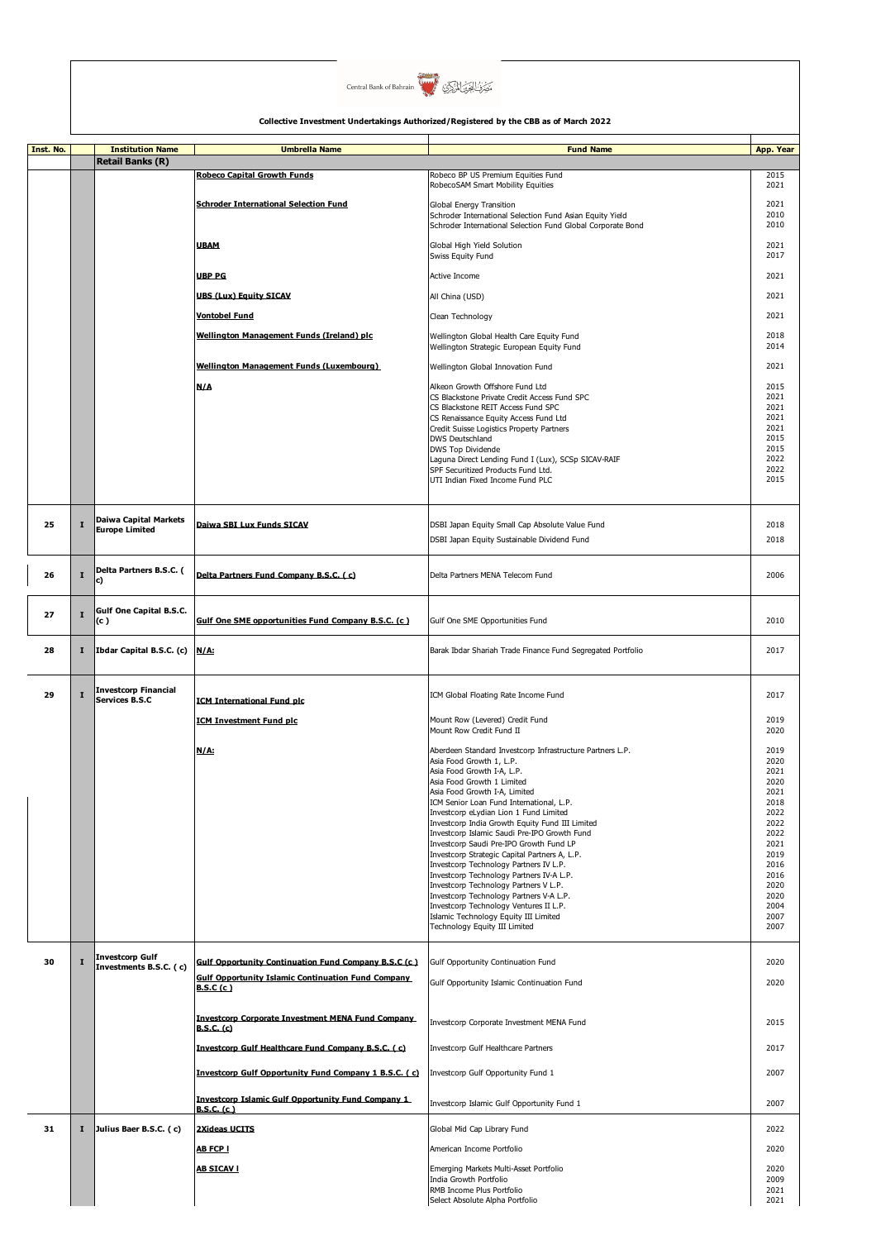

| Inst. No. |             | <b>Institution Name</b>                               | <b>Umbrella Name</b>                                        | <b>Fund Name</b>                                                                                | App. Year    |
|-----------|-------------|-------------------------------------------------------|-------------------------------------------------------------|-------------------------------------------------------------------------------------------------|--------------|
|           |             | <b>Retail Banks (R)</b>                               |                                                             |                                                                                                 |              |
|           |             |                                                       | <b>Robeco Capital Growth Funds</b>                          | Robeco BP US Premium Equities Fund<br>RobecoSAM Smart Mobility Equities                         | 2015<br>2021 |
|           |             |                                                       |                                                             |                                                                                                 |              |
|           |             |                                                       | <b>Schroder International Selection Fund</b>                | <b>Global Energy Transition</b><br>Schroder International Selection Fund Asian Equity Yield     | 2021<br>2010 |
|           |             |                                                       |                                                             | Schroder International Selection Fund Global Corporate Bond                                     | 2010         |
|           |             |                                                       | <b>UBAM</b>                                                 | Global High Yield Solution                                                                      | 2021         |
|           |             |                                                       |                                                             | Swiss Equity Fund                                                                               | 2017         |
|           |             |                                                       | <b>UBP PG</b>                                               | Active Income                                                                                   | 2021         |
|           |             |                                                       | <b>UBS (Lux) Equity SICAV</b>                               | All China (USD)                                                                                 | 2021         |
|           |             |                                                       | <b>Vontobel Fund</b>                                        | Clean Technology                                                                                | 2021         |
|           |             |                                                       |                                                             |                                                                                                 | 2018         |
|           |             |                                                       | Wellington Management Funds (Ireland) plc                   | Wellington Global Health Care Equity Fund<br>Wellington Strategic European Equity Fund          | 2014         |
|           |             |                                                       | Wellington Management Funds (Luxembourg)                    | Wellington Global Innovation Fund                                                               | 2021         |
|           |             |                                                       |                                                             |                                                                                                 |              |
|           |             |                                                       | N/A                                                         | Alkeon Growth Offshore Fund Ltd<br>CS Blackstone Private Credit Access Fund SPC                 | 2015<br>2021 |
|           |             |                                                       |                                                             | CS Blackstone REIT Access Fund SPC<br>CS Renaissance Equity Access Fund Ltd                     | 2021<br>2021 |
|           |             |                                                       |                                                             | Credit Suisse Logistics Property Partners                                                       | 2021         |
|           |             |                                                       |                                                             | <b>DWS Deutschland</b><br>DWS Top Dividende                                                     | 2015<br>2015 |
|           |             |                                                       |                                                             | Laguna Direct Lending Fund I (Lux), SCSp SICAV-RAIF                                             | 2022         |
|           |             |                                                       |                                                             | SPF Securitized Products Fund Ltd.<br>UTI Indian Fixed Income Fund PLC                          | 2022<br>2015 |
|           |             |                                                       |                                                             |                                                                                                 |              |
|           |             |                                                       |                                                             |                                                                                                 |              |
| 25        | I           | <b>Daiwa Capital Markets</b><br><b>Europe Limited</b> | Daiwa SBI Lux Funds SICAV                                   | DSBI Japan Equity Small Cap Absolute Value Fund                                                 | 2018         |
|           |             |                                                       |                                                             | DSBI Japan Equity Sustainable Dividend Fund                                                     | 2018         |
|           |             |                                                       |                                                             |                                                                                                 |              |
| 26        | $\mathbf I$ | Delta Partners B.S.C. (<br>C)                         | Delta Partners Fund Company B.S.C. (c)                      | Delta Partners MENA Telecom Fund                                                                | 2006         |
|           |             |                                                       |                                                             |                                                                                                 |              |
| 27        | I           | <b>Gulf One Capital B.S.C.</b>                        |                                                             |                                                                                                 |              |
|           |             | (c )                                                  | Gulf One SME opportunities Fund Company B.S.C. (c)          | Gulf One SME Opportunities Fund                                                                 | 2010         |
| 28        | I           | Ibdar Capital B.S.C. (c)                              | N/A:                                                        | Barak Ibdar Shariah Trade Finance Fund Segregated Portfolio                                     | 2017         |
|           |             |                                                       |                                                             |                                                                                                 |              |
|           |             |                                                       |                                                             |                                                                                                 |              |
| 29        | I           | <b>Investcorp Financial</b><br>Services B.S.C         | <b>ICM International Fund plc</b>                           | ICM Global Floating Rate Income Fund                                                            | 2017         |
|           |             |                                                       | <b>ICM Investment Fund plc</b>                              | Mount Row (Levered) Credit Fund                                                                 | 2019         |
|           |             |                                                       |                                                             | Mount Row Credit Fund II                                                                        | 2020         |
|           |             |                                                       | N/A:                                                        | Aberdeen Standard Investcorp Infrastructure Partners L.P.                                       | 2019         |
|           |             |                                                       |                                                             | Asia Food Growth 1, L.P.                                                                        | 2020<br>2021 |
|           |             |                                                       |                                                             | Asia Food Growth I-A, L.P.<br>Asia Food Growth 1 Limited                                        | 2020         |
|           |             |                                                       |                                                             | Asia Food Growth I-A, Limited<br>ICM Senior Loan Fund International, L.P.                       | 2021<br>2018 |
|           |             |                                                       |                                                             | Investcorp eLydian Lion 1 Fund Limited                                                          | 2022         |
|           |             |                                                       |                                                             | Investcorp India Growth Equity Fund III Limited<br>Investcorp Islamic Saudi Pre-IPO Growth Fund | 2022<br>2022 |
|           |             |                                                       |                                                             | Investcorp Saudi Pre-IPO Growth Fund LP                                                         | 2021         |
|           |             |                                                       |                                                             | Investcorp Strategic Capital Partners A, L.P.<br>Investcorp Technology Partners IV L.P.         | 2019<br>2016 |
|           |             |                                                       |                                                             | Investcorp Technology Partners IV-A L.P.<br>Investcorp Technology Partners V L.P.               | 2016<br>2020 |
|           |             |                                                       |                                                             | Investcorp Technology Partners V-A L.P.                                                         | 2020         |
|           |             |                                                       |                                                             | Investcorp Technology Ventures II L.P.<br>Islamic Technology Equity III Limited                 | 2004<br>2007 |
|           |             |                                                       |                                                             | Technology Equity III Limited                                                                   | 2007         |
|           |             |                                                       |                                                             |                                                                                                 |              |
| 30        | I           | <b>Investcorp Gulf</b><br>Investments B.S.C. (c)      | <b>Gulf Opportunity Continuation Fund Company B.S.C (c)</b> | Gulf Opportunity Continuation Fund                                                              | 2020         |
|           |             |                                                       | <b>Gulf Opportunity Islamic Continuation Fund Company</b>   | Gulf Opportunity Islamic Continuation Fund                                                      | 2020         |
|           |             |                                                       | B.S.C(c)                                                    |                                                                                                 |              |
|           |             |                                                       | <b>Investcorp Corporate Investment MENA Fund Company</b>    |                                                                                                 |              |
|           |             |                                                       | <b>B.S.C. (c)</b>                                           | Investcorp Corporate Investment MENA Fund                                                       | 2015         |
|           |             |                                                       | Investcorp Gulf Healthcare Fund Company B.S.C. (c)          | Investcorp Gulf Healthcare Partners                                                             | 2017         |
|           |             |                                                       |                                                             |                                                                                                 |              |
|           |             |                                                       | Investcorp Gulf Opportunity Fund Company 1 B.S.C. (c)       | Investcorp Gulf Opportunity Fund 1                                                              | 2007         |
|           |             |                                                       | <b>Investcorp Islamic Gulf Opportunity Fund Company 1</b>   | Investcorp Islamic Gulf Opportunity Fund 1                                                      | 2007         |
|           |             |                                                       | <b>B.S.C. (c)</b>                                           |                                                                                                 |              |
| 31        | 1           | Julius Baer B.S.C. (c)                                | <b>2Xideas UCITS</b>                                        | Global Mid Cap Library Fund                                                                     | 2022         |
|           |             |                                                       | <b>AB FCP I</b>                                             | American Income Portfolio                                                                       | 2020         |
|           |             |                                                       | <b>AB SICAV I</b>                                           | Emerging Markets Multi-Asset Portfolio                                                          | 2020         |
|           |             |                                                       |                                                             | India Growth Portfolio                                                                          | 2009         |
|           |             |                                                       |                                                             | RMB Income Plus Portfolio<br>Select Absolute Alpha Portfolio                                    | 2021<br>2021 |
|           |             |                                                       |                                                             |                                                                                                 |              |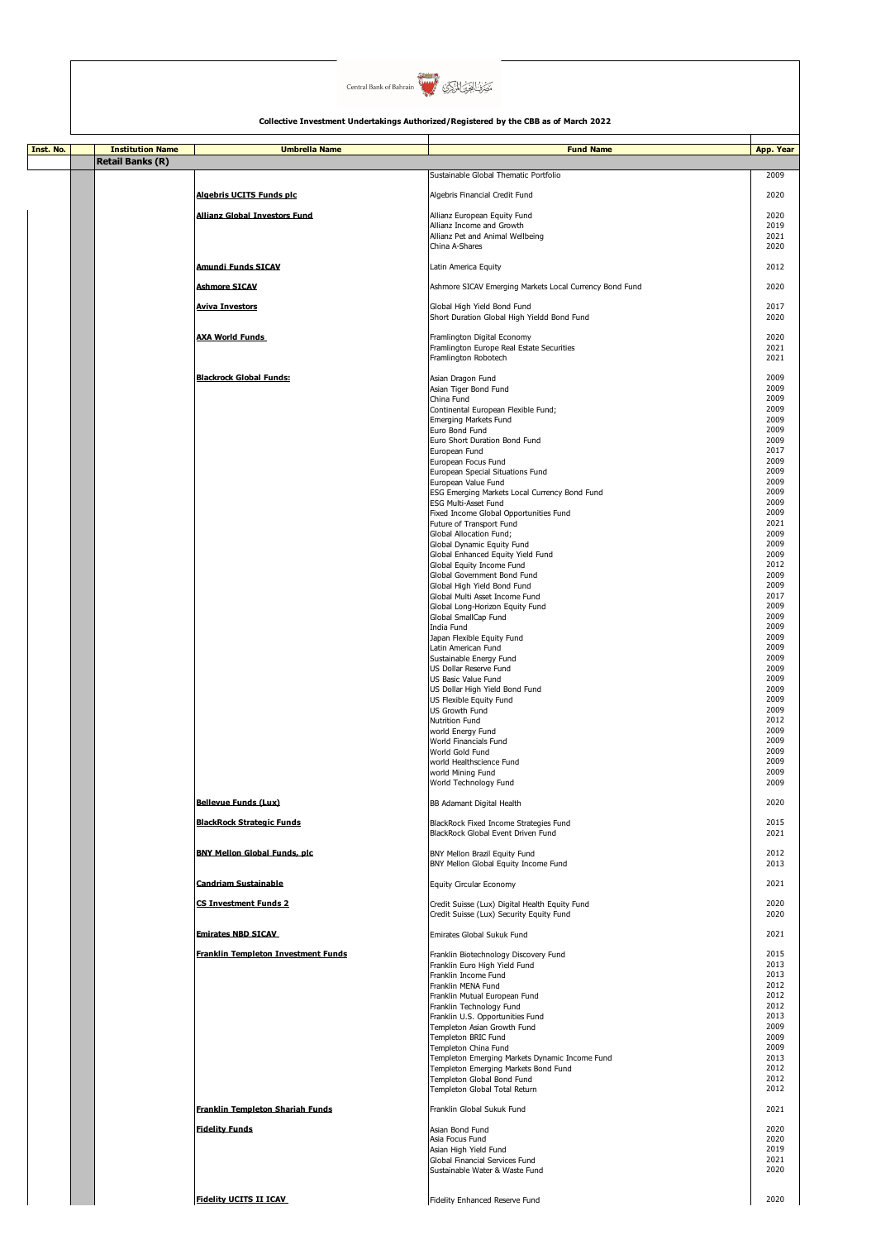

| Inst. No. | <b>Institution Name</b> | <b>Umbrella Name</b>                                            | <b>Fund Name</b>                                                                                 | <b>App. Year</b>     |
|-----------|-------------------------|-----------------------------------------------------------------|--------------------------------------------------------------------------------------------------|----------------------|
|           | <b>Retail Banks (R)</b> |                                                                 | Sustainable Global Thematic Portfolio                                                            |                      |
|           |                         |                                                                 |                                                                                                  | 2009                 |
|           |                         | Algebris UCITS Funds plc                                        | Algebris Financial Credit Fund                                                                   | 2020                 |
|           |                         | <b>Allianz Global Investors Fund</b>                            | Allianz European Equity Fund<br>Allianz Income and Growth                                        | 2020<br>2019         |
|           |                         |                                                                 | Allianz Pet and Animal Wellbeing<br>China A-Shares                                               | 2021<br>2020         |
|           |                         |                                                                 |                                                                                                  |                      |
|           |                         | <b>Amundi Funds SICAV</b>                                       | Latin America Equity                                                                             | 2012                 |
|           |                         | <b>Ashmore SICAV</b>                                            | Ashmore SICAV Emerging Markets Local Currency Bond Fund                                          | 2020                 |
|           |                         | <b>Aviva Investors</b>                                          | Global High Yield Bond Fund<br>Short Duration Global High Yieldd Bond Fund                       | 2017<br>2020         |
|           |                         | <b>AXA World Funds</b>                                          | Framlington Digital Economy<br>Framlington Europe Real Estate Securities<br>Framlington Robotech | 2020<br>2021<br>2021 |
|           |                         | <b>Blackrock Global Funds:</b>                                  | Asian Dragon Fund<br>Asian Tiger Bond Fund<br>China Fund                                         | 2009<br>2009<br>2009 |
|           |                         |                                                                 | Continental European Flexible Fund;                                                              | 2009<br>2009         |
|           |                         |                                                                 | Emerging Markets Fund<br>Euro Bond Fund                                                          | 2009                 |
|           |                         |                                                                 | Euro Short Duration Bond Fund<br>European Fund                                                   | 2009<br>2017         |
|           |                         |                                                                 | European Focus Fund                                                                              | 2009<br>2009         |
|           |                         |                                                                 | European Special Situations Fund<br>European Value Fund                                          | 2009                 |
|           |                         |                                                                 | ESG Emerging Markets Local Currency Bond Fund<br><b>ESG Multi-Asset Fund</b>                     | 2009<br>2009         |
|           |                         |                                                                 | Fixed Income Global Opportunities Fund                                                           | 2009                 |
|           |                         |                                                                 | Future of Transport Fund<br>Global Allocation Fund;                                              | 2021<br>2009         |
|           |                         |                                                                 | Global Dynamic Equity Fund<br>Global Enhanced Equity Yield Fund                                  | 2009<br>2009         |
|           |                         |                                                                 | Global Equity Income Fund                                                                        | 2012                 |
|           |                         |                                                                 | Global Government Bond Fund<br>Global High Yield Bond Fund                                       | 2009<br>2009         |
|           |                         |                                                                 | Global Multi Asset Income Fund<br>Global Long-Horizon Equity Fund                                | 2017<br>2009         |
|           |                         |                                                                 | Global SmallCap Fund                                                                             | 2009                 |
|           |                         |                                                                 | India Fund<br>Japan Flexible Equity Fund                                                         | 2009<br>2009         |
|           |                         |                                                                 | Latin American Fund<br>Sustainable Energy Fund                                                   | 2009<br>2009         |
|           |                         |                                                                 | US Dollar Reserve Fund                                                                           | 2009                 |
|           |                         |                                                                 | US Basic Value Fund<br>US Dollar High Yield Bond Fund                                            | 2009<br>2009         |
|           |                         |                                                                 | US Flexible Equity Fund                                                                          | 2009<br>2009         |
|           |                         |                                                                 | <b>US Growth Fund</b><br>Nutrition Fund                                                          | 2012                 |
|           |                         |                                                                 | world Energy Fund<br>World Financials Fund                                                       | 2009<br>2009         |
|           |                         |                                                                 | World Gold Fund                                                                                  | 2009                 |
|           |                         |                                                                 | world Healthscience Fund<br>world Mining Fund                                                    | 2009<br>2009         |
|           |                         |                                                                 | World Technology Fund                                                                            | 2009                 |
|           |                         | <b>Bellevue Funds (Lux)</b><br><b>BlackRock Strategic Funds</b> | BB Adamant Digital Health<br>BlackRock Fixed Income Strategies Fund                              | 2020<br>2015         |
|           |                         | <b>BNY Mellon Global Funds, plc</b>                             | BlackRock Global Event Driven Fund<br>BNY Mellon Brazil Equity Fund                              | 2021<br>2012         |
|           |                         |                                                                 | BNY Mellon Global Equity Income Fund                                                             | 2013                 |
|           |                         | <b>Candriam Sustainable</b>                                     | <b>Equity Circular Economy</b>                                                                   | 2021                 |
|           |                         | <b>CS Investment Funds 2</b>                                    | Credit Suisse (Lux) Digital Health Equity Fund<br>Credit Suisse (Lux) Security Equity Fund       | 2020<br>2020         |
|           |                         | <b>Emirates NBD SICAV</b>                                       | Emirates Global Sukuk Fund                                                                       | 2021                 |
|           |                         | <b>Franklin Templeton Investment Funds</b>                      | Franklin Biotechnology Discovery Fund<br>Franklin Euro High Yield Fund                           | 2015<br>2013         |
|           |                         |                                                                 | Franklin Income Fund                                                                             | 2013                 |
|           |                         |                                                                 | Franklin MENA Fund<br>Franklin Mutual European Fund                                              | 2012<br>2012         |
|           |                         |                                                                 | Franklin Technology Fund<br>Franklin U.S. Opportunities Fund                                     | 2012<br>2013         |
|           |                         |                                                                 | Templeton Asian Growth Fund                                                                      | 2009<br>2009         |
|           |                         |                                                                 | Templeton BRIC Fund<br>Templeton China Fund                                                      | 2009                 |
|           |                         |                                                                 | Templeton Emerging Markets Dynamic Income Fund<br>Templeton Emerging Markets Bond Fund           | 2013<br>2012         |
|           |                         |                                                                 | Templeton Global Bond Fund                                                                       | 2012                 |
|           |                         | <b>Franklin Templeton Shariah Funds</b>                         | Templeton Global Total Return<br>Franklin Global Sukuk Fund                                      | 2012<br>2021         |
|           |                         | <b>Fidelity Funds</b>                                           | Asian Bond Fund                                                                                  | 2020                 |
|           |                         |                                                                 | Asia Focus Fund                                                                                  | 2020                 |
|           |                         |                                                                 | Asian High Yield Fund<br>Global Financial Services Fund                                          | 2019<br>2021         |
|           |                         |                                                                 | Sustainable Water & Waste Fund                                                                   | 2020                 |
|           |                         | <b>Fidelity UCITS II ICAV</b>                                   | Fidelity Enhanced Reserve Fund                                                                   | 2020                 |
|           |                         |                                                                 |                                                                                                  |                      |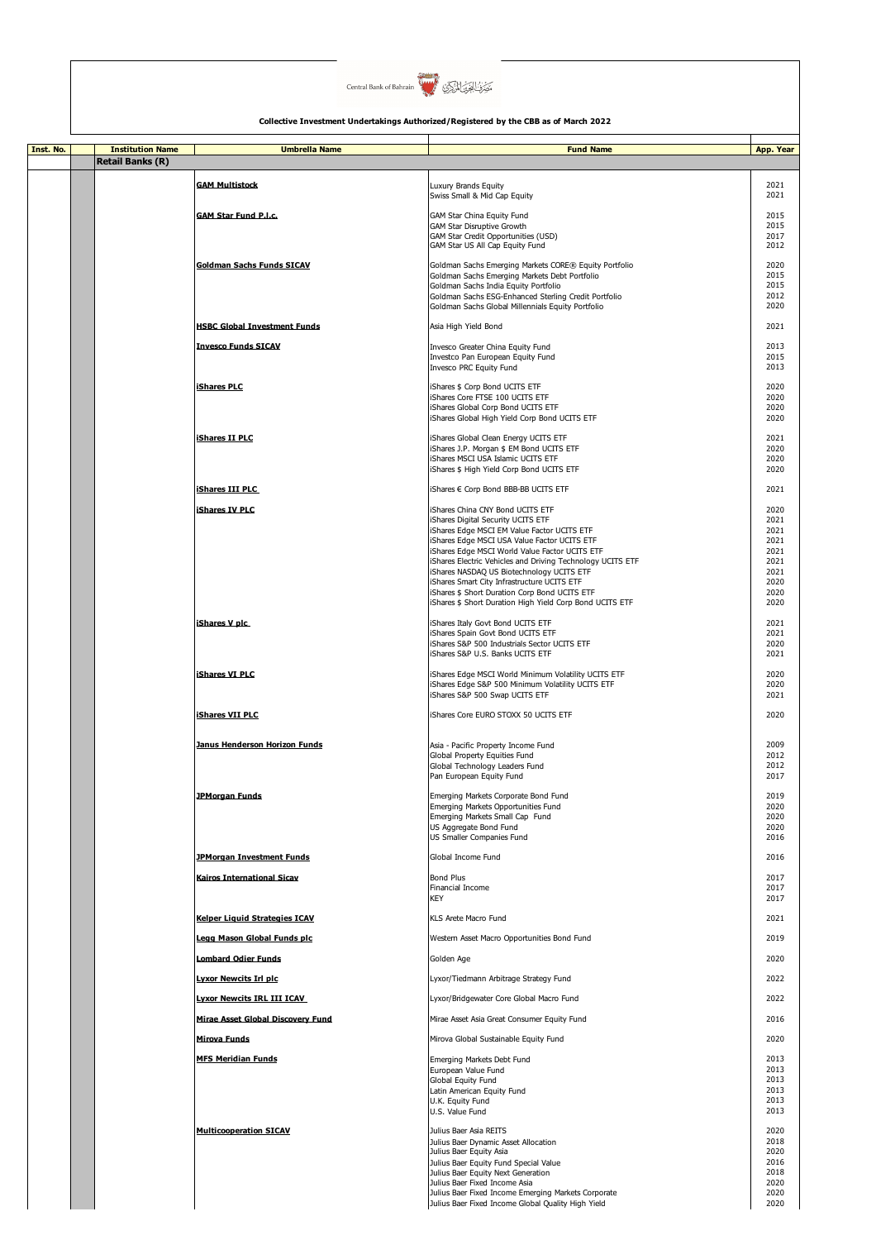

| Inst. No. | <b>Institution Name</b> | <b>Umbrella Name</b>                                                  | <b>Fund Name</b>                                                                                                                            | App. Year            |
|-----------|-------------------------|-----------------------------------------------------------------------|---------------------------------------------------------------------------------------------------------------------------------------------|----------------------|
|           | <b>Retail Banks (R)</b> |                                                                       |                                                                                                                                             |                      |
|           |                         | <b>GAM Multistock</b>                                                 | Luxury Brands Equity<br>Swiss Small & Mid Cap Equity                                                                                        | 2021<br>2021         |
|           |                         | <b>GAM Star Fund P.I.c.</b>                                           | GAM Star China Equity Fund                                                                                                                  | 2015                 |
|           |                         |                                                                       | <b>GAM Star Disruptive Growth</b><br>GAM Star Credit Opportunities (USD)<br>GAM Star US All Cap Equity Fund                                 | 2015<br>2017<br>2012 |
|           |                         | <b>Goldman Sachs Funds SICAV</b>                                      | Goldman Sachs Emerging Markets CORE® Equity Portfolio                                                                                       | 2020                 |
|           |                         |                                                                       | Goldman Sachs Emerging Markets Debt Portfolio<br>Goldman Sachs India Equity Portfolio                                                       | 2015<br>2015         |
|           |                         |                                                                       | Goldman Sachs ESG-Enhanced Sterling Credit Portfolio                                                                                        | 2012                 |
|           |                         |                                                                       | Goldman Sachs Global Millennials Equity Portfolio                                                                                           | 2020                 |
|           |                         | <b>HSBC Global Investment Funds</b>                                   | Asia High Yield Bond                                                                                                                        | 2021                 |
|           |                         | <b>Invesco Funds SICAV</b>                                            | Invesco Greater China Equity Fund<br>Investco Pan European Equity Fund<br>Invesco PRC Equity Fund                                           | 2013<br>2015<br>2013 |
|           |                         | <b>iShares PLC</b>                                                    | iShares \$ Corp Bond UCITS ETF                                                                                                              | 2020                 |
|           |                         |                                                                       | iShares Core FTSE 100 UCITS ETF<br>iShares Global Corp Bond UCITS ETF<br>iShares Global High Yield Corp Bond UCITS ETF                      | 2020<br>2020<br>2020 |
|           |                         | <b>iShares II PLC</b>                                                 | iShares Global Clean Energy UCITS ETF                                                                                                       | 2021                 |
|           |                         |                                                                       | iShares J.P. Morgan \$ EM Bond UCITS ETF<br>iShares MSCI USA Islamic UCITS ETF<br>iShares \$ High Yield Corp Bond UCITS ETF                 | 2020<br>2020<br>2020 |
|           |                         | <b>iShares III PLC</b>                                                | iShares € Corp Bond BBB-BB UCITS ETF                                                                                                        | 2021                 |
|           |                         | <b>iShares IV PLC</b>                                                 |                                                                                                                                             | 2020                 |
|           |                         |                                                                       | iShares China CNY Bond UCITS ETF<br>iShares Digital Security UCITS ETF                                                                      | 2021                 |
|           |                         |                                                                       | iShares Edge MSCI EM Value Factor UCITS ETF<br>iShares Edge MSCI USA Value Factor UCITS ETF                                                 | 2021<br>2021         |
|           |                         |                                                                       | iShares Edge MSCI World Value Factor UCITS ETF<br>iShares Electric Vehicles and Driving Technology UCITS ETF                                | 2021<br>2021         |
|           |                         |                                                                       | iShares NASDAQ US Biotechnology UCITS ETF                                                                                                   | 2021                 |
|           |                         |                                                                       | iShares Smart City Infrastructure UCITS ETF<br>iShares \$ Short Duration Corp Bond UCITS ETF                                                | 2020<br>2020         |
|           |                         |                                                                       | iShares \$ Short Duration High Yield Corp Bond UCITS ETF                                                                                    | 2020                 |
|           |                         | iShares V plc                                                         | iShares Italy Govt Bond UCITS ETF                                                                                                           | 2021                 |
|           |                         |                                                                       | iShares Spain Govt Bond UCITS ETF<br>iShares S&P 500 Industrials Sector UCITS ETF                                                           | 2021<br>2020         |
|           |                         |                                                                       | iShares S&P U.S. Banks UCITS ETF                                                                                                            | 2021                 |
|           |                         | <b>iShares VI PLC</b>                                                 | iShares Edge MSCI World Minimum Volatility UCITS ETF<br>iShares Edge S&P 500 Minimum Volatility UCITS ETF<br>iShares S&P 500 Swap UCITS ETF | 2020<br>2020<br>2021 |
|           |                         | <b>iShares VII PLC</b>                                                | iShares Core EURO STOXX 50 UCITS ETF                                                                                                        | 2020                 |
|           |                         | Janus Henderson Horizon Funds                                         | Asia - Pacific Property Income Fund                                                                                                         | 2009                 |
|           |                         |                                                                       | Global Property Equities Fund                                                                                                               | 2012                 |
|           |                         |                                                                       | Global Technology Leaders Fund<br>Pan European Equity Fund                                                                                  | 2012<br>2017         |
|           |                         | <b>JPMorgan Funds</b>                                                 | Emerging Markets Corporate Bond Fund                                                                                                        | 2019                 |
|           |                         |                                                                       | Emerging Markets Opportunities Fund<br>Emerging Markets Small Cap Fund                                                                      | 2020<br>2020         |
|           |                         |                                                                       | US Aggregate Bond Fund                                                                                                                      | 2020                 |
|           |                         |                                                                       | US Smaller Companies Fund<br>Global Income Fund                                                                                             | 2016                 |
|           |                         | <b>JPMorgan Investment Funds</b><br><b>Kairos International Sicav</b> | <b>Bond Plus</b>                                                                                                                            | 2016<br>2017         |
|           |                         |                                                                       | Financial Income<br><b>KEY</b>                                                                                                              | 2017<br>2017         |
|           |                         | <b>Kelper Liquid Strategies ICAV</b>                                  | KLS Arete Macro Fund                                                                                                                        | 2021                 |
|           |                         | Legg Mason Global Funds plc                                           | Western Asset Macro Opportunities Bond Fund                                                                                                 | 2019                 |
|           |                         | <b>Lombard Odier Funds</b>                                            | Golden Age                                                                                                                                  | 2020                 |
|           |                         | <u> Lyxor Newcits Irl plc</u>                                         | Lyxor/Tiedmann Arbitrage Strategy Fund                                                                                                      | 2022                 |
|           |                         | <b>Lyxor Newcits IRL III ICAV</b>                                     | Lyxor/Bridgewater Core Global Macro Fund                                                                                                    | 2022                 |
|           |                         | Mirae Asset Global Discovery Fund                                     | Mirae Asset Asia Great Consumer Equity Fund                                                                                                 | 2016                 |
|           |                         | <b>Mirova Funds</b>                                                   | Mirova Global Sustainable Equity Fund                                                                                                       | 2020                 |
|           |                         | <b>MFS Meridian Funds</b>                                             | Emerging Markets Debt Fund<br>European Value Fund                                                                                           | 2013<br>2013         |
|           |                         |                                                                       | Global Equity Fund                                                                                                                          | 2013                 |
|           |                         |                                                                       | Latin American Equity Fund<br>U.K. Equity Fund                                                                                              | 2013<br>2013         |
|           |                         |                                                                       | U.S. Value Fund                                                                                                                             | 2013                 |
|           |                         | <b>Multicooperation SICAV</b>                                         | Julius Baer Asia REITS<br>Julius Baer Dynamic Asset Allocation                                                                              | 2020<br>2018         |
|           |                         |                                                                       | Julius Baer Equity Asia                                                                                                                     | 2020                 |
|           |                         |                                                                       | Julius Baer Equity Fund Special Value<br>Julius Baer Equity Next Generation                                                                 | 2016<br>2018         |
|           |                         |                                                                       | Julius Baer Fixed Income Asia                                                                                                               | 2020                 |
|           |                         |                                                                       | Julius Baer Fixed Income Emerging Markets Corporate<br>Julius Baer Fixed Income Global Quality High Yield                                   | 2020<br>2020         |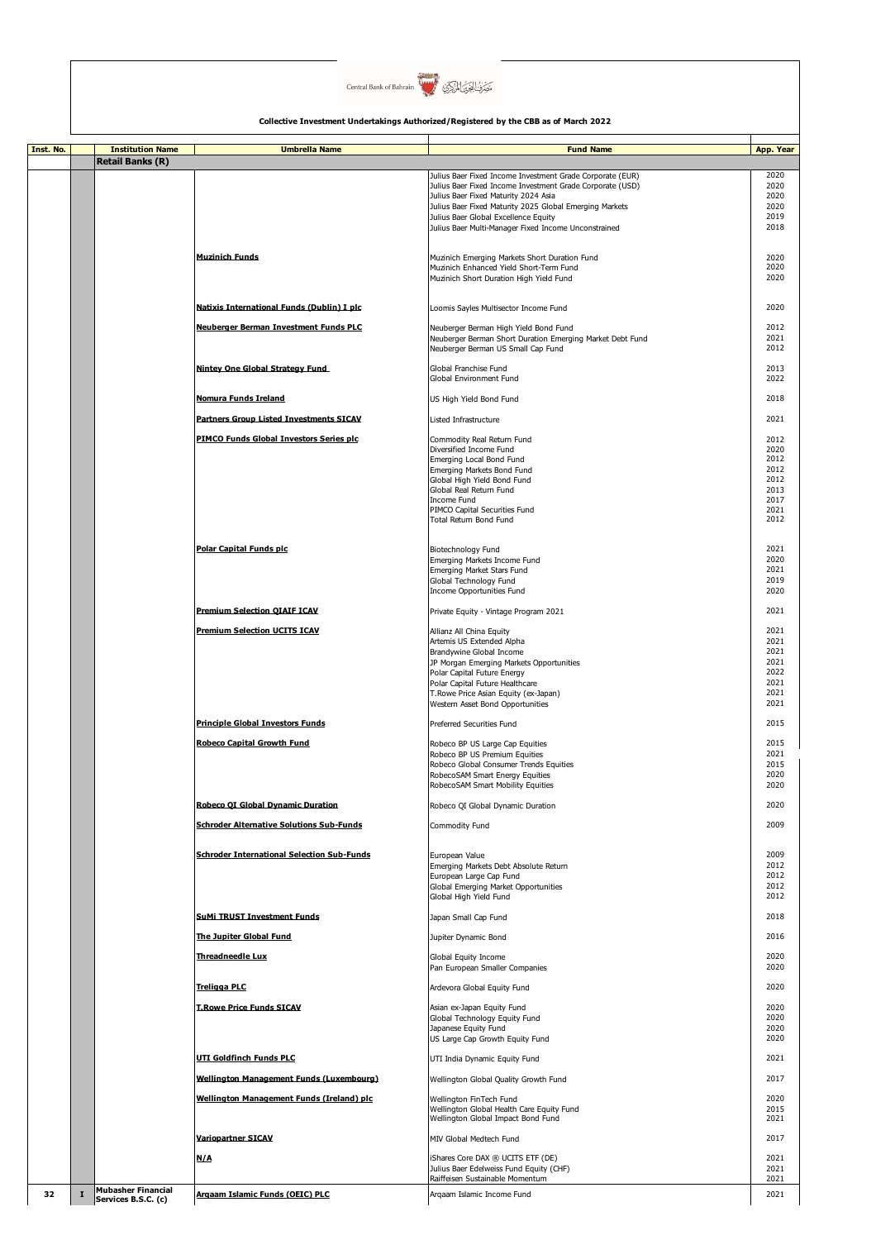

| Inst. No. |              | <b>Institution Name</b>                          | <b>Umbrella Name</b>                              | <b>Fund Name</b>                                                                                                       | App. Year    |
|-----------|--------------|--------------------------------------------------|---------------------------------------------------|------------------------------------------------------------------------------------------------------------------------|--------------|
|           |              | <b>Retail Banks (R)</b>                          |                                                   |                                                                                                                        |              |
|           |              |                                                  |                                                   | Julius Baer Fixed Income Investment Grade Corporate (EUR)<br>Julius Baer Fixed Income Investment Grade Corporate (USD) | 2020<br>2020 |
|           |              |                                                  |                                                   | Julius Baer Fixed Maturity 2024 Asia                                                                                   | 2020         |
|           |              |                                                  |                                                   | Julius Baer Fixed Maturity 2025 Global Emerging Markets                                                                | 2020         |
|           |              |                                                  |                                                   | Julius Baer Global Excellence Equity                                                                                   | 2019         |
|           |              |                                                  |                                                   | Julius Baer Multi-Manager Fixed Income Unconstrained                                                                   | 2018         |
|           |              |                                                  |                                                   |                                                                                                                        |              |
|           |              |                                                  | <b>Muzinich Funds</b>                             | Muzinich Emerging Markets Short Duration Fund                                                                          | 2020         |
|           |              |                                                  |                                                   | Muzinich Enhanced Yield Short-Term Fund                                                                                | 2020         |
|           |              |                                                  |                                                   | Muzinich Short Duration High Yield Fund                                                                                | 2020         |
|           |              |                                                  |                                                   |                                                                                                                        |              |
|           |              |                                                  | Natixis International Funds (Dublin) I plc        | Loomis Sayles Multisector Income Fund                                                                                  | 2020         |
|           |              |                                                  |                                                   |                                                                                                                        |              |
|           |              |                                                  | Neuberger Berman Investment Funds PLC             | Neuberger Berman High Yield Bond Fund<br>Neuberger Berman Short Duration Emerging Market Debt Fund                     | 2012<br>2021 |
|           |              |                                                  |                                                   | Neuberger Berman US Small Cap Fund                                                                                     | 2012         |
|           |              |                                                  |                                                   |                                                                                                                        |              |
|           |              |                                                  | Nintey One Global Strategy Fund                   | Global Franchise Fund                                                                                                  | 2013         |
|           |              |                                                  |                                                   | Global Environment Fund                                                                                                | 2022         |
|           |              |                                                  | Nomura Funds Ireland                              | US High Yield Bond Fund                                                                                                | 2018         |
|           |              |                                                  |                                                   |                                                                                                                        |              |
|           |              |                                                  | <b>Partners Group Listed Investments SICAV</b>    | Listed Infrastructure                                                                                                  | 2021         |
|           |              |                                                  | PIMCO Funds Global Investors Series plc           | Commodity Real Return Fund                                                                                             | 2012         |
|           |              |                                                  |                                                   | Diversified Income Fund                                                                                                | 2020         |
|           |              |                                                  |                                                   | Emerging Local Bond Fund                                                                                               | 2012         |
|           |              |                                                  |                                                   | Emerging Markets Bond Fund                                                                                             | 2012<br>2012 |
|           |              |                                                  |                                                   | Global High Yield Bond Fund<br>Global Real Return Fund                                                                 | 2013         |
|           |              |                                                  |                                                   | Income Fund                                                                                                            | 2017         |
|           |              |                                                  |                                                   | PIMCO Capital Securities Fund                                                                                          | 2021         |
|           |              |                                                  |                                                   | Total Return Bond Fund                                                                                                 | 2012         |
|           |              |                                                  |                                                   |                                                                                                                        |              |
|           |              |                                                  | <b>Polar Capital Funds plc</b>                    | Biotechnology Fund                                                                                                     | 2021         |
|           |              |                                                  |                                                   | Emerging Markets Income Fund                                                                                           | 2020         |
|           |              |                                                  |                                                   | Emerging Market Stars Fund                                                                                             | 2021         |
|           |              |                                                  |                                                   | Global Technology Fund                                                                                                 | 2019<br>2020 |
|           |              |                                                  |                                                   | Income Opportunities Fund                                                                                              |              |
|           |              |                                                  | <b>Premium Selection OIAIF ICAV</b>               | Private Equity - Vintage Program 2021                                                                                  | 2021         |
|           |              |                                                  |                                                   |                                                                                                                        |              |
|           |              |                                                  | <b>Premium Selection UCITS ICAV</b>               | Allianz All China Equity                                                                                               | 2021<br>2021 |
|           |              |                                                  |                                                   | Artemis US Extended Alpha<br>Brandywine Global Income                                                                  | 2021         |
|           |              |                                                  |                                                   | JP Morgan Emerging Markets Opportunities                                                                               | 2021         |
|           |              |                                                  |                                                   | Polar Capital Future Energy                                                                                            | 2022         |
|           |              |                                                  |                                                   | Polar Capital Future Healthcare                                                                                        | 2021         |
|           |              |                                                  |                                                   | T. Rowe Price Asian Equity (ex-Japan)<br>Western Asset Bond Opportunities                                              | 2021<br>2021 |
|           |              |                                                  |                                                   |                                                                                                                        |              |
|           |              |                                                  | <b>Principle Global Investors Funds</b>           | Preferred Securities Fund                                                                                              | 2015         |
|           |              |                                                  | <b>Robeco Capital Growth Fund</b>                 |                                                                                                                        | 2015         |
|           |              |                                                  |                                                   | Robeco BP US Large Cap Equities<br>Robeco BP US Premium Equities                                                       | 2021         |
|           |              |                                                  |                                                   | Robeco Global Consumer Trends Equities                                                                                 | 2015         |
|           |              |                                                  |                                                   | RobecoSAM Smart Energy Equities                                                                                        | 2020         |
|           |              |                                                  |                                                   | RobecoSAM Smart Mobility Equities                                                                                      | 2020         |
|           |              |                                                  | Robeco QI Global Dynamic Duration                 | Robeco QI Global Dynamic Duration                                                                                      | 2020         |
|           |              |                                                  |                                                   |                                                                                                                        |              |
|           |              |                                                  | <b>Schroder Alternative Solutions Sub-Funds</b>   | Commodity Fund                                                                                                         | 2009         |
|           |              |                                                  |                                                   |                                                                                                                        |              |
|           |              |                                                  | <b>Schroder International Selection Sub-Funds</b> | European Value                                                                                                         | 2009         |
|           |              |                                                  |                                                   | Emerging Markets Debt Absolute Return                                                                                  | 2012         |
|           |              |                                                  |                                                   | European Large Cap Fund                                                                                                | 2012         |
|           |              |                                                  |                                                   | Global Emerging Market Opportunities                                                                                   | 2012         |
|           |              |                                                  |                                                   | Global High Yield Fund                                                                                                 | 2012         |
|           |              |                                                  | <b>SuMi TRUST Investment Funds</b>                | Japan Small Cap Fund                                                                                                   | 2018         |
|           |              |                                                  |                                                   |                                                                                                                        |              |
|           |              |                                                  | The Juniter Global Fund                           | Jupiter Dynamic Bond                                                                                                   | 2016         |
|           |              |                                                  | <b>Threadneedle Lux</b>                           | Global Equity Income                                                                                                   | 2020         |
|           |              |                                                  |                                                   | Pan European Smaller Companies                                                                                         | 2020         |
|           |              |                                                  |                                                   |                                                                                                                        |              |
|           |              |                                                  | <b>Treligga PLC</b>                               | Ardevora Global Equity Fund                                                                                            | 2020         |
|           |              |                                                  | <b>T.Rowe Price Funds SICAV</b>                   | Asian ex-Japan Equity Fund                                                                                             | 2020         |
|           |              |                                                  |                                                   | Global Technology Equity Fund                                                                                          | 2020         |
|           |              |                                                  |                                                   | Japanese Equity Fund                                                                                                   | 2020         |
|           |              |                                                  |                                                   | US Large Cap Growth Equity Fund                                                                                        | 2020         |
|           |              |                                                  | <u>UTI Goldfinch Funds PLC</u>                    | UTI India Dynamic Equity Fund                                                                                          | 2021         |
|           |              |                                                  |                                                   |                                                                                                                        |              |
|           |              |                                                  | Wellington Management Funds (Luxembourg)          | Wellington Global Quality Growth Fund                                                                                  | 2017         |
|           |              |                                                  | Wellington Management Funds (Ireland) plc         | Wellington FinTech Fund                                                                                                | 2020         |
|           |              |                                                  |                                                   | Wellington Global Health Care Equity Fund                                                                              | 2015         |
|           |              |                                                  |                                                   | Wellington Global Impact Bond Fund                                                                                     | 2021         |
|           |              |                                                  | <b>Variopartner SICAV</b>                         |                                                                                                                        | 2017         |
|           |              |                                                  |                                                   | MIV Global Medtech Fund                                                                                                |              |
|           |              |                                                  | N/A                                               | iShares Core DAX ® UCITS ETF (DE)                                                                                      | 2021         |
|           |              |                                                  |                                                   | Julius Baer Edelweiss Fund Equity (CHF)                                                                                | 2021         |
|           |              |                                                  |                                                   | Raiffeisen Sustainable Momentum                                                                                        | 2021         |
| 32        | $\mathbf{I}$ | <b>Mubasher Financial</b><br>Services B.S.C. (c) | Argaam Islamic Funds (OEIC) PLC                   | Argaam Islamic Income Fund                                                                                             | 2021         |
|           |              |                                                  |                                                   |                                                                                                                        |              |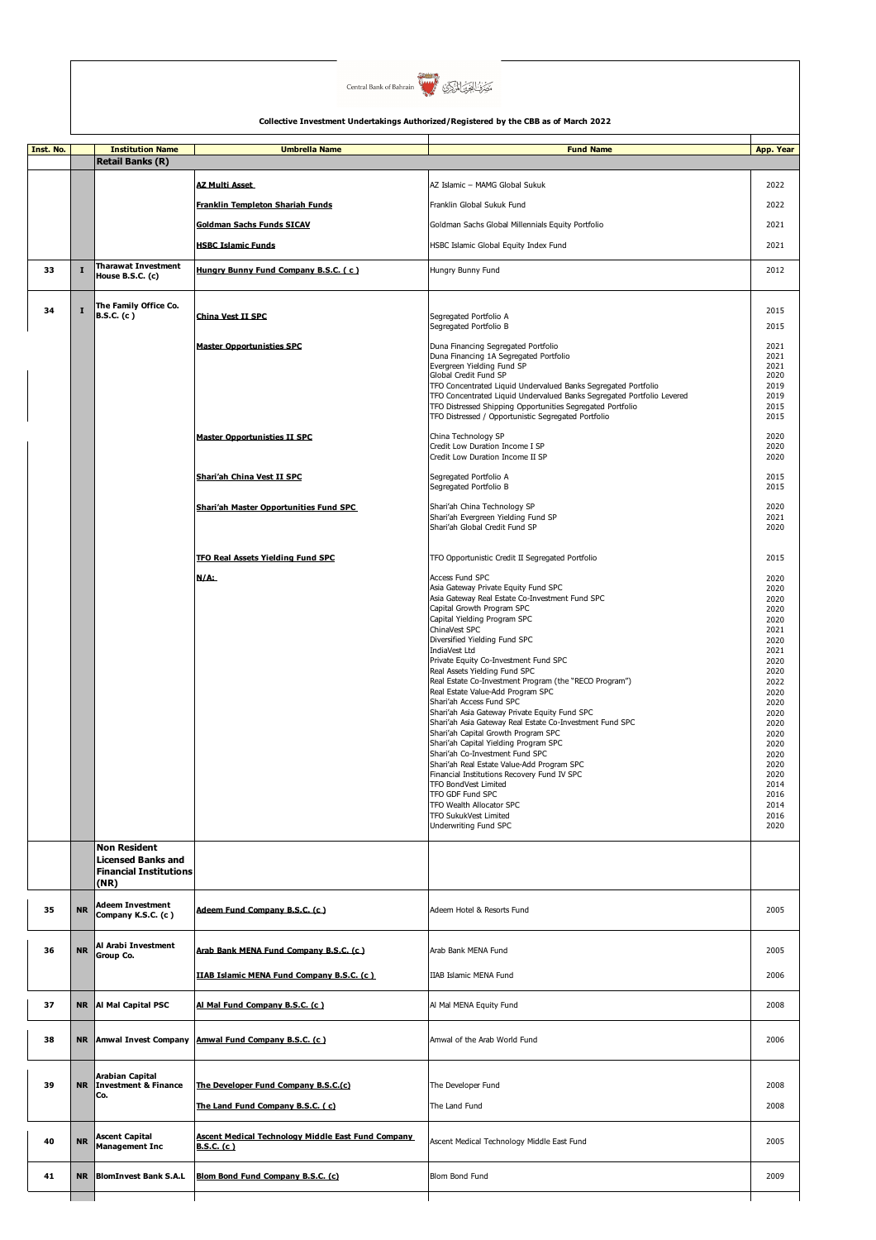

| Inst. No. |             | <b>Institution Name</b><br><b>Retail Banks (R)</b>                                        | <b>Umbrella Name</b>                                                           | <b>Fund Name</b>                                                                                                                                                                                                                                                                                                                                                                                                                                                                                                                                                                                                                                                                                                                                                                                                                                                                                        | App. Year                                                                                                                                                                                            |
|-----------|-------------|-------------------------------------------------------------------------------------------|--------------------------------------------------------------------------------|---------------------------------------------------------------------------------------------------------------------------------------------------------------------------------------------------------------------------------------------------------------------------------------------------------------------------------------------------------------------------------------------------------------------------------------------------------------------------------------------------------------------------------------------------------------------------------------------------------------------------------------------------------------------------------------------------------------------------------------------------------------------------------------------------------------------------------------------------------------------------------------------------------|------------------------------------------------------------------------------------------------------------------------------------------------------------------------------------------------------|
|           |             |                                                                                           | <b>AZ Multi Asset</b>                                                          | AZ Islamic - MAMG Global Sukuk                                                                                                                                                                                                                                                                                                                                                                                                                                                                                                                                                                                                                                                                                                                                                                                                                                                                          | 2022                                                                                                                                                                                                 |
|           |             |                                                                                           | <b>Franklin Templeton Shariah Funds</b>                                        | Franklin Global Sukuk Fund                                                                                                                                                                                                                                                                                                                                                                                                                                                                                                                                                                                                                                                                                                                                                                                                                                                                              | 2022                                                                                                                                                                                                 |
|           |             |                                                                                           | <b>Goldman Sachs Funds SICAV</b>                                               | Goldman Sachs Global Millennials Equity Portfolio                                                                                                                                                                                                                                                                                                                                                                                                                                                                                                                                                                                                                                                                                                                                                                                                                                                       | 2021                                                                                                                                                                                                 |
|           |             |                                                                                           | <b>HSBC Islamic Funds</b>                                                      | HSBC Islamic Global Equity Index Fund                                                                                                                                                                                                                                                                                                                                                                                                                                                                                                                                                                                                                                                                                                                                                                                                                                                                   | 2021                                                                                                                                                                                                 |
| 33        | $\mathbf I$ | <b>Tharawat Investment</b><br>House B.S.C. (c)                                            | Hungry Bunny Fund Company B.S.C. (c)                                           | Hungry Bunny Fund                                                                                                                                                                                                                                                                                                                                                                                                                                                                                                                                                                                                                                                                                                                                                                                                                                                                                       | 2012                                                                                                                                                                                                 |
| 34        | $\mathbf I$ | The Family Office Co.<br><b>B.S.C.</b> (c)                                                | China Vest II SPC                                                              | Segregated Portfolio A                                                                                                                                                                                                                                                                                                                                                                                                                                                                                                                                                                                                                                                                                                                                                                                                                                                                                  | 2015                                                                                                                                                                                                 |
|           |             |                                                                                           |                                                                                | Segregated Portfolio B                                                                                                                                                                                                                                                                                                                                                                                                                                                                                                                                                                                                                                                                                                                                                                                                                                                                                  | 2015                                                                                                                                                                                                 |
|           |             |                                                                                           | <b>Master Opportunisties SPC</b>                                               | Duna Financing Segregated Portfolio<br>Duna Financing 1A Segregated Portfolio<br>Evergreen Yielding Fund SP<br>Global Credit Fund SP<br>TFO Concentrated Liquid Undervalued Banks Segregated Portfolio<br>TFO Concentrated Liquid Undervalued Banks Segregated Portfolio Levered<br>TFO Distressed Shipping Opportunities Segregated Portfolio<br>TFO Distressed / Opportunistic Segregated Portfolio                                                                                                                                                                                                                                                                                                                                                                                                                                                                                                   | 2021<br>2021<br>2021<br>2020<br>2019<br>2019<br>2015<br>2015                                                                                                                                         |
|           |             |                                                                                           | <b>Master Opportunisties II SPC</b>                                            | China Technology SP<br>Credit Low Duration Income I SP<br>Credit Low Duration Income II SP                                                                                                                                                                                                                                                                                                                                                                                                                                                                                                                                                                                                                                                                                                                                                                                                              | 2020<br>2020<br>2020                                                                                                                                                                                 |
|           |             |                                                                                           | Shari'ah China Vest II SPC                                                     | Segregated Portfolio A<br>Segregated Portfolio B                                                                                                                                                                                                                                                                                                                                                                                                                                                                                                                                                                                                                                                                                                                                                                                                                                                        | 2015<br>2015                                                                                                                                                                                         |
|           |             |                                                                                           | <b>Shari'ah Master Opportunities Fund SPC</b>                                  | Shari'ah China Technology SP<br>Shari'ah Evergreen Yielding Fund SP<br>Shari'ah Global Credit Fund SP                                                                                                                                                                                                                                                                                                                                                                                                                                                                                                                                                                                                                                                                                                                                                                                                   | 2020<br>2021<br>2020                                                                                                                                                                                 |
|           |             |                                                                                           | TFO Real Assets Yielding Fund SPC                                              | TFO Opportunistic Credit II Segregated Portfolio                                                                                                                                                                                                                                                                                                                                                                                                                                                                                                                                                                                                                                                                                                                                                                                                                                                        | 2015                                                                                                                                                                                                 |
|           |             |                                                                                           | N/A:                                                                           | Access Fund SPC<br>Asia Gateway Private Equity Fund SPC<br>Asia Gateway Real Estate Co-Investment Fund SPC<br>Capital Growth Program SPC<br>Capital Yielding Program SPC<br>ChinaVest SPC<br>Diversified Yielding Fund SPC<br>IndiaVest Ltd<br>Private Equity Co-Investment Fund SPC<br>Real Assets Yielding Fund SPC<br>Real Estate Co-Investment Program (the "RECO Program")<br>Real Estate Value-Add Program SPC<br>Shari'ah Access Fund SPC<br>Shari'ah Asia Gateway Private Equity Fund SPC<br>Shari'ah Asia Gateway Real Estate Co-Investment Fund SPC<br>Shari'ah Capital Growth Program SPC<br>Shari'ah Capital Yielding Program SPC<br>Shari'ah Co-Investment Fund SPC<br>Shari'ah Real Estate Value-Add Program SPC<br>Financial Institutions Recovery Fund IV SPC<br>TFO BondVest Limited<br>TFO GDF Fund SPC<br>TFO Wealth Allocator SPC<br>TFO SukukVest Limited<br>Underwriting Fund SPC | 2020<br>2020<br>2020<br>2020<br>2020<br>2021<br>2020<br>2021<br>2020<br>2020<br>2022<br>2020<br>2020<br>2020<br>2020<br>2020<br>2020<br>2020<br>2020<br>2020<br>2014<br>2016<br>2014<br>2016<br>2020 |
|           |             | <b>Non Resident</b><br><b>Licensed Banks and</b><br><b>Financial Institutions</b><br>(NR) |                                                                                |                                                                                                                                                                                                                                                                                                                                                                                                                                                                                                                                                                                                                                                                                                                                                                                                                                                                                                         |                                                                                                                                                                                                      |
| 35        | <b>NR</b>   | <b>Adeem Investment</b><br>Company K.S.C. (c)                                             | Adeem Fund Company B.S.C. (c.)                                                 | Adeem Hotel & Resorts Fund                                                                                                                                                                                                                                                                                                                                                                                                                                                                                                                                                                                                                                                                                                                                                                                                                                                                              | 2005                                                                                                                                                                                                 |
| 36        | <b>NR</b>   | Al Arabi Investment<br>Group Co.                                                          | Arab Bank MENA Fund Company B.S.C. (c)                                         | Arab Bank MENA Fund                                                                                                                                                                                                                                                                                                                                                                                                                                                                                                                                                                                                                                                                                                                                                                                                                                                                                     | 2005                                                                                                                                                                                                 |
|           |             |                                                                                           | IIAB Islamic MENA Fund Company B.S.C. (c)                                      | IIAB Islamic MENA Fund                                                                                                                                                                                                                                                                                                                                                                                                                                                                                                                                                                                                                                                                                                                                                                                                                                                                                  | 2006                                                                                                                                                                                                 |
| 37        | <b>NR</b>   | Al Mal Capital PSC                                                                        | Al Mal Fund Company B.S.C. (c)                                                 | Al Mal MENA Equity Fund                                                                                                                                                                                                                                                                                                                                                                                                                                                                                                                                                                                                                                                                                                                                                                                                                                                                                 | 2008                                                                                                                                                                                                 |
| 38        | <b>NR</b>   | <b>Amwal Invest Company</b>                                                               | Amwal Fund Company B.S.C. (c.)                                                 | Amwal of the Arab World Fund                                                                                                                                                                                                                                                                                                                                                                                                                                                                                                                                                                                                                                                                                                                                                                                                                                                                            | 2006                                                                                                                                                                                                 |
| 39        | <b>NR</b>   | Arabian Capital<br><b>Investment &amp; Finance</b><br>Co.                                 | The Developer Fund Company B.S.C.(c)<br>The Land Fund Company B.S.C. (c)       | The Developer Fund<br>The Land Fund                                                                                                                                                                                                                                                                                                                                                                                                                                                                                                                                                                                                                                                                                                                                                                                                                                                                     | 2008<br>2008                                                                                                                                                                                         |
| 40        | <b>NR</b>   | <b>Ascent Capital</b><br><b>Management Inc</b>                                            | <b>Ascent Medical Technology Middle East Fund Company</b><br><b>B.S.C. (c)</b> | Ascent Medical Technology Middle East Fund                                                                                                                                                                                                                                                                                                                                                                                                                                                                                                                                                                                                                                                                                                                                                                                                                                                              | 2005                                                                                                                                                                                                 |
| 41        | <b>NR</b>   | <b>BlomInvest Bank S.A.L</b>                                                              | Blom Bond Fund Company B.S.C. (c)                                              | Blom Bond Fund                                                                                                                                                                                                                                                                                                                                                                                                                                                                                                                                                                                                                                                                                                                                                                                                                                                                                          | 2009                                                                                                                                                                                                 |
|           |             |                                                                                           |                                                                                |                                                                                                                                                                                                                                                                                                                                                                                                                                                                                                                                                                                                                                                                                                                                                                                                                                                                                                         |                                                                                                                                                                                                      |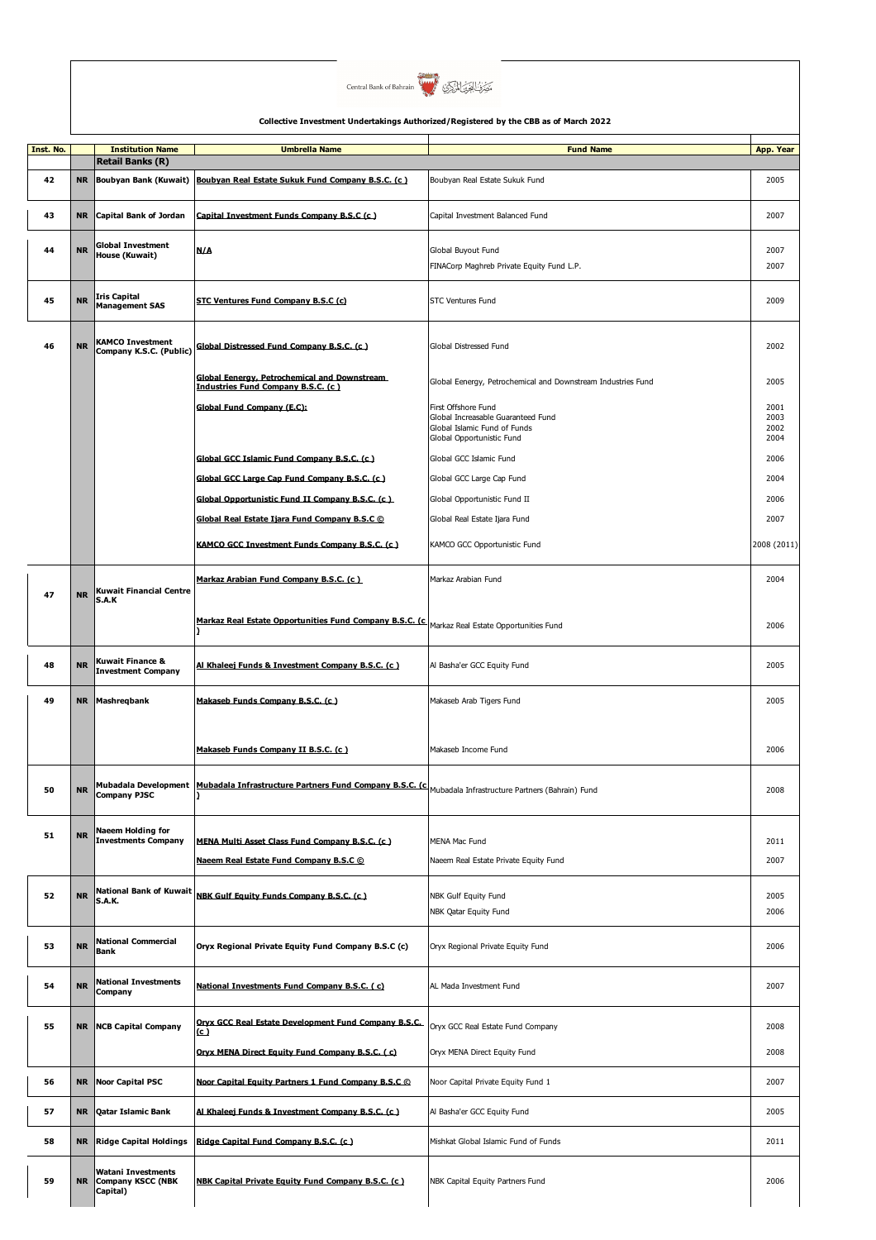

| Inst. No. |           | <b>Institution Name</b>                                    | <b>Umbrella Name</b>                                                                                                                | <b>Fund Name</b>                                             | App. Year    |
|-----------|-----------|------------------------------------------------------------|-------------------------------------------------------------------------------------------------------------------------------------|--------------------------------------------------------------|--------------|
|           |           | <b>Retail Banks (R)</b>                                    |                                                                                                                                     |                                                              |              |
|           |           |                                                            | Boubvan Real Estate Sukuk Fund Company B.S.C. (c)                                                                                   |                                                              |              |
| 42        | <b>NR</b> | Boubyan Bank (Kuwait)                                      |                                                                                                                                     | Boubyan Real Estate Sukuk Fund                               | 2005         |
| 43        | NR        | Capital Bank of Jordan                                     | Capital Investment Funds Company B.S.C (c)                                                                                          | Capital Investment Balanced Fund                             | 2007         |
| 44        | <b>NR</b> | Global Investment                                          | N/A                                                                                                                                 | Global Buyout Fund                                           | 2007         |
|           |           | House (Kuwait)                                             |                                                                                                                                     | FINACorp Maghreb Private Equity Fund L.P.                    | 2007         |
|           |           |                                                            |                                                                                                                                     |                                                              |              |
| 45        | <b>NR</b> | Iris Capital<br><b>Management SAS</b>                      | STC Ventures Fund Company B.S.C (c)                                                                                                 | <b>STC Ventures Fund</b>                                     | 2009         |
| 46        | <b>NR</b> | KAMCO Investment<br>Company K.S.C. (Public)                | Global Distressed Fund Company B.S.C. (c)                                                                                           | Global Distressed Fund                                       | 2002         |
|           |           |                                                            | <b>Global Eenergy, Petrochemical and Downstream</b><br>Industries Fund Company B.S.C. (c.)                                          | Global Eenergy, Petrochemical and Downstream Industries Fund | 2005         |
|           |           |                                                            | Global Fund Company (E.C):                                                                                                          | First Offshore Fund                                          | 2001         |
|           |           |                                                            |                                                                                                                                     | Global Increasable Guaranteed Fund                           | 2003         |
|           |           |                                                            |                                                                                                                                     | Global Islamic Fund of Funds<br>Global Opportunistic Fund    | 2002<br>2004 |
|           |           |                                                            |                                                                                                                                     |                                                              |              |
|           |           |                                                            | Global GCC Islamic Fund Company B.S.C. (c.)                                                                                         | Global GCC Islamic Fund                                      | 2006         |
|           |           |                                                            | Global GCC Large Cap Fund Company B.S.C. (c)                                                                                        | Global GCC Large Cap Fund                                    | 2004         |
|           |           |                                                            | Global Opportunistic Fund II Company B.S.C. (c.)                                                                                    | Global Opportunistic Fund II                                 | 2006         |
|           |           |                                                            |                                                                                                                                     |                                                              |              |
|           |           |                                                            | Global Real Estate Ijara Fund Company B.S.C ©                                                                                       | Global Real Estate Ijara Fund                                | 2007         |
|           |           |                                                            | KAMCO GCC Investment Funds Company B.S.C. (c)                                                                                       | KAMCO GCC Opportunistic Fund                                 | 2008 (2011)  |
| 47        | <b>NR</b> | Kuwait Financial Centre<br>S.A.K                           | Markaz Arabian Fund Company B.S.C. (c)                                                                                              | Markaz Arabian Fund                                          | 2004         |
|           |           |                                                            | Markaz Real Estate Opportunities Fund Company B.S.C. (c)<br>ı                                                                       | Markaz Real Estate Opportunities Fund                        | 2006         |
| 48        | <b>NR</b> | Kuwait Finance &<br><b>Investment Company</b>              | Al Khaleej Funds & Investment Company B.S.C. (c)                                                                                    | Al Basha'er GCC Equity Fund                                  | 2005         |
| 49        | <b>NR</b> | Mashreqbank                                                | Makaseb Funds Company B.S.C. (c.)                                                                                                   | Makaseb Arab Tigers Fund                                     | 2005         |
|           |           |                                                            | Makaseb Funds Company II B.S.C. (c.)                                                                                                | Makaseb Income Fund                                          | 2006         |
| 50        | <b>NR</b> | <b>Company PJSC</b>                                        | <b>Mubadala Development</b> Mubadala Infrastructure Partners Fund Company B.S.C. (C Mubadala Infrastructure Partners (Bahrain) Fund |                                                              | 2008         |
|           |           |                                                            |                                                                                                                                     |                                                              |              |
| 51        | <b>NR</b> | Naeem Holding for<br><b>Investments Company</b>            | MENA Multi Asset Class Fund Company B.S.C. (c.)                                                                                     | MENA Mac Fund                                                | 2011         |
|           |           |                                                            | Naeem Real Estate Fund Company B.S.C ©                                                                                              | Naeem Real Estate Private Equity Fund                        | 2007         |
|           |           |                                                            |                                                                                                                                     |                                                              |              |
| 52        | <b>NR</b> | National Bank of Kuwait<br>S.A.K.                          | NBK Gulf Equity Funds Company B.S.C. (c)                                                                                            | NBK Gulf Equity Fund<br>NBK Qatar Equity Fund                | 2005<br>2006 |
| 53        | <b>NR</b> | <b>National Commercial</b><br>Bank                         | Oryx Regional Private Equity Fund Company B.S.C (c)                                                                                 | Oryx Regional Private Equity Fund                            | 2006         |
| 54        | <b>NR</b> | <b>National Investments</b><br>Company                     | National Investments Fund Company B.S.C. (c)                                                                                        | AL Mada Investment Fund                                      | 2007         |
| 55        | <b>NR</b> | <b>NCB Capital Company</b>                                 | Oryx GCC Real Estate Development Fund Company B.S.C.                                                                                | Oryx GCC Real Estate Fund Company                            | 2008         |
|           |           |                                                            | (c)                                                                                                                                 |                                                              |              |
|           |           |                                                            | Oryx MENA Direct Equity Fund Company B.S.C. (c)                                                                                     | Oryx MENA Direct Equity Fund                                 | 2008         |
| 56        | <b>NR</b> | <b>Noor Capital PSC</b>                                    | Noor Capital Equity Partners 1 Fund Company B.S.C ©                                                                                 | Noor Capital Private Equity Fund 1                           | 2007         |
| 57        | <b>NR</b> | Qatar Islamic Bank                                         | Al Khaleej Funds & Investment Company B.S.C. (c.)                                                                                   | Al Basha'er GCC Equity Fund                                  | 2005         |
| 58        | <b>NR</b> | <b>Ridge Capital Holdings</b>                              | Ridge Capital Fund Company B.S.C. (c.)                                                                                              | Mishkat Global Islamic Fund of Funds                         | 2011         |
| 59        | <b>NR</b> | Watani Investments<br><b>Company KSCC (NBK</b><br>Capital) | NBK Capital Private Equity Fund Company B.S.C. (c)                                                                                  | NBK Capital Equity Partners Fund                             | 2006         |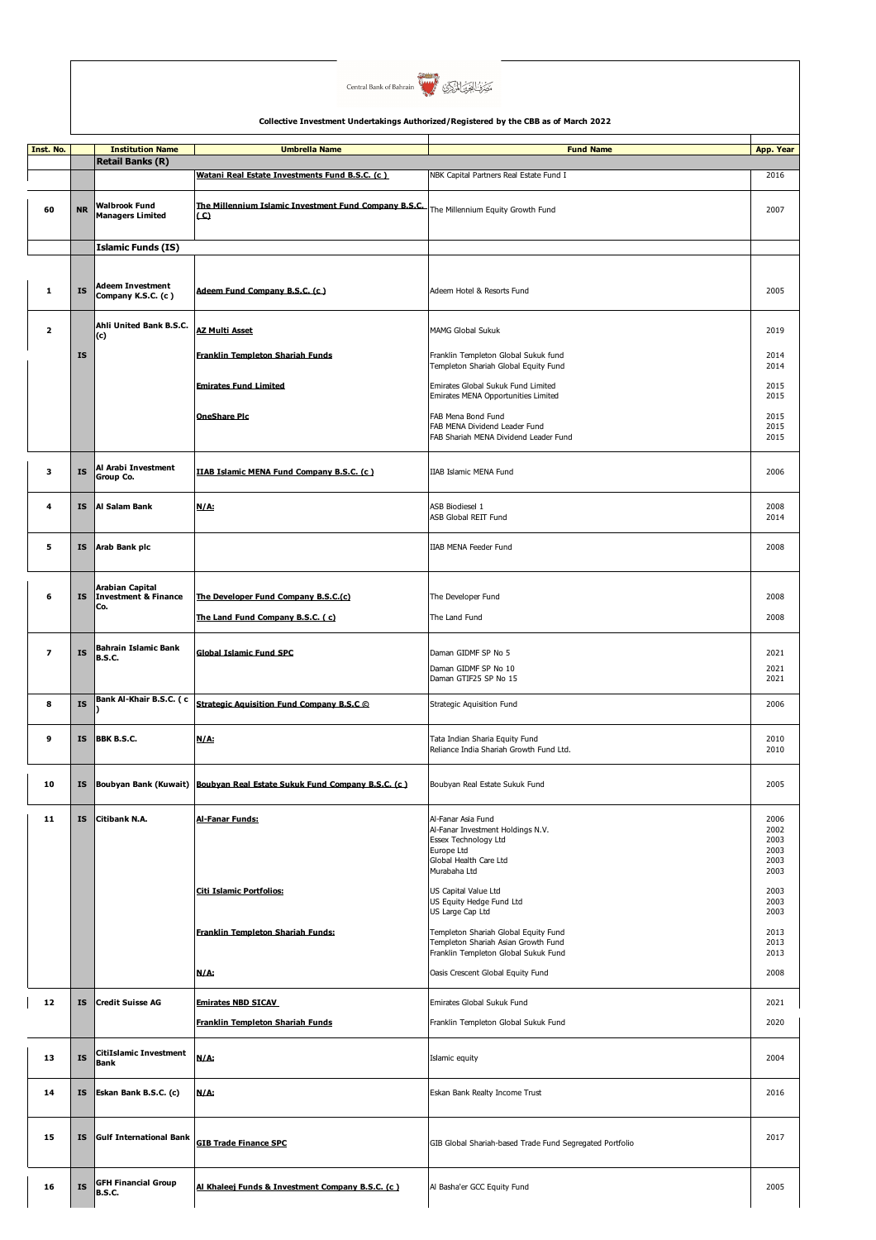

| Inst. No.               |           | <b>Institution Name</b>                                   | <b>Umbrella Name</b>                                                    | <b>Fund Name</b>                                                                                                                        | App. Year                                    |
|-------------------------|-----------|-----------------------------------------------------------|-------------------------------------------------------------------------|-----------------------------------------------------------------------------------------------------------------------------------------|----------------------------------------------|
|                         |           | <b>Retail Banks (R)</b>                                   | Watani Real Estate Investments Fund B.S.C. (c.)                         | NBK Capital Partners Real Estate Fund I                                                                                                 | 2016                                         |
| 60                      | <b>NR</b> | Walbrook Fund<br><b>Managers Limited</b>                  | The Millennium Islamic Investment Fund Company B.S.C.<br>$\mathbf{C}$   | The Millennium Equity Growth Fund                                                                                                       | 2007                                         |
|                         |           | <b>Islamic Funds (IS)</b>                                 |                                                                         |                                                                                                                                         |                                              |
| ${\bf 1}$               | <b>IS</b> | <b>Adeem Investment</b><br>Company K.S.C. (c)             | Adeem Fund Company B.S.C. (c.)                                          | Adeem Hotel & Resorts Fund                                                                                                              | 2005                                         |
| $\overline{\mathbf{2}}$ |           | Ahli United Bank B.S.C.<br>(c)                            | <b>AZ Multi Asset</b>                                                   | <b>MAMG Global Sukuk</b>                                                                                                                | 2019                                         |
|                         | <b>IS</b> |                                                           | <b>Franklin Templeton Shariah Funds</b>                                 | Franklin Templeton Global Sukuk fund<br>Templeton Shariah Global Equity Fund                                                            | 2014<br>2014                                 |
|                         |           |                                                           | <b>Emirates Fund Limited</b>                                            | Emirates Global Sukuk Fund Limited                                                                                                      | 2015                                         |
|                         |           |                                                           | <b>OneShare Pic</b>                                                     | Emirates MENA Opportunities Limited<br>FAB Mena Bond Fund<br>FAB MENA Dividend Leader Fund<br>FAB Shariah MENA Dividend Leader Fund     | 2015<br>2015<br>2015<br>2015                 |
| 3                       | <b>IS</b> | Al Arabi Investment<br>Group Co.                          | IIAB Islamic MENA Fund Company B.S.C. (c)                               | IIAB Islamic MENA Fund                                                                                                                  | 2006                                         |
| 4                       | <b>IS</b> | Al Salam Bank                                             | N/A:                                                                    | <b>ASB Biodiesel 1</b><br>ASB Global REIT Fund                                                                                          | 2008<br>2014                                 |
| 5                       | IS        | Arab Bank plc                                             |                                                                         | IIAB MENA Feeder Fund                                                                                                                   | 2008                                         |
| 6                       | <b>IS</b> | Arabian Capital<br><b>Investment &amp; Finance</b><br>Co. | The Developer Fund Company B.S.C.(c)                                    | The Developer Fund                                                                                                                      | 2008                                         |
|                         |           |                                                           | The Land Fund Company B.S.C. (c)                                        | The Land Fund                                                                                                                           | 2008                                         |
| $\overline{z}$          | <b>IS</b> | <b>Bahrain Islamic Bank</b><br><b>B.S.C.</b>              | <b>Global Islamic Fund SPC</b>                                          | Daman GIDMF SP No 5                                                                                                                     | 2021                                         |
|                         |           |                                                           |                                                                         | Daman GIDMF SP No 10<br>Daman GTIF25 SP No 15                                                                                           | 2021<br>2021                                 |
| 8                       | <b>IS</b> | Bank Al-Khair B.S.C. (c                                   | Strategic Aguisition Fund Company B.S.C ©                               | Strategic Aquisition Fund                                                                                                               | 2006                                         |
| 9                       | IS        | BBK B.S.C.                                                | N/A:                                                                    | Tata Indian Sharia Equity Fund<br>Reliance India Shariah Growth Fund Ltd.                                                               | 2010<br>2010                                 |
| 10                      | IS        |                                                           | Boubyan Bank (Kuwait) Boubyan Real Estate Sukuk Fund Company B.S.C. (c) | Boubyan Real Estate Sukuk Fund                                                                                                          | 2005                                         |
| 11                      | <b>IS</b> | Citibank N.A.                                             | <b>Al-Fanar Funds:</b>                                                  | Al-Fanar Asia Fund<br>Al-Fanar Investment Holdings N.V.<br>Essex Technology Ltd<br>Europe Ltd<br>Global Health Care Ltd<br>Murabaha Ltd | 2006<br>2002<br>2003<br>2003<br>2003<br>2003 |
|                         |           |                                                           | Citi Islamic Portfolios:                                                | US Capital Value Ltd<br>US Equity Hedge Fund Ltd<br>US Large Cap Ltd                                                                    | 2003<br>2003<br>2003                         |
|                         |           |                                                           | Franklin Templeton Shariah Funds:                                       | Templeton Shariah Global Equity Fund<br>Templeton Shariah Asian Growth Fund<br>Franklin Templeton Global Sukuk Fund                     | 2013<br>2013<br>2013                         |
|                         |           |                                                           | N/A:                                                                    | Oasis Crescent Global Equity Fund                                                                                                       | 2008                                         |
| 12                      | <b>IS</b> | <b>Credit Suisse AG</b>                                   | <b>Emirates NBD SICAV</b>                                               | Emirates Global Sukuk Fund                                                                                                              | 2021                                         |
|                         |           |                                                           | Franklin Templeton Shariah Funds                                        | Franklin Templeton Global Sukuk Fund                                                                                                    | 2020                                         |
| 13                      | <b>IS</b> | <b>CitiIslamic Investment</b><br><b>Bank</b>              | N/A:                                                                    | Islamic equity                                                                                                                          | 2004                                         |
| 14                      | <b>IS</b> | Eskan Bank B.S.C. (c)                                     | N/A:                                                                    | Eskan Bank Realty Income Trust                                                                                                          | 2016                                         |
| 15                      | <b>IS</b> | <b>Gulf International Bank</b>                            | <b>GIB Trade Finance SPC</b>                                            | GIB Global Shariah-based Trade Fund Segregated Portfolio                                                                                | 2017                                         |
| 16                      | <b>IS</b> | <b>GFH Financial Group</b><br><b>B.S.C.</b>               | Al Khaleej Funds & Investment Company B.S.C. (c)                        | Al Basha'er GCC Equity Fund                                                                                                             | 2005                                         |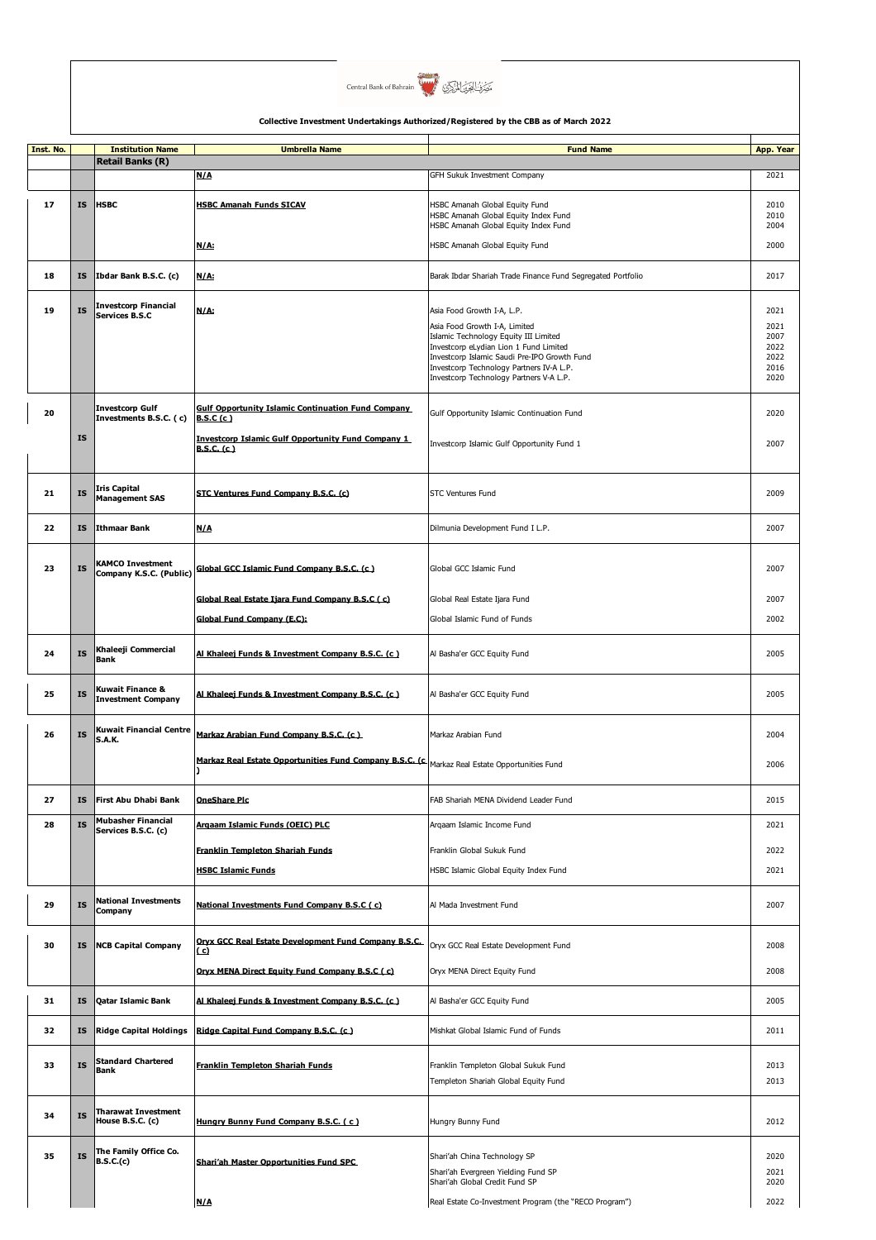

| Inst. No. |           | <b>Institution Name</b>                          | <b>Umbrella Name</b>                                                                           | <b>Fund Name</b>                                                                | App. Year    |
|-----------|-----------|--------------------------------------------------|------------------------------------------------------------------------------------------------|---------------------------------------------------------------------------------|--------------|
|           |           | <b>Retail Banks (R)</b>                          |                                                                                                |                                                                                 |              |
|           |           |                                                  | N/A                                                                                            | GFH Sukuk Investment Company                                                    | 2021         |
|           |           |                                                  |                                                                                                |                                                                                 |              |
| 17        | <b>IS</b> | <b>HSBC</b>                                      | <b>HSBC Amanah Funds SICAV</b>                                                                 | HSBC Amanah Global Equity Fund<br>HSBC Amanah Global Equity Index Fund          | 2010<br>2010 |
|           |           |                                                  |                                                                                                | HSBC Amanah Global Equity Index Fund                                            | 2004         |
|           |           |                                                  | N/A:                                                                                           | HSBC Amanah Global Equity Fund                                                  | 2000         |
|           |           |                                                  |                                                                                                |                                                                                 |              |
| 18        | ΙS        | Ibdar Bank B.S.C. (c)                            | N/A:                                                                                           | Barak Ibdar Shariah Trade Finance Fund Segregated Portfolio                     | 2017         |
|           |           |                                                  |                                                                                                |                                                                                 |              |
|           |           | <b>Investcorp Financial</b>                      |                                                                                                |                                                                                 |              |
| 19        | <b>IS</b> | Services B.S.C                                   | N/A:                                                                                           | Asia Food Growth I-A, L.P.                                                      | 2021         |
|           |           |                                                  |                                                                                                | Asia Food Growth I-A, Limited                                                   | 2021         |
|           |           |                                                  |                                                                                                | Islamic Technology Equity III Limited<br>Investcorp eLydian Lion 1 Fund Limited | 2007<br>2022 |
|           |           |                                                  |                                                                                                | Investcorp Islamic Saudi Pre-IPO Growth Fund                                    | 2022         |
|           |           |                                                  |                                                                                                | Investcorp Technology Partners IV-A L.P.                                        | 2016         |
|           |           |                                                  |                                                                                                | Investcorp Technology Partners V-A L.P.                                         | 2020         |
|           |           |                                                  |                                                                                                |                                                                                 |              |
| 20        |           | <b>Investcorp Gulf</b><br>Investments B.S.C. (c) | <b>Gulf Opportunity Islamic Continuation Fund Company</b><br>B.S.C(c)                          | Gulf Opportunity Islamic Continuation Fund                                      | 2020         |
|           |           |                                                  |                                                                                                |                                                                                 |              |
|           | <b>IS</b> |                                                  | <b>Investcorp Islamic Gulf Opportunity Fund Company 1</b><br><b>B.S.C. (c)</b>                 | Investcorp Islamic Gulf Opportunity Fund 1                                      | 2007         |
|           |           |                                                  |                                                                                                |                                                                                 |              |
|           |           |                                                  |                                                                                                |                                                                                 |              |
| 21        | <b>IS</b> | Iris Capital                                     | STC Ventures Fund Company B.S.C. (c)                                                           | <b>STC Ventures Fund</b>                                                        | 2009         |
|           |           | <b>Management SAS</b>                            |                                                                                                |                                                                                 |              |
|           |           |                                                  |                                                                                                |                                                                                 |              |
| 22        | <b>IS</b> | Ithmaar Bank                                     | <b>N/A</b>                                                                                     | Dilmunia Development Fund I L.P.                                                | 2007         |
|           |           |                                                  |                                                                                                |                                                                                 |              |
|           |           | <b>KAMCO Investment</b>                          |                                                                                                |                                                                                 |              |
| 23        | <b>IS</b> | Company K.S.C. (Public)                          | Global GCC Islamic Fund Company B.S.C. (c)                                                     | Global GCC Islamic Fund                                                         | 2007         |
|           |           |                                                  |                                                                                                |                                                                                 |              |
|           |           |                                                  | Global Real Estate Ijara Fund Company B.S.C (c)                                                | Global Real Estate Ijara Fund                                                   | 2007         |
|           |           |                                                  | Global Fund Company (E.C):                                                                     | Global Islamic Fund of Funds                                                    | 2002         |
|           |           |                                                  |                                                                                                |                                                                                 |              |
| 24        | <b>IS</b> | Khaleeji Commercial                              | Al Khaleej Funds & Investment Company B.S.C. (c)                                               | Al Basha'er GCC Equity Fund                                                     | 2005         |
|           |           | Bank                                             |                                                                                                |                                                                                 |              |
|           |           |                                                  |                                                                                                |                                                                                 |              |
| 25        | <b>IS</b> | Kuwait Finance &                                 | Al Khaleej Funds & Investment Company B.S.C. (c.)                                              | Al Basha'er GCC Equity Fund                                                     | 2005         |
|           |           | <b>Investment Company</b>                        |                                                                                                |                                                                                 |              |
|           |           |                                                  |                                                                                                |                                                                                 |              |
| 26        | <b>IS</b> | <b>Kuwait Financial Centre</b><br><b>S.A.K.</b>  | Markaz Arabian Fund Company B.S.C. (c)                                                         | Markaz Arabian Fund                                                             | 2004         |
|           |           |                                                  |                                                                                                |                                                                                 |              |
|           |           |                                                  | Markaz Real Estate Opportunities Fund Company B.S.C. (c. Markaz Real Estate Opportunities Fund |                                                                                 | 2006         |
|           |           |                                                  |                                                                                                |                                                                                 |              |
| 27        | ΙS        | First Abu Dhabi Bank                             | <u>OneShare Pic</u>                                                                            | FAB Shariah MENA Dividend Leader Fund                                           | 2015         |
|           |           |                                                  |                                                                                                |                                                                                 |              |
| 28        | <b>IS</b> | <b>Mubasher Financial</b><br>Services B.S.C. (c) | Argaam Islamic Funds (OEIC) PLC                                                                | Argaam Islamic Income Fund                                                      | 2021         |
|           |           |                                                  |                                                                                                |                                                                                 |              |
|           |           |                                                  | <b>Franklin Templeton Shariah Funds</b>                                                        | Franklin Global Sukuk Fund                                                      | 2022         |
|           |           |                                                  | <b>HSBC Islamic Funds</b>                                                                      | HSBC Islamic Global Equity Index Fund                                           | 2021         |
|           |           |                                                  |                                                                                                |                                                                                 |              |
|           |           | <b>National Investments</b>                      |                                                                                                |                                                                                 |              |
| 29        | <b>IS</b> | Company                                          | National Investments Fund Company B.S.C (c)                                                    | Al Mada Investment Fund                                                         | 2007         |
|           |           |                                                  |                                                                                                |                                                                                 |              |
| 30        | IS        | <b>NCB Capital Company</b>                       | Orvx GCC Real Estate Development Fund Company B.S.C.                                           | Oryx GCC Real Estate Development Fund                                           | 2008         |
|           |           |                                                  | ( c)                                                                                           |                                                                                 |              |
|           |           |                                                  | Orvx MENA Direct Equity Fund Company B.S.C (c)                                                 | Oryx MENA Direct Equity Fund                                                    | 2008         |
|           |           |                                                  |                                                                                                |                                                                                 |              |
| 31        | IS        | <b>Qatar Islamic Bank</b>                        | Al Khaleej Funds & Investment Company B.S.C. (c)                                               | Al Basha'er GCC Equity Fund                                                     | 2005         |
|           |           |                                                  |                                                                                                |                                                                                 |              |
| 32        | <b>IS</b> | <b>Ridge Capital Holdings</b>                    | Ridge Capital Fund Company B.S.C. (c)                                                          | Mishkat Global Islamic Fund of Funds                                            | 2011         |
|           |           |                                                  |                                                                                                |                                                                                 |              |
|           |           | <b>Standard Chartered</b>                        |                                                                                                |                                                                                 |              |
| 33        | <b>IS</b> | Bank                                             | <b>Franklin Templeton Shariah Funds</b>                                                        | Franklin Templeton Global Sukuk Fund                                            | 2013         |
|           |           |                                                  |                                                                                                | Templeton Shariah Global Equity Fund                                            | 2013         |
|           |           |                                                  |                                                                                                |                                                                                 |              |
| 34        | <b>IS</b> | <b>Tharawat Investment</b><br>House B.S.C. (c)   |                                                                                                |                                                                                 | 2012         |
|           |           |                                                  | Hungry Bunny Fund Company B.S.C. (c)                                                           | Hungry Bunny Fund                                                               |              |
|           |           |                                                  |                                                                                                |                                                                                 |              |
| 35        | <b>IS</b> | The Family Office Co.<br>B.S.C.(c)               | <b>Shari'ah Master Opportunities Fund SPC</b>                                                  | Shari'ah China Technology SP                                                    | 2020         |
|           |           |                                                  |                                                                                                | Shari'ah Evergreen Yielding Fund SP                                             | 2021         |
|           |           |                                                  |                                                                                                | Shari'ah Global Credit Fund SP                                                  | 2020         |
|           |           |                                                  | N/A                                                                                            | Real Estate Co-Investment Program (the "RECO Program")                          | 2022         |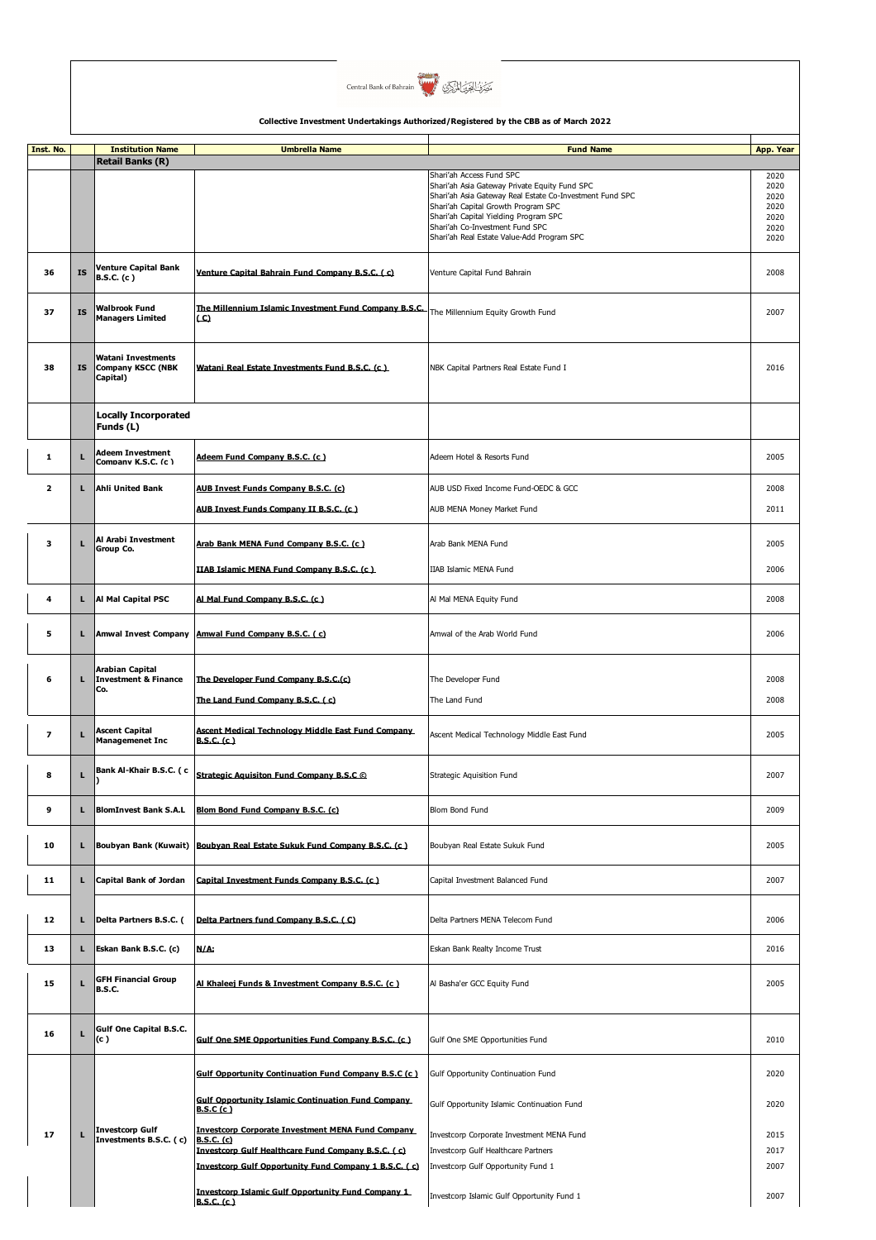

| Inst. No.               |           | <b>Institution Name</b>                                    | <b>Umbrella Name</b>                                                           | <b>Fund Name</b>                                                                                | App. Year    |
|-------------------------|-----------|------------------------------------------------------------|--------------------------------------------------------------------------------|-------------------------------------------------------------------------------------------------|--------------|
|                         |           | <b>Retail Banks (R)</b>                                    |                                                                                | Shari'ah Access Fund SPC                                                                        | 2020         |
|                         |           |                                                            |                                                                                | Shari'ah Asia Gateway Private Equity Fund SPC                                                   | 2020         |
|                         |           |                                                            |                                                                                | Shari'ah Asia Gateway Real Estate Co-Investment Fund SPC<br>Shari'ah Capital Growth Program SPC | 2020<br>2020 |
|                         |           |                                                            |                                                                                | Shari'ah Capital Yielding Program SPC                                                           | 2020         |
|                         |           |                                                            |                                                                                | Shari'ah Co-Investment Fund SPC<br>Shari'ah Real Estate Value-Add Program SPC                   | 2020<br>2020 |
|                         |           |                                                            |                                                                                |                                                                                                 |              |
| 36                      | <b>IS</b> | <b>Venture Capital Bank</b><br><b>B.S.C. (c)</b>           | Venture Capital Bahrain Fund Company B.S.C. (c)                                | Venture Capital Fund Bahrain                                                                    | 2008         |
| 37                      | <b>IS</b> | Walbrook Fund<br><b>Managers Limited</b>                   | The Millennium Islamic Investment Fund Company B.S.C.<br>(C)                   | The Millennium Equity Growth Fund                                                               | 2007         |
| 38                      | <b>IS</b> | Watani Investments<br><b>Company KSCC (NBK</b><br>Capital) | Watani Real Estate Investments Fund B.S.C. (c)                                 | NBK Capital Partners Real Estate Fund I                                                         | 2016         |
|                         |           | <b>Locally Incorporated</b><br>Funds (L)                   |                                                                                |                                                                                                 |              |
| 1                       | L         | <b>Adeem Investment</b><br>Comnany K.S.C. (c)              | Adeem Fund Company B.S.C. (c)                                                  | Adeem Hotel & Resorts Fund                                                                      | 2005         |
| $\overline{2}$          | L         | <b>Ahli United Bank</b>                                    | AUB Invest Funds Company B.S.C. (c)                                            | AUB USD Fixed Income Fund-OEDC & GCC                                                            | 2008         |
|                         |           |                                                            | AUB Invest Funds Company II B.S.C. (c)                                         | AUB MENA Money Market Fund                                                                      | 2011         |
| 3                       | L         | Al Arabi Investment<br>Group Co.                           | Arab Bank MENA Fund Company B.S.C. (c.)                                        | Arab Bank MENA Fund                                                                             | 2005         |
|                         |           |                                                            | IIAB Islamic MENA Fund Company B.S.C. (c)                                      | IIAB Islamic MENA Fund                                                                          | 2006         |
|                         |           |                                                            |                                                                                |                                                                                                 |              |
| 4                       | L         | Al Mal Capital PSC                                         | Al Mal Fund Company B.S.C. (c)                                                 | Al Mal MENA Equity Fund                                                                         | 2008         |
| 5                       | L         | <b>Amwal Invest Company</b>                                | Amwal Fund Company B.S.C. (c)                                                  | Amwal of the Arab World Fund                                                                    | 2006         |
| 6                       | г         | Arabian Capital<br><b>Investment &amp; Finance</b>         | The Developer Fund Company B.S.C.(c)                                           | The Developer Fund                                                                              | 2008         |
|                         |           | Co.                                                        | The Land Fund Company B.S.C. (c)                                               | The Land Fund                                                                                   | 2008         |
|                         |           |                                                            |                                                                                |                                                                                                 |              |
| $\overline{\mathbf{z}}$ | L         | <b>Ascent Capital</b><br><b>Managemenet Inc</b>            | <b>Ascent Medical Technology Middle East Fund Company</b><br><b>B.S.C. (c)</b> | Ascent Medical Technology Middle East Fund                                                      | 2005         |
| 8                       | L         | Bank Al-Khair B.S.C. ( c                                   | Strategic Aquisiton Fund Company B.S.C ©                                       | Strategic Aquisition Fund                                                                       | 2007         |
| 9                       | L         | <b>BlomInvest Bank S.A.L</b>                               | Blom Bond Fund Company B.S.C. (c)                                              | Blom Bond Fund                                                                                  | 2009         |
| 10                      | L.        | Boubyan Bank (Kuwait)                                      | Boubyan Real Estate Sukuk Fund Company B.S.C. (c)                              | Boubyan Real Estate Sukuk Fund                                                                  | 2005         |
| 11                      | г         | <b>Capital Bank of Jordan</b>                              | Capital Investment Funds Company B.S.C. (c)                                    | Capital Investment Balanced Fund                                                                | 2007         |
| 12                      | L.        | Delta Partners B.S.C. (                                    | Delta Partners fund Company B.S.C. (C)                                         | Delta Partners MENA Telecom Fund                                                                | 2006         |
| 13                      | L         | Eskan Bank B.S.C. (c)                                      | N/A:                                                                           | Eskan Bank Realty Income Trust                                                                  | 2016         |
| 15                      | г         | <b>GFH Financial Group</b><br><b>B.S.C.</b>                | Al Khaleej Funds & Investment Company B.S.C. (c)                               | Al Basha'er GCC Equity Fund                                                                     | 2005         |
|                         |           | Gulf One Capital B.S.C.                                    |                                                                                |                                                                                                 |              |
| 16                      | L         | (c )                                                       | Gulf One SME Opportunities Fund Company B.S.C. (c)                             | Gulf One SME Opportunities Fund                                                                 | 2010         |
|                         |           |                                                            | <b>Gulf Opportunity Continuation Fund Company B.S.C (c)</b>                    | Gulf Opportunity Continuation Fund                                                              | 2020         |
|                         |           |                                                            | <b>Gulf Opportunity Islamic Continuation Fund Company</b><br><b>B.S.C</b> (c)  | Gulf Opportunity Islamic Continuation Fund                                                      | 2020         |
| 17                      | г         | <b>Investcorp Gulf</b><br>Investments B.S.C. (c)           | <b>Investcorp Corporate Investment MENA Fund Company</b><br><b>B.S.C. (c)</b>  | Investcorp Corporate Investment MENA Fund                                                       | 2015         |
|                         |           |                                                            | Investcorp Gulf Healthcare Fund Company B.S.C. ( c)                            | Investcorp Gulf Healthcare Partners                                                             | 2017         |
|                         |           |                                                            | Investcorp Gulf Opportunity Fund Company 1 B.S.C. (c)                          | Investcorp Gulf Opportunity Fund 1                                                              | 2007         |
|                         |           |                                                            |                                                                                |                                                                                                 |              |
|                         |           |                                                            | <b>Investcorp Islamic Gulf Opportunity Fund Company 1</b><br>B.S.C. (c)        | Investcorp Islamic Gulf Opportunity Fund 1                                                      | 2007         |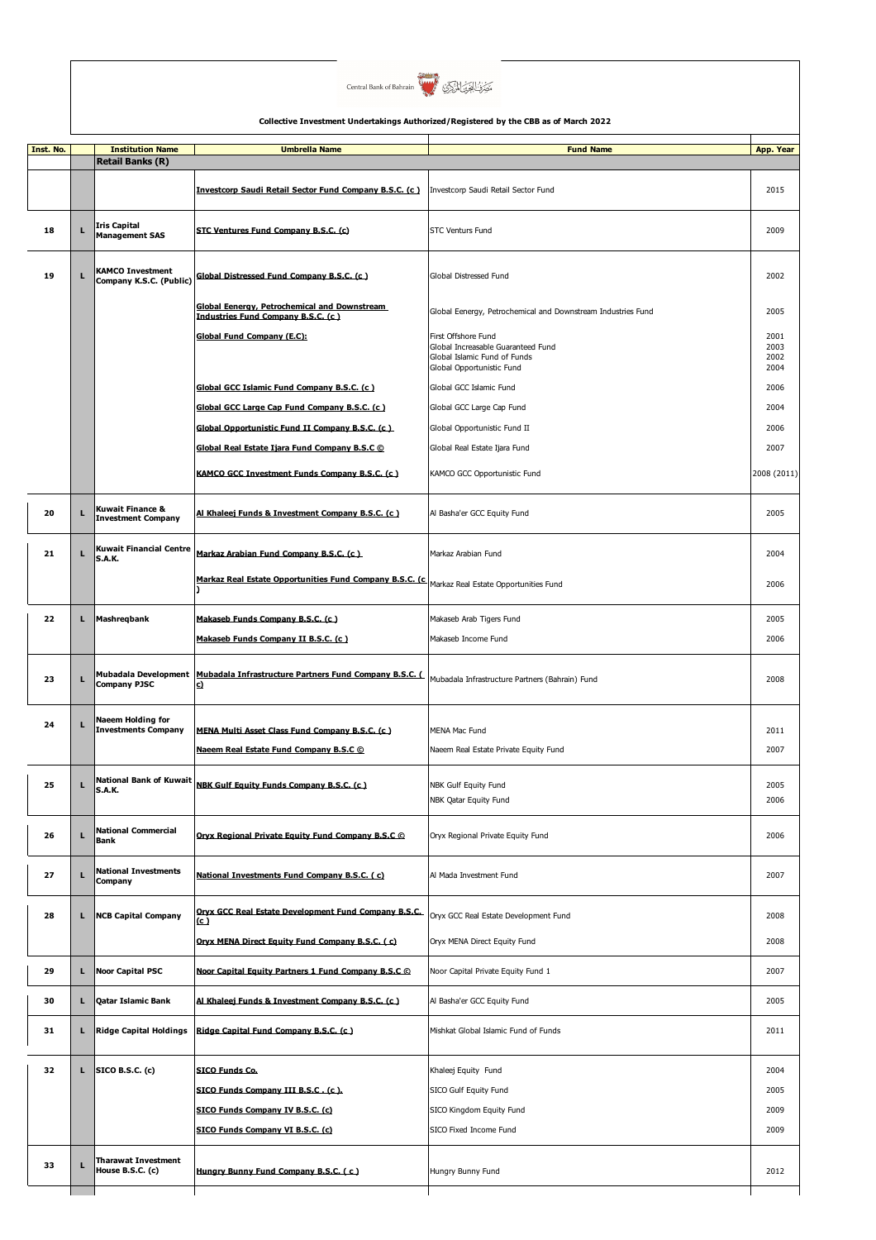

| Inst. No. |    | <b>Institution Name</b>                            | <b>Umbrella Name</b>                                                                       | <b>Fund Name</b>                                                                                                       | App. Year                    |
|-----------|----|----------------------------------------------------|--------------------------------------------------------------------------------------------|------------------------------------------------------------------------------------------------------------------------|------------------------------|
|           |    | <b>Retail Banks (R)</b>                            |                                                                                            |                                                                                                                        |                              |
|           |    |                                                    | Investcorp Saudi Retail Sector Fund Company B.S.C. (c.)                                    | Investcorp Saudi Retail Sector Fund                                                                                    | 2015                         |
| 18        | г  | <b>Iris Capital</b><br><b>Management SAS</b>       | STC Ventures Fund Company B.S.C. (c)                                                       | <b>STC Venturs Fund</b>                                                                                                | 2009                         |
| 19        | г  | <b>KAMCO Investment</b><br>Company K.S.C. (Public) | Global Distressed Fund Company B.S.C. (c.)                                                 | Global Distressed Fund                                                                                                 | 2002                         |
|           |    |                                                    | <b>Global Eenergy, Petrochemical and Downstream</b><br>Industries Fund Company B.S.C. (c.) | Global Eenergy, Petrochemical and Downstream Industries Fund                                                           | 2005                         |
|           |    |                                                    | Global Fund Company (E.C);                                                                 | First Offshore Fund<br>Global Increasable Guaranteed Fund<br>Global Islamic Fund of Funds<br>Global Opportunistic Fund | 2001<br>2003<br>2002<br>2004 |
|           |    |                                                    | Global GCC Islamic Fund Company B.S.C. (c.)                                                | Global GCC Islamic Fund                                                                                                | 2006                         |
|           |    |                                                    | Global GCC Large Cap Fund Company B.S.C. (c)                                               | Global GCC Large Cap Fund                                                                                              | 2004                         |
|           |    |                                                    | Global Opportunistic Fund II Company B.S.C. (c)                                            | Global Opportunistic Fund II                                                                                           | 2006                         |
|           |    |                                                    |                                                                                            |                                                                                                                        |                              |
|           |    |                                                    | Global Real Estate Ijara Fund Company B.S.C @                                              | Global Real Estate Ijara Fund                                                                                          | 2007                         |
|           |    |                                                    | KAMCO GCC Investment Funds Company B.S.C. (c.)                                             | KAMCO GCC Opportunistic Fund                                                                                           | 2008 (2011)                  |
| 20        | г  | Kuwait Finance &<br><b>Investment Company</b>      | Al Khaleej Funds & Investment Company B.S.C. (c )                                          | Al Basha'er GCC Equity Fund                                                                                            | 2005                         |
| 21        | L  | Kuwait Financial Centre<br>S.A.K.                  | Markaz Arabian Fund Company B.S.C. (c)                                                     | Markaz Arabian Fund                                                                                                    | 2004                         |
|           |    |                                                    | Markaz Real Estate Opportunities Fund Company B.S.C. (c                                    | Markaz Real Estate Opportunities Fund                                                                                  | 2006                         |
| 22        | г  | Mashregbank                                        | Makaseb Funds Company B.S.C. (c)                                                           | Makaseb Arab Tigers Fund                                                                                               | 2005                         |
|           |    |                                                    | Makaseb Funds Company II B.S.C. (c)                                                        |                                                                                                                        | 2006                         |
|           |    |                                                    |                                                                                            | Makaseb Income Fund                                                                                                    |                              |
| 23        | г  | Mubadala Development<br><b>Company PJSC</b>        | Mubadala Infrastructure Partners Fund Company B.S.C. (<br>C)                               | Mubadala Infrastructure Partners (Bahrain) Fund                                                                        | 2008                         |
| 24        | L  | Naeem Holding for<br><b>Investments Company</b>    | MENA Multi Asset Class Fund Company B.S.C. (c.)<br>Naeem Real Estate Fund Company B.S.C C  | MENA Mac Fund<br>Naeem Real Estate Private Equity Fund                                                                 | 2011<br>2007                 |
|           |    |                                                    |                                                                                            |                                                                                                                        |                              |
| 25        | L  | <b>National Bank of Kuwait</b><br>S.A.K.           | <b>NBK Gulf Equity Funds Company B.S.C. (c)</b>                                            | NBK Gulf Equity Fund<br>NBK Qatar Equity Fund                                                                          | 2005<br>2006                 |
| 26        | L  | <b>National Commercial</b><br>Bank                 | Oryx Regional Private Equity Fund Company B.S.C C                                          | Oryx Regional Private Equity Fund                                                                                      | 2006                         |
| 27        | L  | <b>National Investments</b><br>Company             | National Investments Fund Company B.S.C. (c)                                               | Al Mada Investment Fund                                                                                                | 2007                         |
| 28        | г  | <b>NCB Capital Company</b>                         | Orvx GCC Real Estate Development Fund Company B.S.C.<br>(c)                                | Oryx GCC Real Estate Development Fund                                                                                  | 2008                         |
|           |    |                                                    | Oryx MENA Direct Equity Fund Company B.S.C. (c)                                            | Oryx MENA Direct Equity Fund                                                                                           | 2008                         |
| 29        | г  | <b>Noor Capital PSC</b>                            | Noor Capital Equity Partners 1 Fund Company B.S.C ©                                        | Noor Capital Private Equity Fund 1                                                                                     | 2007                         |
| 30        | г  | Qatar Islamic Bank                                 | Al Khaleej Funds & Investment Company B.S.C. (c)                                           | Al Basha'er GCC Equity Fund                                                                                            | 2005                         |
| 31        | L. | <b>Ridge Capital Holdings</b>                      | Ridge Capital Fund Company B.S.C. (c)                                                      | Mishkat Global Islamic Fund of Funds                                                                                   | 2011                         |
| 32        | г  | <b>SICO B.S.C. (c)</b>                             | SICO Funds Co.                                                                             | Khaleej Equity Fund                                                                                                    | 2004                         |
|           |    |                                                    |                                                                                            |                                                                                                                        | 2005                         |
|           |    |                                                    | SICO Funds Company III B.S.C. (c).                                                         | SICO Gulf Equity Fund                                                                                                  |                              |
|           |    |                                                    | SICO Funds Company IV B.S.C. (c)                                                           | SICO Kingdom Equity Fund                                                                                               | 2009                         |
|           |    |                                                    | SICO Funds Company VI B.S.C. (c)                                                           | SICO Fixed Income Fund                                                                                                 | 2009                         |
| 33        | г  | Tharawat Investment<br>House B.S.C. (c)            | Hungry Bunny Fund Company B.S.C. (c)                                                       | Hungry Bunny Fund                                                                                                      | 2012                         |
|           |    |                                                    |                                                                                            |                                                                                                                        |                              |